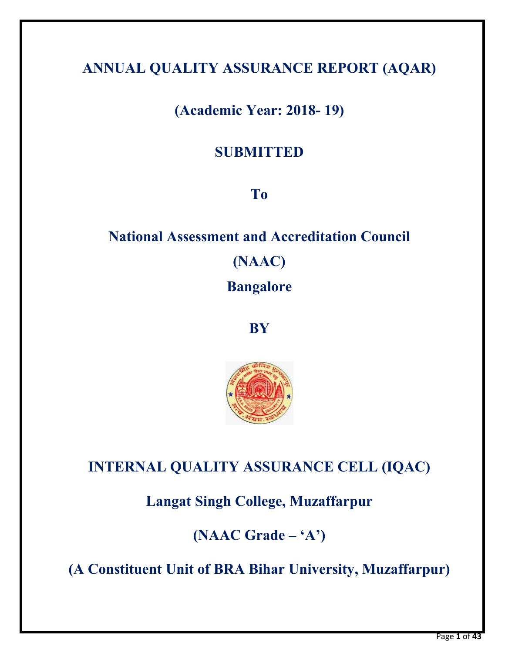# **ANNUAL QUALITY ASSURANCE REPORT (AQAR)**

# **(Academic Year: 2018- 19)**

# **SUBMITTED**

# **To**

# **National Assessment and Accreditation Council (NAAC) Bangalore**

**BY** 



# **INTERNAL QUALITY ASSURANCE CELL (IQAC)**

**Langat Singh College, Muzaffarpur** 

**(NAAC Grade – 'A')** 

**(A Constituent Unit of BRA Bihar University, Muzaffarpur)**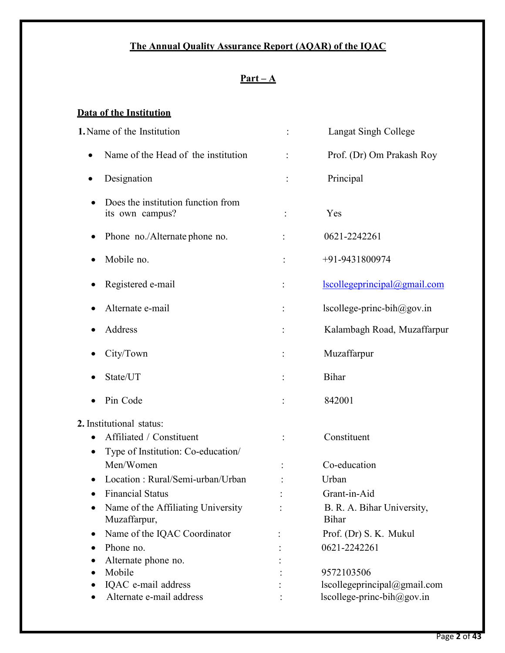# **The Annual Quality Assurance Report (AQAR) of the IQAC**

# **Part – A**

## **Data of the Institution**

| 1. Name of the Institution                                          | <b>Langat Singh College</b>                |
|---------------------------------------------------------------------|--------------------------------------------|
| Name of the Head of the institution                                 | Prof. (Dr) Om Prakash Roy                  |
| Designation                                                         | Principal                                  |
| Does the institution function from<br>its own campus?               | Yes                                        |
| Phone no./Alternate phone no.                                       | 0621-2242261                               |
| Mobile no.                                                          | +91-9431800974                             |
| Registered e-mail                                                   | lscollegeprincipal@gmail.com               |
| Alternate e-mail<br>$\bullet$                                       | $lscollege-princ-bih@gov.in$               |
| Address                                                             | Kalambagh Road, Muzaffarpur                |
| City/Town                                                           | Muzaffarpur                                |
| State/UT                                                            | Bihar                                      |
| Pin Code                                                            | 842001                                     |
| 2. Institutional status:                                            |                                            |
| Affiliated / Constituent<br>Type of Institution: Co-education/<br>٠ | Constituent                                |
| Men/Women                                                           | Co-education                               |
| Location: Rural/Semi-urban/Urban                                    | Urban                                      |
| <b>Financial Status</b>                                             | Grant-in-Aid                               |
| Name of the Affiliating University<br>Muzaffarpur,                  | B. R. A. Bihar University,<br><b>Bihar</b> |
| Name of the IQAC Coordinator<br>٠                                   | Prof. (Dr) S. K. Mukul                     |
| Phone no.                                                           | 0621-2242261                               |
| Alternate phone no.                                                 |                                            |
| Mobile                                                              | 9572103506                                 |
| IQAC e-mail address                                                 | lscollegeprincipal@gmail.com               |
| Alternate e-mail address                                            | lscollege-princ-bih@gov.in                 |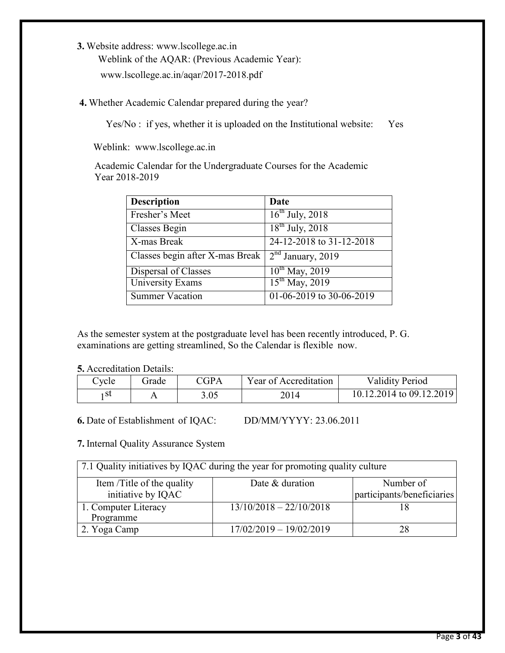**3.** Website address: www.lscollege.ac.in Weblink of the AQAR: (Previous Academic Year): www.lscollege.ac.in/aqar/2017-2018.pdf

**4.** Whether Academic Calendar prepared during the year?

Yes/No : if yes, whether it is uploaded on the Institutional website: Yes

Weblink: www.lscollege.ac.in

 Academic Calendar for the Undergraduate Courses for the Academic Year 2018-2019

| <b>Description</b>                                            | Date                     |
|---------------------------------------------------------------|--------------------------|
| Fresher's Meet                                                | $16^{th}$ July, 2018     |
| Classes Begin                                                 | $18^{th}$ July, 2018     |
| X-mas Break                                                   | 24-12-2018 to 31-12-2018 |
| Classes begin after X-mas Break 2 <sup>nd</sup> January, 2019 |                          |
| Dispersal of Classes                                          | $10^{th}$ May, 2019      |
| <b>University Exams</b>                                       | $15^{th}$ May, 2019      |
| Summer Vacation                                               | 01-06-2019 to 30-06-2019 |

As the semester system at the postgraduate level has been recently introduced, P. G. examinations are getting streamlined, So the Calendar is flexible now.

**5.** Accreditation Details:

| `vcle | ìrade | $\Gamma$ GPA | Year of Accreditation | <b>Validity Period</b>   |
|-------|-------|--------------|-----------------------|--------------------------|
| .st   |       | 3.05         | 2014                  | 10.12.2014 to 09.12.2019 |

**6.** Date of Establishment of IQAC: DD/MM/YYYY: 23.06.2011

**7.** Internal Quality Assurance System

| 7.1 Quality initiatives by IQAC during the year for promoting quality culture |                           |                            |  |  |  |  |  |
|-------------------------------------------------------------------------------|---------------------------|----------------------------|--|--|--|--|--|
| Item /Title of the quality                                                    | Date & duration           | Number of                  |  |  |  |  |  |
| initiative by IQAC                                                            |                           | participants/beneficiaries |  |  |  |  |  |
| 1. Computer Literacy                                                          | $13/10/2018 - 22/10/2018$ |                            |  |  |  |  |  |
| Programme                                                                     |                           |                            |  |  |  |  |  |
| 2. Yoga Camp                                                                  | $17/02/2019 - 19/02/2019$ | 28                         |  |  |  |  |  |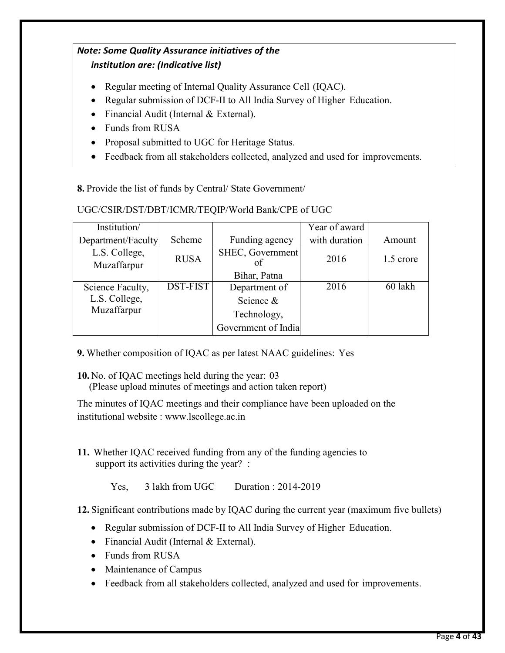## *Note: Some Quality Assurance initiatives of the institution are: (Indicative list)*

- Regular meeting of Internal Quality Assurance Cell (IQAC).
- Regular submission of DCF-II to All India Survey of Higher Education.
- Financial Audit (Internal & External).
- Funds from RUSA
- Proposal submitted to UGC for Heritage Status.
- Feedback from all stakeholders collected, analyzed and used for improvements.

**8.** Provide the list of funds by Central/ State Government/

UGC/CSIR/DST/DBT/ICMR/TEQIP/World Bank/CPE of UGC

| Institution/                 |                 |                     | Year of award |           |
|------------------------------|-----------------|---------------------|---------------|-----------|
| Department/Faculty           | Scheme          | Funding agency      | with duration | Amount    |
| L.S. College,<br>Muzaffarpur | <b>RUSA</b>     | SHEC, Government    | 2016          | 1.5 crore |
|                              |                 | Bihar, Patna        |               |           |
| Science Faculty,             | <b>DST-FIST</b> | Department of       | 2016          | 60 lakh   |
| L.S. College,                |                 | Science &           |               |           |
| Muzaffarpur                  |                 | Technology,         |               |           |
|                              |                 | Government of India |               |           |

- **9.** Whether composition of IQAC as per latest NAAC guidelines: Yes
- **10.** No. of IQAC meetings held during the year: 03 (Please upload minutes of meetings and action taken report)

The minutes of IQAC meetings and their compliance have been uploaded on the institutional website : www.lscollege.ac.in

**11.** Whether IQAC received funding from any of the funding agencies to support its activities during the year? :

Yes, 3 lakh from UGC Duration : 2014-2019

**12.** Significant contributions made by IQAC during the current year (maximum five bullets)

- Regular submission of DCF-II to All India Survey of Higher Education.
- Financial Audit (Internal & External).
- Funds from RUSA
- Maintenance of Campus
- Feedback from all stakeholders collected, analyzed and used for improvements.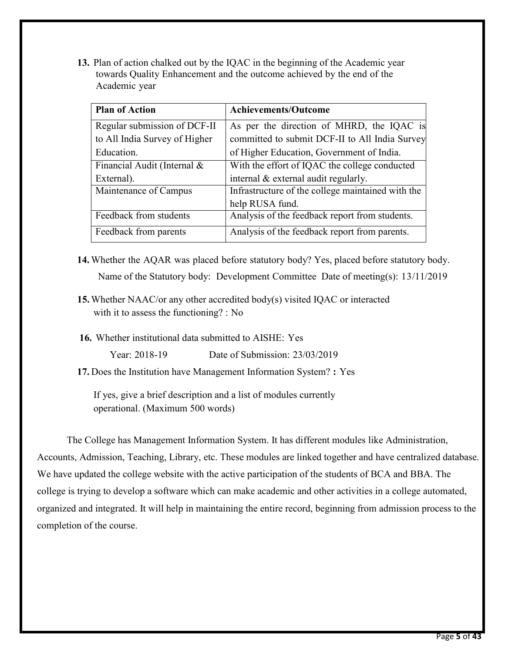**13.** Plan of action chalked out by the IQAC in the beginning of the Academic year towards Quality Enhancement and the outcome achieved by the end of the Academic year

| <b>Plan of Action</b>         | <b>Achievements/Outcome</b>                       |
|-------------------------------|---------------------------------------------------|
| Regular submission of DCF-II  | As per the direction of MHRD, the IQAC is         |
| to All India Survey of Higher | committed to submit DCF-II to All India Survey    |
| Education.                    | of Higher Education, Government of India.         |
| Financial Audit (Internal &   | With the effort of IQAC the college conducted     |
| External).                    | internal $&$ external audit regularly.            |
| Maintenance of Campus         | Infrastructure of the college maintained with the |
|                               | help RUSA fund.                                   |
| Feedback from students        | Analysis of the feedback report from students.    |
| Feedback from parents         | Analysis of the feedback report from parents.     |

- **14.** Whether the AQAR was placed before statutory body? Yes, placed before statutory body. Name of the Statutory body: Development Committee Date of meeting(s): 13/11/2019
- **15.**Whether NAAC/or any other accredited body(s) visited IQAC or interacted with it to assess the functioning? : No
- **16.** Whether institutional data submitted to AISHE: Yes

Year: 2018-19 Date of Submission: 23/03/2019

**17.** Does the Institution have Management Information System? **:** Yes

If yes, give a brief description and a list of modules currently operational. (Maximum 500 words)

 The College has Management Information System. It has different modules like Administration, Accounts, Admission, Teaching, Library, etc. These modules are linked together and have centralized database. We have updated the college website with the active participation of the students of BCA and BBA. The college is trying to develop a software which can make academic and other activities in a college automated, organized and integrated. It will help in maintaining the entire record, beginning from admission process to the completion of the course.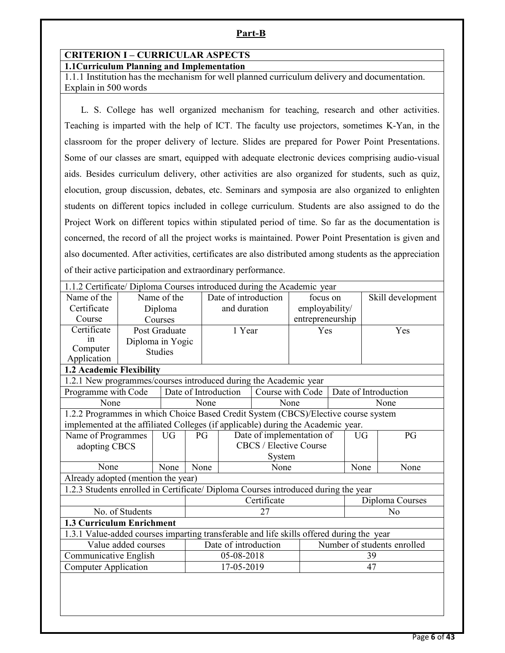#### **Part-B**

## **CRITERION I – CURRICULAR ASPECTS**

#### **1.1Curriculum Planning and Implementation**

1.1.1 Institution has the mechanism for well planned curriculum delivery and documentation. Explain in 500 words

 L. S. College has well organized mechanism for teaching, research and other activities. Teaching is imparted with the help of ICT. The faculty use projectors, sometimes K-Yan, in the classroom for the proper delivery of lecture. Slides are prepared for Power Point Presentations. Some of our classes are smart, equipped with adequate electronic devices comprising audio-visual aids. Besides curriculum delivery, other activities are also organized for students, such as quiz, elocution, group discussion, debates, etc. Seminars and symposia are also organized to enlighten students on different topics included in college curriculum. Students are also assigned to do the Project Work on different topics within stipulated period of time. So far as the documentation is concerned, the record of all the project works is maintained. Power Point Presentation is given and also documented. After activities, certificates are also distributed among students as the appreciation of their active participation and extraordinary performance.

|                                                                                          | 1.1.2 Certificate/ Diploma Courses introduced during the Academic year |                |      |                      |             |                           |  |           |                             |
|------------------------------------------------------------------------------------------|------------------------------------------------------------------------|----------------|------|----------------------|-------------|---------------------------|--|-----------|-----------------------------|
| Name of the                                                                              |                                                                        | Name of the    |      | Date of introduction |             | focus on                  |  |           | Skill development           |
| Certificate                                                                              |                                                                        | Diploma        |      | and duration         |             | employability/            |  |           |                             |
| Course                                                                                   |                                                                        | Courses        |      |                      |             | entrepreneurship          |  |           |                             |
| Certificate                                                                              |                                                                        | Post Graduate  |      | 1 Year               |             | Yes                       |  |           | Yes                         |
| in                                                                                       | Diploma in Yogic                                                       |                |      |                      |             |                           |  |           |                             |
| Computer                                                                                 |                                                                        | <b>Studies</b> |      |                      |             |                           |  |           |                             |
| Application                                                                              |                                                                        |                |      |                      |             |                           |  |           |                             |
| 1.2 Academic Flexibility                                                                 |                                                                        |                |      |                      |             |                           |  |           |                             |
| 1.2.1 New programmes/courses introduced during the Academic year                         |                                                                        |                |      |                      |             |                           |  |           |                             |
| Programme with Code                                                                      |                                                                        |                |      | Date of Introduction |             | Course with Code          |  |           | Date of Introduction        |
| None                                                                                     |                                                                        |                |      | None                 |             | None                      |  |           | None                        |
| 1.2.2 Programmes in which Choice Based Credit System (CBCS)/Elective course system       |                                                                        |                |      |                      |             |                           |  |           |                             |
| implemented at the affiliated Colleges (if applicable) during the Academic year.         |                                                                        |                |      |                      |             |                           |  |           |                             |
| Name of Programmes                                                                       |                                                                        | <b>UG</b>      | PG   |                      |             | Date of implementation of |  | <b>UG</b> | PG                          |
| adopting CBCS                                                                            |                                                                        |                |      |                      |             | CBCS / Elective Course    |  |           |                             |
|                                                                                          |                                                                        |                |      |                      | System      |                           |  |           |                             |
| None                                                                                     |                                                                        | None           | None |                      | None        |                           |  | None      | None                        |
| Already adopted (mention the year)                                                       |                                                                        |                |      |                      |             |                           |  |           |                             |
| 1.2.3 Students enrolled in Certificate/ Diploma Courses introduced during the year       |                                                                        |                |      |                      |             |                           |  |           |                             |
|                                                                                          |                                                                        |                |      |                      | Certificate |                           |  |           | Diploma Courses             |
|                                                                                          | No. of Students                                                        |                |      |                      | 27          |                           |  |           | N <sub>o</sub>              |
| <b>1.3 Curriculum Enrichment</b>                                                         |                                                                        |                |      |                      |             |                           |  |           |                             |
| 1.3.1 Value-added courses imparting transferable and life skills offered during the year |                                                                        |                |      |                      |             |                           |  |           |                             |
|                                                                                          | Value added courses                                                    |                |      | Date of introduction |             |                           |  |           | Number of students enrolled |
| Communicative English                                                                    | 05-08-2018<br>39                                                       |                |      |                      |             |                           |  |           |                             |
| <b>Computer Application</b>                                                              |                                                                        |                |      | 17-05-2019<br>47     |             |                           |  |           |                             |
|                                                                                          |                                                                        |                |      |                      |             |                           |  |           |                             |
|                                                                                          |                                                                        |                |      |                      |             |                           |  |           |                             |
|                                                                                          |                                                                        |                |      |                      |             |                           |  |           |                             |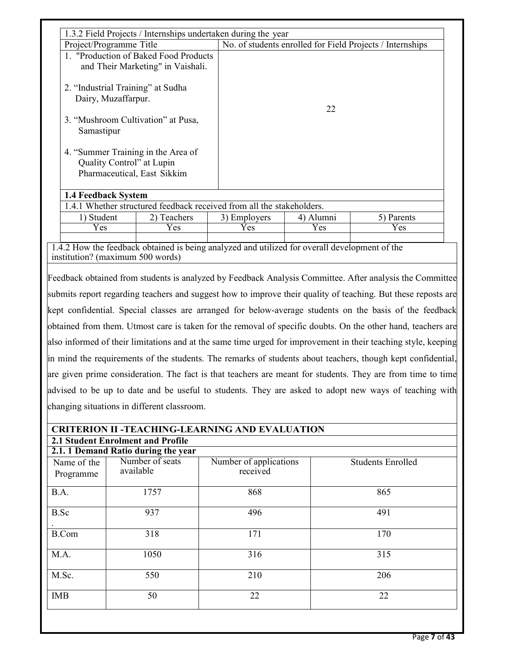|                          | 1.3.2 Field Projects / Internships undertaken during the year                                                                     |                                    |           |                                                                                                                                                                                                                                                                                                                                                                                                                                                                                                                                                                       |
|--------------------------|-----------------------------------------------------------------------------------------------------------------------------------|------------------------------------|-----------|-----------------------------------------------------------------------------------------------------------------------------------------------------------------------------------------------------------------------------------------------------------------------------------------------------------------------------------------------------------------------------------------------------------------------------------------------------------------------------------------------------------------------------------------------------------------------|
|                          | Project/Programme Title                                                                                                           |                                    |           | No. of students enrolled for Field Projects / Internships                                                                                                                                                                                                                                                                                                                                                                                                                                                                                                             |
|                          | 1. "Production of Baked Food Products<br>and Their Marketing" in Vaishali.                                                        |                                    |           |                                                                                                                                                                                                                                                                                                                                                                                                                                                                                                                                                                       |
|                          | 2. "Industrial Training" at Sudha<br>Dairy, Muzaffarpur.                                                                          |                                    |           |                                                                                                                                                                                                                                                                                                                                                                                                                                                                                                                                                                       |
| Samastipur               | 3. "Mushroom Cultivation" at Pusa,                                                                                                |                                    | 22        |                                                                                                                                                                                                                                                                                                                                                                                                                                                                                                                                                                       |
|                          | 4. "Summer Training in the Area of<br>Quality Control" at Lupin<br>Pharmaceutical, East Sikkim                                    |                                    |           |                                                                                                                                                                                                                                                                                                                                                                                                                                                                                                                                                                       |
| 1.4 Feedback System      |                                                                                                                                   |                                    |           |                                                                                                                                                                                                                                                                                                                                                                                                                                                                                                                                                                       |
|                          | 1.4.1 Whether structured feedback received from all the stakeholders.                                                             |                                    |           |                                                                                                                                                                                                                                                                                                                                                                                                                                                                                                                                                                       |
| 1) Student               | 2) Teachers                                                                                                                       | 3) Employers                       | 4) Alumni | 5) Parents                                                                                                                                                                                                                                                                                                                                                                                                                                                                                                                                                            |
| Yes                      | Yes                                                                                                                               | Yes                                | Yes       | Yes                                                                                                                                                                                                                                                                                                                                                                                                                                                                                                                                                                   |
|                          | 1.4.2 How the feedback obtained is being analyzed and utilized for overall development of the<br>institution? (maximum 500 words) |                                    |           |                                                                                                                                                                                                                                                                                                                                                                                                                                                                                                                                                                       |
|                          | changing situations in different classroom.                                                                                       |                                    |           | obtained from them. Utmost care is taken for the removal of specific doubts. On the other hand, teachers are<br>also informed of their limitations and at the same time urged for improvement in their teaching style, keeping<br>in mind the requirements of the students. The remarks of students about teachers, though kept confidential,<br>are given prime consideration. The fact is that teachers are meant for students. They are from time to time<br>advised to be up to date and be useful to students. They are asked to adopt new ways of teaching with |
|                          | <b>CRITERION II -TEACHING-LEARNING AND EVALUATION</b>                                                                             |                                    |           |                                                                                                                                                                                                                                                                                                                                                                                                                                                                                                                                                                       |
|                          | 2.1 Student Enrolment and Profile<br>2.1.1 Demand Ratio during the year                                                           |                                    |           |                                                                                                                                                                                                                                                                                                                                                                                                                                                                                                                                                                       |
| Name of the<br>Programme | Number of seats<br>available                                                                                                      | Number of applications<br>received |           | <b>Students Enrolled</b>                                                                                                                                                                                                                                                                                                                                                                                                                                                                                                                                              |
| B.A.                     | 1757                                                                                                                              | 868                                |           | 865                                                                                                                                                                                                                                                                                                                                                                                                                                                                                                                                                                   |
| B.Sc                     | 937                                                                                                                               | 496                                |           | 491                                                                                                                                                                                                                                                                                                                                                                                                                                                                                                                                                                   |
| <b>B.Com</b>             | 318                                                                                                                               | 171                                |           | 170                                                                                                                                                                                                                                                                                                                                                                                                                                                                                                                                                                   |
| M.A.                     | 1050                                                                                                                              | 316                                |           | 315                                                                                                                                                                                                                                                                                                                                                                                                                                                                                                                                                                   |
| M.Sc.                    | 550                                                                                                                               | 210                                |           | 206                                                                                                                                                                                                                                                                                                                                                                                                                                                                                                                                                                   |
| <b>IMB</b>               | 50                                                                                                                                | 22                                 |           | 22                                                                                                                                                                                                                                                                                                                                                                                                                                                                                                                                                                    |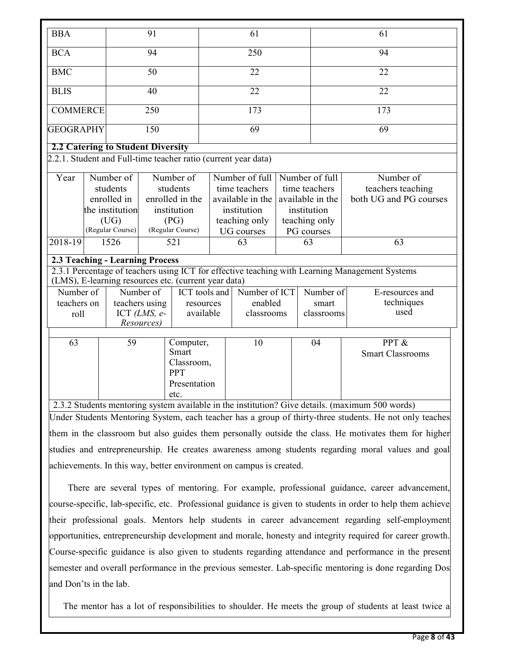| <b>BBA</b>                        |                           | 91                           |                                                      |                                | 61                                                             |  |                  | 61                                                                                                               |
|-----------------------------------|---------------------------|------------------------------|------------------------------------------------------|--------------------------------|----------------------------------------------------------------|--|------------------|------------------------------------------------------------------------------------------------------------------|
| <b>BCA</b>                        |                           | 94                           |                                                      | 250                            |                                                                |  | 94               |                                                                                                                  |
| <b>BMC</b>                        |                           | 50                           |                                                      |                                | 22                                                             |  |                  | 22                                                                                                               |
| <b>BLIS</b>                       |                           | 40                           |                                                      |                                | 22                                                             |  |                  | 22                                                                                                               |
| <b>COMMERCE</b>                   |                           | 250                          |                                                      |                                | 173                                                            |  |                  | 173                                                                                                              |
| <b>GEOGRAPHY</b>                  |                           | 150                          |                                                      |                                | 69                                                             |  |                  | 69                                                                                                               |
| 2.2 Catering to Student Diversity |                           |                              |                                                      |                                |                                                                |  |                  |                                                                                                                  |
|                                   |                           |                              |                                                      |                                | 2.2.1. Student and Full-time teacher ratio (current year data) |  |                  |                                                                                                                  |
|                                   |                           |                              |                                                      |                                |                                                                |  |                  |                                                                                                                  |
| $\overline{Y}$ ear                | Number of                 |                              | Number of                                            |                                | Number of full                                                 |  | Number of full   | Number of                                                                                                        |
|                                   | students                  |                              | students                                             |                                | time teachers                                                  |  | time teachers    | teachers teaching                                                                                                |
|                                   | enrolled in               |                              | enrolled in the                                      |                                | available in the                                               |  | available in the | both UG and PG courses                                                                                           |
|                                   | the institution           |                              | institution                                          |                                | institution                                                    |  | institution      |                                                                                                                  |
|                                   | (UG)                      |                              | (PG)                                                 | teaching only<br>teaching only |                                                                |  |                  |                                                                                                                  |
|                                   | (Regular Course)          |                              | (Regular Course)                                     |                                | <b>UG</b> courses                                              |  | PG courses       |                                                                                                                  |
| 2018-19                           | 1526                      |                              | 521                                                  |                                | 63                                                             |  | 63               | 63                                                                                                               |
| 2.3 Teaching - Learning Process   |                           |                              |                                                      |                                |                                                                |  |                  |                                                                                                                  |
|                                   |                           |                              | (LMS), E-learning resources etc. (current year data) |                                |                                                                |  |                  | 2.3.1 Percentage of teachers using ICT for effective teaching with Learning Management Systems                   |
| Number of                         |                           | Number of                    | ICT tools and                                        |                                | Number of ICT                                                  |  | Number of        | E-resources and                                                                                                  |
| teachers on                       |                           | teachers using               | resources                                            |                                | enabled                                                        |  | smart            | techniques                                                                                                       |
| roll                              |                           | ICT $(LMS, e-$<br>Resources) | available                                            |                                | classrooms                                                     |  | classrooms       | used                                                                                                             |
|                                   |                           |                              |                                                      |                                |                                                                |  |                  |                                                                                                                  |
| $\overline{63}$                   | 59<br>Smart<br><b>PPT</b> |                              | Computer,<br>Classroom,                              |                                | 10                                                             |  | 04               | PPT &<br><b>Smart Classrooms</b>                                                                                 |
|                                   |                           |                              | Presentation<br>etc.                                 |                                |                                                                |  |                  |                                                                                                                  |
|                                   |                           |                              |                                                      |                                |                                                                |  |                  | 2.3.2 Students mentoring system available in the institution? Give details. (maximum 500 words)                  |
|                                   |                           |                              |                                                      |                                |                                                                |  |                  | La den Otto dante. Mantening, Oestern von de tradition han in einem Schliche theory students. He wat aufortradit |

Under Students Mentoring System, each teacher has a group of thirty-three students. He not only teaches them in the classroom but also guides them personally outside the class. He motivates them for higher studies and entrepreneurship. He creates awareness among students regarding moral values and goal achievements. In this way, better environment on campus is created.

 There are several types of mentoring. For example, professional guidance, career advancement, course-specific, lab-specific, etc. Professional guidance is given to students in order to help them achieve their professional goals. Mentors help students in career advancement regarding self-employment opportunities, entrepreneurship development and morale, honesty and integrity required for career growth. Course-specific guidance is also given to students regarding attendance and performance in the present semester and overall performance in the previous semester. Lab-specific mentoring is done regarding Dos and Don'ts in the lab.

The mentor has a lot of responsibilities to shoulder. He meets the group of students at least twice a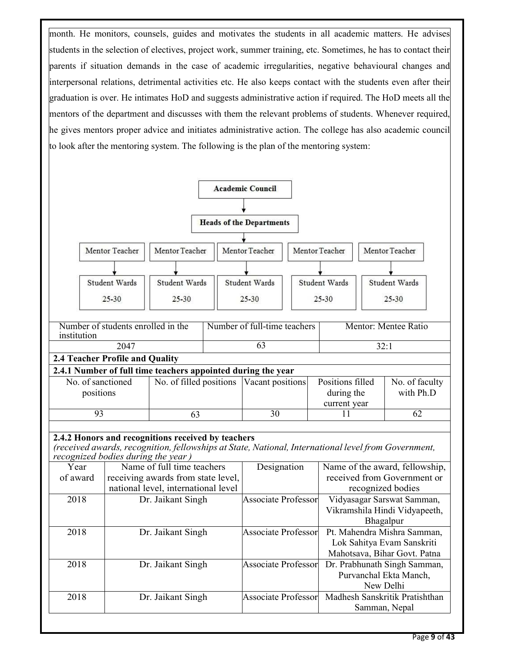month. He monitors, counsels, guides and motivates the students in all academic matters. He advises students in the selection of electives, project work, summer training, etc. Sometimes, he has to contact their parents if situation demands in the case of academic irregularities, negative behavioural changes and interpersonal relations, detrimental activities etc. He also keeps contact with the students even after their graduation is over. He intimates HoD and suggests administrative action if required. The HoD meets all the mentors of the department and discusses with them the relevant problems of students. Whenever required, he gives mentors proper advice and initiates administrative action. The college has also academic council to look after the mentoring system. The following is the plan of the mentoring system:

|             |                                                                                                                                                                                                 |                                                                           |                            | <b>Academic Council</b>         |                            |                                                                                           |                                                                          |      |                                                  |
|-------------|-------------------------------------------------------------------------------------------------------------------------------------------------------------------------------------------------|---------------------------------------------------------------------------|----------------------------|---------------------------------|----------------------------|-------------------------------------------------------------------------------------------|--------------------------------------------------------------------------|------|--------------------------------------------------|
|             |                                                                                                                                                                                                 |                                                                           |                            |                                 |                            |                                                                                           |                                                                          |      |                                                  |
|             |                                                                                                                                                                                                 |                                                                           |                            | <b>Heads of the Departments</b> |                            |                                                                                           |                                                                          |      |                                                  |
|             |                                                                                                                                                                                                 |                                                                           |                            |                                 |                            |                                                                                           |                                                                          |      |                                                  |
|             | Mentor Teacher                                                                                                                                                                                  | Mentor Teacher                                                            |                            | Mentor Teacher                  |                            | Mentor Teacher                                                                            |                                                                          |      | Mentor Teacher                                   |
|             |                                                                                                                                                                                                 |                                                                           |                            |                                 |                            |                                                                                           |                                                                          |      |                                                  |
|             | Student Wards                                                                                                                                                                                   | Student Wards                                                             |                            | Student Wards                   |                            |                                                                                           | Student Wards                                                            |      | Student Wards                                    |
|             | 25-30                                                                                                                                                                                           | $25 - 30$                                                                 |                            | $25 - 30$                       |                            | 25-30                                                                                     |                                                                          |      | 25-30                                            |
| institution | Number of students enrolled in the                                                                                                                                                              |                                                                           |                            | Number of full-time teachers    |                            |                                                                                           |                                                                          |      | Mentor: Mentee Ratio                             |
|             | 2047                                                                                                                                                                                            |                                                                           |                            | $\overline{63}$                 |                            |                                                                                           |                                                                          | 32:1 |                                                  |
|             | 2.4 Teacher Profile and Quality                                                                                                                                                                 |                                                                           |                            |                                 |                            |                                                                                           |                                                                          |      |                                                  |
|             | 2.4.1 Number of full time teachers appointed during the year                                                                                                                                    |                                                                           |                            | Vacant positions                |                            |                                                                                           |                                                                          |      |                                                  |
|             | No. of sanctioned<br>positions                                                                                                                                                                  |                                                                           | No. of filled positions    |                                 |                            |                                                                                           | Positions filled<br>during the                                           |      | No. of faculty<br>with Ph.D                      |
|             |                                                                                                                                                                                                 |                                                                           |                            |                                 |                            |                                                                                           | current year                                                             |      |                                                  |
|             | 93                                                                                                                                                                                              | 63                                                                        |                            | 30                              |                            |                                                                                           | 11                                                                       |      | $\overline{62}$                                  |
|             | 2.4.2 Honors and recognitions received by teachers<br>(received awards, recognition, fellowships at State, National, International level from Government,<br>recognized bodies during the year) |                                                                           |                            |                                 |                            |                                                                                           |                                                                          |      |                                                  |
| Year        |                                                                                                                                                                                                 | Name of full time teachers                                                |                            | Designation                     |                            |                                                                                           |                                                                          |      | Name of the award, fellowship,                   |
| of award    |                                                                                                                                                                                                 | receiving awards from state level,<br>national level, international level |                            |                                 |                            |                                                                                           |                                                                          |      | received from Government or<br>recognized bodies |
| 2018        |                                                                                                                                                                                                 | Dr. Jaikant Singh                                                         |                            |                                 | <b>Associate Professor</b> |                                                                                           | Vidyasagar Sarswat Samman,<br>Vikramshila Hindi Vidyapeeth,<br>Bhagalpur |      |                                                  |
| 2018        |                                                                                                                                                                                                 | Dr. Jaikant Singh                                                         | <b>Associate Professor</b> |                                 |                            | Pt. Mahendra Mishra Samman,<br>Lok Sahitya Evam Sanskriti<br>Mahotsava, Bihar Govt. Patna |                                                                          |      |                                                  |
| 2018        |                                                                                                                                                                                                 | Dr. Jaikant Singh                                                         | <b>Associate Professor</b> |                                 |                            | Dr. Prabhunath Singh Samman,<br>Purvanchal Ekta Manch,<br>New Delhi                       |                                                                          |      |                                                  |
| 2018        |                                                                                                                                                                                                 | Dr. Jaikant Singh                                                         |                            | <b>Associate Professor</b>      |                            |                                                                                           |                                                                          |      | Madhesh Sanskritik Pratishthan<br>Samman, Nepal  |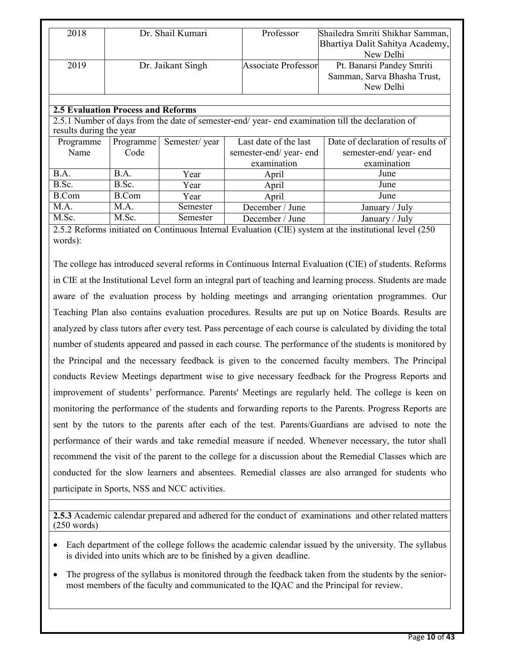|                         |               |                                                                                    | Shailedra Smriti Shikhar Samman,                                                                                                                                    |
|-------------------------|---------------|------------------------------------------------------------------------------------|---------------------------------------------------------------------------------------------------------------------------------------------------------------------|
|                         |               |                                                                                    | Bhartiya Dalit Sahitya Academy,                                                                                                                                     |
|                         |               |                                                                                    | New Delhi                                                                                                                                                           |
|                         |               |                                                                                    | Pt. Banarsi Pandey Smriti                                                                                                                                           |
|                         |               |                                                                                    | Samman, Sarva Bhasha Trust,                                                                                                                                         |
|                         |               |                                                                                    | New Delhi                                                                                                                                                           |
|                         |               |                                                                                    |                                                                                                                                                                     |
|                         |               |                                                                                    |                                                                                                                                                                     |
|                         |               |                                                                                    |                                                                                                                                                                     |
| results during the year |               |                                                                                    |                                                                                                                                                                     |
| Programme               | Semester/year | Last date of the last                                                              | Date of declaration of results of                                                                                                                                   |
| Code                    |               |                                                                                    | semester-end/year-end                                                                                                                                               |
|                         |               | examination                                                                        | examination                                                                                                                                                         |
| B.A.                    | Year          | April                                                                              | June                                                                                                                                                                |
| B.Sc.                   | Year          | April                                                                              | June                                                                                                                                                                |
| <b>B.Com</b>            | Year          | April                                                                              | June                                                                                                                                                                |
| M.A.                    | Semester      | December / June                                                                    | January / July                                                                                                                                                      |
| M.Sc.                   | Semester      | December / June                                                                    | January / July                                                                                                                                                      |
|                         |               | Dr. Shail Kumari<br>Dr. Jaikant Singh<br><b>2.5 Evaluation Process and Reforms</b> | Professor<br><b>Associate Professor</b><br>2.5.1 Number of days from the date of semester-end/year-end examination till the declaration of<br>semester-end/year-end |

2.5.2 Reforms initiated on Continuous Internal Evaluation (CIE) system at the institutional level (250 words):

The college has introduced several reforms in Continuous Internal Evaluation (CIE) of students. Reforms in CIE at the Institutional Level form an integral part of teaching and learning process. Students are made aware of the evaluation process by holding meetings and arranging orientation programmes. Our Teaching Plan also contains evaluation procedures. Results are put up on Notice Boards. Results are analyzed by class tutors after every test. Pass percentage of each course is calculated by dividing the total number of students appeared and passed in each course. The performance of the students is monitored by the Principal and the necessary feedback is given to the concerned faculty members. The Principal conducts Review Meetings department wise to give necessary feedback for the Progress Reports and improvement of students' performance. Parents' Meetings are regularly held. The college is keen on monitoring the performance of the students and forwarding reports to the Parents. Progress Reports are sent by the tutors to the parents after each of the test. Parents/Guardians are advised to note the performance of their wards and take remedial measure if needed. Whenever necessary, the tutor shall recommend the visit of the parent to the college for a discussion about the Remedial Classes which are conducted for the slow learners and absentees. Remedial classes are also arranged for students who participate in Sports, NSS and NCC activities.

**2.5.3** Academic calendar prepared and adhered for the conduct of examinations and other related matters (250 words)

- Each department of the college follows the academic calendar issued by the university. The syllabus is divided into units which are to be finished by a given deadline.
- The progress of the syllabus is monitored through the feedback taken from the students by the seniormost members of the faculty and communicated to the IQAC and the Principal for review.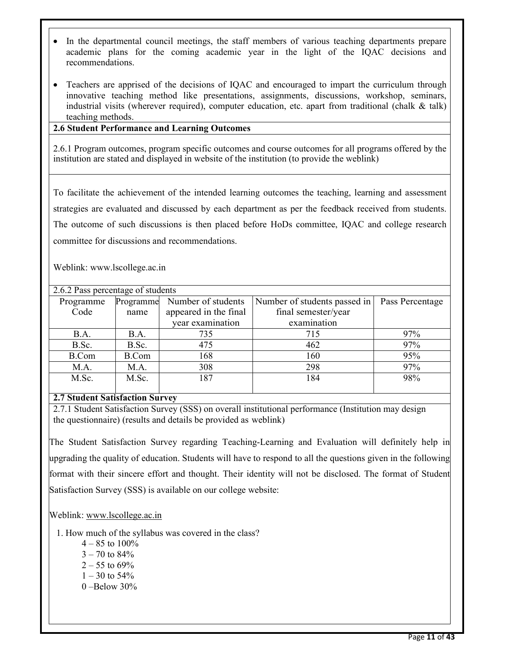- In the departmental council meetings, the staff members of various teaching departments prepare academic plans for the coming academic year in the light of the IQAC decisions and recommendations.
- Teachers are apprised of the decisions of IQAC and encouraged to impart the curriculum through innovative teaching method like presentations, assignments, discussions, workshop, seminars, industrial visits (wherever required), computer education, etc. apart from traditional (chalk  $\&$  talk) teaching methods.

#### **2.6 Student Performance and Learning Outcomes**

2.6.1 Program outcomes, program specific outcomes and course outcomes for all programs offered by the institution are stated and displayed in website of the institution (to provide the weblink)

To facilitate the achievement of the intended learning outcomes the teaching, learning and assessment strategies are evaluated and discussed by each department as per the feedback received from students. The outcome of such discussions is then placed before HoDs committee, IQAC and college research committee for discussions and recommendations.

Weblink: www.lscollege.ac.in

| 2.6.2 Pass percentage of students |              |                       |                              |                 |  |  |  |  |
|-----------------------------------|--------------|-----------------------|------------------------------|-----------------|--|--|--|--|
| Programme                         | Programme    | Number of students    | Number of students passed in | Pass Percentage |  |  |  |  |
| Code                              | name         | appeared in the final | final semester/year          |                 |  |  |  |  |
|                                   |              | vear examination      | examination                  |                 |  |  |  |  |
| B.A.                              | B.A.         | 735                   | 715                          | 97%             |  |  |  |  |
| B.Sc.                             | B.Sc.        | 475                   | 462                          | 97%             |  |  |  |  |
| B.Com                             | <b>B.Com</b> | 168                   | 160                          | 95%             |  |  |  |  |
| M.A.                              | M.A.         | 308                   | 298                          | 97%             |  |  |  |  |
| M.Sc.                             | M.Sc.        | 187                   | 184                          | 98%             |  |  |  |  |
|                                   |              |                       |                              |                 |  |  |  |  |

#### **2.7 Student Satisfaction Survey**

2.7.1 Student Satisfaction Survey (SSS) on overall institutional performance (Institution may design the questionnaire) (results and details be provided as weblink)

The Student Satisfaction Survey regarding Teaching-Learning and Evaluation will definitely help in upgrading the quality of education. Students will have to respond to all the questions given in the following format with their sincere effort and thought. Their identity will not be disclosed. The format of Student Satisfaction Survey (SSS) is available on our college website:

Weblink: www.lscollege.ac.in

- 1. How much of the syllabus was covered in the class?
	- $4 85$  to  $100\%$
	- $3 70$  to  $84\%$
	- $2 55$  to 69%
	- $1 30$  to 54%
	- $0 -$ Below 30%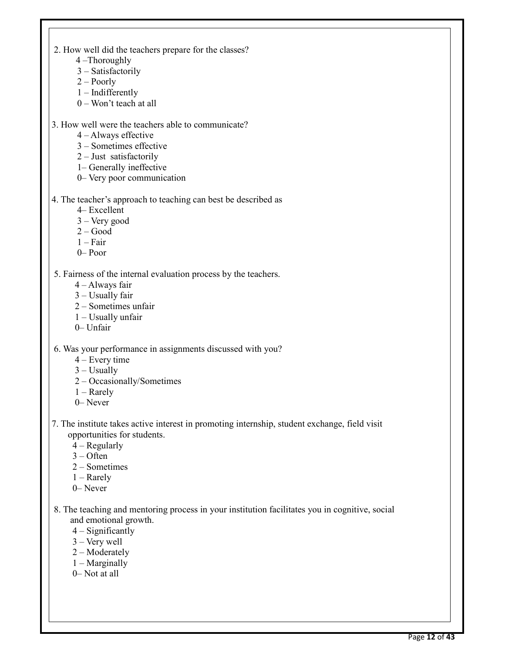- 2. How well did the teachers prepare for the classes?
	- 4 –Thoroughly
	- 3 Satisfactorily
	- 2 Poorly
	- 1 Indifferently
	- 0 Won't teach at all
- 3. How well were the teachers able to communicate?
	- 4 Always effective
	- 3 Sometimes effective
	- 2 Just satisfactorily
	- 1– Generally ineffective
	- 0– Very poor communication
- 4. The teacher's approach to teaching can best be described as
	- 4– Excellent
	- 3 Very good
	- $2 Good$
	- $1 Fair$
	- 0– Poor
- 5. Fairness of the internal evaluation process by the teachers.
	- 4 Always fair
	- 3 Usually fair
	- 2 Sometimes unfair
	- 1 Usually unfair
	- 0– Unfair
- 6. Was your performance in assignments discussed with you?
	- 4 Every time
	- $3 -$  Usually
	- 2 Occasionally/Sometimes
	- 1 Rarely
	- 0– Never
- 7. The institute takes active interest in promoting internship, student exchange, field visit opportunities for students.
	- $4 -$  Regularly
	- 3 Often
	- 2 Sometimes
	- 1 Rarely
	- 0– Never
- 8. The teaching and mentoring process in your institution facilitates you in cognitive, social and emotional growth.
	- 4 Significantly
	- 3 Very well
	- 2 Moderately
	- 1 Marginally
	- 0– Not at all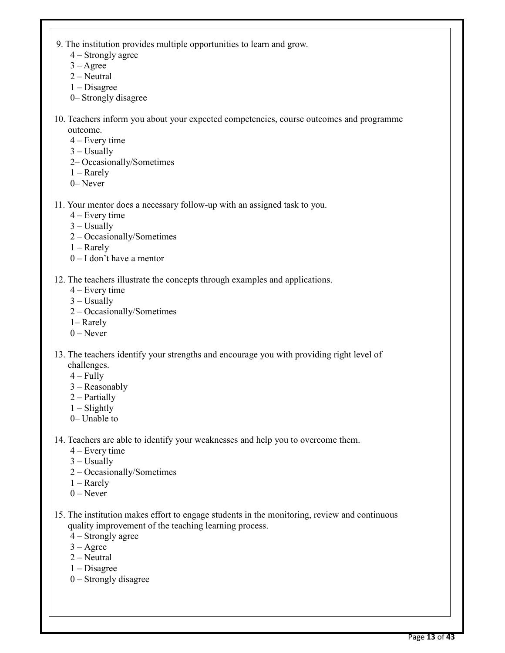- 9. The institution provides multiple opportunities to learn and grow.
	- 4 Strongly agree
	- $3 \text{Agree}$
	- 2 Neutral
	- 1 Disagree
	- 0– Strongly disagree
- 10. Teachers inform you about your expected competencies, course outcomes and programme outcome.
	- 4 Every time
	- 3 Usually
	- 2– Occasionally/Sometimes
	- 1 Rarely
	- 0– Never
- 11. Your mentor does a necessary follow-up with an assigned task to you.
	- 4 Every time
	- $3 -$ Usually
	- 2 Occasionally/Sometimes
	- 1 Rarely
	- 0 I don't have a mentor
- 12. The teachers illustrate the concepts through examples and applications.
	- 4 Every time
	- $3 -$ Usually
	- 2 Occasionally/Sometimes
	- 1– Rarely
	- $0$  Never
- 13. The teachers identify your strengths and encourage you with providing right level of challenges.
	- $4 Fully$
	- 3 Reasonably
	- 2 Partially
	- $1 -$ Slightly
	- 0– Unable to

14. Teachers are able to identify your weaknesses and help you to overcome them.

- 4 Every time
- 3 Usually
- 2 Occasionally/Sometimes
- 1 Rarely
- 0 Never
- 15. The institution makes effort to engage students in the monitoring, review and continuous quality improvement of the teaching learning process.
	- 4 Strongly agree
	- $3 \text{Agree}$
	- 2 Neutral
	- 1 Disagree
	- 0 Strongly disagree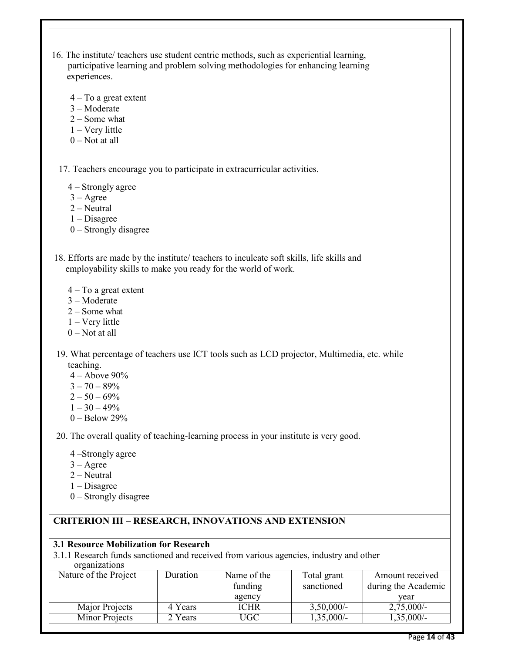| $4 - To a great extent$<br>$3 -$ Moderate<br>$2 - Some what$<br>$1 -$ Very little<br>$0$ – Not at all<br>17. Teachers encourage you to participate in extracurricular activities.<br>4 – Strongly agree<br>$3 - \text{Agree}$<br>$2 - Neutral$<br>$1 - Disagree$<br>$0$ – Strongly disagree<br>18. Efforts are made by the institute/ teachers to inculcate soft skills, life skills and<br>employability skills to make you ready for the world of work.<br>$4 - To a great extent$<br>$3 -$ Moderate<br>$2 - Some what$<br>$1 - V$ ery little<br>$0$ – Not at all<br>19. What percentage of teachers use ICT tools such as LCD projector, Multimedia, etc. while<br>teaching.<br>$4 -$ Above $90\%$<br>$3 - 70 - 89%$<br>$2 - 50 - 69%$<br>$1 - 30 - 49%$<br>$0 - Below 29%$<br>20. The overall quality of teaching-learning process in your institute is very good.<br>4 –Strongly agree<br>$3 - \text{Agree}$<br>$2 - Neutral$<br>$1 - Disagree$<br>$0 -$ Strongly disagree<br><b>CRITERION III - RESEARCH, INNOVATIONS AND EXTENSION</b><br><b>3.1 Resource Mobilization for Research</b><br>3.1.1 Research funds sanctioned and received from various agencies, industry and other<br>organizations<br>Nature of the Project<br>Duration<br>Name of the<br>Total grant<br>Amount received<br>funding<br>sanctioned<br>during the Academic | experiences. | participative learning and problem solving methodologies for enhancing learning |  |               |
|-------------------------------------------------------------------------------------------------------------------------------------------------------------------------------------------------------------------------------------------------------------------------------------------------------------------------------------------------------------------------------------------------------------------------------------------------------------------------------------------------------------------------------------------------------------------------------------------------------------------------------------------------------------------------------------------------------------------------------------------------------------------------------------------------------------------------------------------------------------------------------------------------------------------------------------------------------------------------------------------------------------------------------------------------------------------------------------------------------------------------------------------------------------------------------------------------------------------------------------------------------------------------------------------------------------------------------------------------|--------------|---------------------------------------------------------------------------------|--|---------------|
|                                                                                                                                                                                                                                                                                                                                                                                                                                                                                                                                                                                                                                                                                                                                                                                                                                                                                                                                                                                                                                                                                                                                                                                                                                                                                                                                                 |              |                                                                                 |  |               |
|                                                                                                                                                                                                                                                                                                                                                                                                                                                                                                                                                                                                                                                                                                                                                                                                                                                                                                                                                                                                                                                                                                                                                                                                                                                                                                                                                 |              |                                                                                 |  |               |
|                                                                                                                                                                                                                                                                                                                                                                                                                                                                                                                                                                                                                                                                                                                                                                                                                                                                                                                                                                                                                                                                                                                                                                                                                                                                                                                                                 |              |                                                                                 |  |               |
|                                                                                                                                                                                                                                                                                                                                                                                                                                                                                                                                                                                                                                                                                                                                                                                                                                                                                                                                                                                                                                                                                                                                                                                                                                                                                                                                                 |              |                                                                                 |  |               |
|                                                                                                                                                                                                                                                                                                                                                                                                                                                                                                                                                                                                                                                                                                                                                                                                                                                                                                                                                                                                                                                                                                                                                                                                                                                                                                                                                 |              |                                                                                 |  |               |
|                                                                                                                                                                                                                                                                                                                                                                                                                                                                                                                                                                                                                                                                                                                                                                                                                                                                                                                                                                                                                                                                                                                                                                                                                                                                                                                                                 |              |                                                                                 |  |               |
|                                                                                                                                                                                                                                                                                                                                                                                                                                                                                                                                                                                                                                                                                                                                                                                                                                                                                                                                                                                                                                                                                                                                                                                                                                                                                                                                                 |              |                                                                                 |  |               |
|                                                                                                                                                                                                                                                                                                                                                                                                                                                                                                                                                                                                                                                                                                                                                                                                                                                                                                                                                                                                                                                                                                                                                                                                                                                                                                                                                 |              |                                                                                 |  |               |
|                                                                                                                                                                                                                                                                                                                                                                                                                                                                                                                                                                                                                                                                                                                                                                                                                                                                                                                                                                                                                                                                                                                                                                                                                                                                                                                                                 |              |                                                                                 |  |               |
|                                                                                                                                                                                                                                                                                                                                                                                                                                                                                                                                                                                                                                                                                                                                                                                                                                                                                                                                                                                                                                                                                                                                                                                                                                                                                                                                                 |              |                                                                                 |  |               |
|                                                                                                                                                                                                                                                                                                                                                                                                                                                                                                                                                                                                                                                                                                                                                                                                                                                                                                                                                                                                                                                                                                                                                                                                                                                                                                                                                 |              |                                                                                 |  |               |
|                                                                                                                                                                                                                                                                                                                                                                                                                                                                                                                                                                                                                                                                                                                                                                                                                                                                                                                                                                                                                                                                                                                                                                                                                                                                                                                                                 |              |                                                                                 |  |               |
|                                                                                                                                                                                                                                                                                                                                                                                                                                                                                                                                                                                                                                                                                                                                                                                                                                                                                                                                                                                                                                                                                                                                                                                                                                                                                                                                                 |              |                                                                                 |  |               |
|                                                                                                                                                                                                                                                                                                                                                                                                                                                                                                                                                                                                                                                                                                                                                                                                                                                                                                                                                                                                                                                                                                                                                                                                                                                                                                                                                 |              |                                                                                 |  |               |
|                                                                                                                                                                                                                                                                                                                                                                                                                                                                                                                                                                                                                                                                                                                                                                                                                                                                                                                                                                                                                                                                                                                                                                                                                                                                                                                                                 |              |                                                                                 |  |               |
|                                                                                                                                                                                                                                                                                                                                                                                                                                                                                                                                                                                                                                                                                                                                                                                                                                                                                                                                                                                                                                                                                                                                                                                                                                                                                                                                                 |              |                                                                                 |  |               |
|                                                                                                                                                                                                                                                                                                                                                                                                                                                                                                                                                                                                                                                                                                                                                                                                                                                                                                                                                                                                                                                                                                                                                                                                                                                                                                                                                 |              |                                                                                 |  |               |
|                                                                                                                                                                                                                                                                                                                                                                                                                                                                                                                                                                                                                                                                                                                                                                                                                                                                                                                                                                                                                                                                                                                                                                                                                                                                                                                                                 |              |                                                                                 |  |               |
|                                                                                                                                                                                                                                                                                                                                                                                                                                                                                                                                                                                                                                                                                                                                                                                                                                                                                                                                                                                                                                                                                                                                                                                                                                                                                                                                                 |              |                                                                                 |  |               |
|                                                                                                                                                                                                                                                                                                                                                                                                                                                                                                                                                                                                                                                                                                                                                                                                                                                                                                                                                                                                                                                                                                                                                                                                                                                                                                                                                 |              |                                                                                 |  |               |
|                                                                                                                                                                                                                                                                                                                                                                                                                                                                                                                                                                                                                                                                                                                                                                                                                                                                                                                                                                                                                                                                                                                                                                                                                                                                                                                                                 |              |                                                                                 |  |               |
|                                                                                                                                                                                                                                                                                                                                                                                                                                                                                                                                                                                                                                                                                                                                                                                                                                                                                                                                                                                                                                                                                                                                                                                                                                                                                                                                                 |              |                                                                                 |  |               |
|                                                                                                                                                                                                                                                                                                                                                                                                                                                                                                                                                                                                                                                                                                                                                                                                                                                                                                                                                                                                                                                                                                                                                                                                                                                                                                                                                 |              |                                                                                 |  |               |
|                                                                                                                                                                                                                                                                                                                                                                                                                                                                                                                                                                                                                                                                                                                                                                                                                                                                                                                                                                                                                                                                                                                                                                                                                                                                                                                                                 |              |                                                                                 |  |               |
|                                                                                                                                                                                                                                                                                                                                                                                                                                                                                                                                                                                                                                                                                                                                                                                                                                                                                                                                                                                                                                                                                                                                                                                                                                                                                                                                                 |              |                                                                                 |  |               |
|                                                                                                                                                                                                                                                                                                                                                                                                                                                                                                                                                                                                                                                                                                                                                                                                                                                                                                                                                                                                                                                                                                                                                                                                                                                                                                                                                 |              |                                                                                 |  |               |
|                                                                                                                                                                                                                                                                                                                                                                                                                                                                                                                                                                                                                                                                                                                                                                                                                                                                                                                                                                                                                                                                                                                                                                                                                                                                                                                                                 |              |                                                                                 |  |               |
|                                                                                                                                                                                                                                                                                                                                                                                                                                                                                                                                                                                                                                                                                                                                                                                                                                                                                                                                                                                                                                                                                                                                                                                                                                                                                                                                                 |              |                                                                                 |  |               |
| agency<br>year                                                                                                                                                                                                                                                                                                                                                                                                                                                                                                                                                                                                                                                                                                                                                                                                                                                                                                                                                                                                                                                                                                                                                                                                                                                                                                                                  |              |                                                                                 |  |               |
| 4 Years<br><b>ICHR</b><br>$3,50,000/-$<br>Major Projects                                                                                                                                                                                                                                                                                                                                                                                                                                                                                                                                                                                                                                                                                                                                                                                                                                                                                                                                                                                                                                                                                                                                                                                                                                                                                        |              |                                                                                 |  | $2,75,000/-$  |
| <b>Minor Projects</b><br>2 Years<br><b>UGC</b><br>$1,35,000/-$                                                                                                                                                                                                                                                                                                                                                                                                                                                                                                                                                                                                                                                                                                                                                                                                                                                                                                                                                                                                                                                                                                                                                                                                                                                                                  |              |                                                                                 |  | 1,35,000/-    |
|                                                                                                                                                                                                                                                                                                                                                                                                                                                                                                                                                                                                                                                                                                                                                                                                                                                                                                                                                                                                                                                                                                                                                                                                                                                                                                                                                 |              |                                                                                 |  | Page 14 of 43 |

16. The institute/ teachers use student centric methods, such as experiential learning,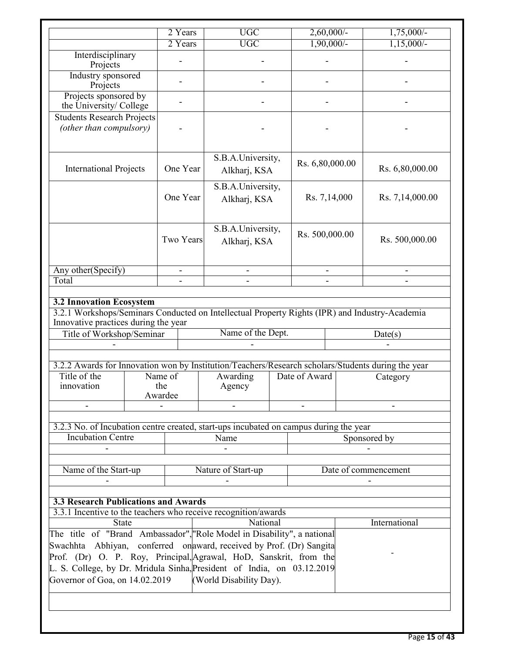|                                                                                                                                                                                                                                                                                                                | 2 Years                  | <b>UGC</b>                              |                 | $2,60,000/-$ | $1,75,000/-$        |
|----------------------------------------------------------------------------------------------------------------------------------------------------------------------------------------------------------------------------------------------------------------------------------------------------------------|--------------------------|-----------------------------------------|-----------------|--------------|---------------------|
|                                                                                                                                                                                                                                                                                                                | 2 Years                  | <b>UGC</b>                              |                 | $1,90,000/-$ | $1,15,000/-$        |
| Interdisciplinary<br>Projects                                                                                                                                                                                                                                                                                  |                          |                                         |                 |              |                     |
| Industry sponsored<br>Projects                                                                                                                                                                                                                                                                                 |                          |                                         |                 |              |                     |
| Projects sponsored by<br>the University/ College                                                                                                                                                                                                                                                               |                          |                                         |                 |              |                     |
| <b>Students Research Projects</b><br>(other than compulsory)                                                                                                                                                                                                                                                   |                          |                                         |                 |              |                     |
| <b>International Projects</b>                                                                                                                                                                                                                                                                                  | One Year                 | S.B.A.University,<br>Alkharj, KSA       | Rs. 6,80,000.00 |              | Rs. 6,80,000.00     |
|                                                                                                                                                                                                                                                                                                                | One Year                 | S.B.A.University,<br>Alkharj, KSA       |                 | Rs. 7,14,000 | Rs. 7,14,000.00     |
|                                                                                                                                                                                                                                                                                                                | Two Years                | S.B.A.University,<br>Alkharj, KSA       | Rs. 500,000.00  |              | Rs. 500,000.00      |
| Any other(Specify)                                                                                                                                                                                                                                                                                             | $\overline{\phantom{a}}$ | $\frac{1}{2}$                           | $\blacksquare$  |              | $\blacksquare$      |
| Total                                                                                                                                                                                                                                                                                                          |                          |                                         |                 |              |                     |
| Title of Workshop/Seminar<br>3.2.2 Awards for Innovation won by Institution/Teachers/Research scholars/Students during the year<br>Title of the<br>innovation                                                                                                                                                  | Name of<br>the           | Name of the Dept.<br>Awarding<br>Agency | Date of Award   |              | Date(s)<br>Category |
|                                                                                                                                                                                                                                                                                                                | Awardee                  |                                         |                 |              |                     |
| 3.2.3 No. of Incubation centre created, start-ups incubated on campus during the year<br><b>Incubation Centre</b>                                                                                                                                                                                              |                          | Name                                    |                 |              | Sponsored by        |
| Name of the Start-up<br>Nature of Start-up<br>Date of commencement                                                                                                                                                                                                                                             |                          |                                         |                 |              |                     |
| <b>3.3 Research Publications and Awards</b><br>3.3.1 Incentive to the teachers who receive recognition/awards                                                                                                                                                                                                  |                          |                                         |                 |              |                     |
| <b>State</b><br>The title of "Brand Ambassador", "Role Model in Disability", a national<br>Swachhta Abhiyan, conferred on award, received by Prof. (Dr) Sangita<br>Prof. (Dr) O. P. Roy, Principal, Agrawal, HoD, Sanskrit, from the<br>L. S. College, by Dr. Mridula Sinha, President of India, on 03.12.2019 |                          | National                                |                 |              | International       |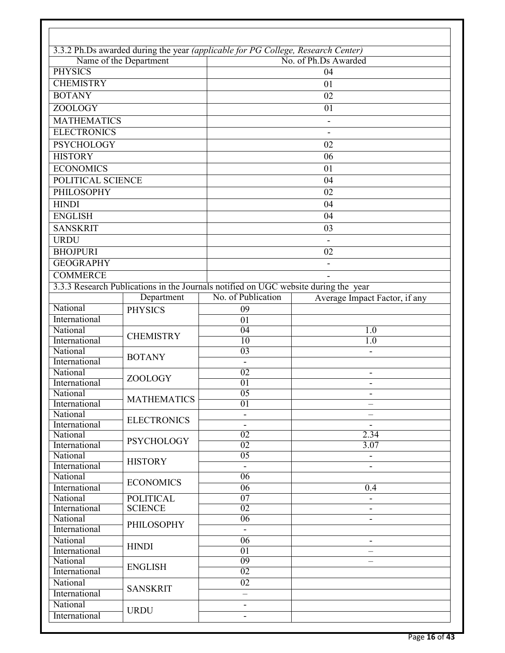|                           |                        | 3.3.2 Ph.Ds awarded during the year (applicable for PG College, Research Center)    |                               |  |  |  |  |
|---------------------------|------------------------|-------------------------------------------------------------------------------------|-------------------------------|--|--|--|--|
|                           | Name of the Department |                                                                                     | No. of Ph.Ds Awarded          |  |  |  |  |
| <b>PHYSICS</b>            |                        | 04                                                                                  |                               |  |  |  |  |
| <b>CHEMISTRY</b>          |                        |                                                                                     | 01                            |  |  |  |  |
| <b>BOTANY</b>             |                        |                                                                                     | 02                            |  |  |  |  |
| <b>ZOOLOGY</b>            |                        |                                                                                     | 01                            |  |  |  |  |
| <b>MATHEMATICS</b>        |                        |                                                                                     |                               |  |  |  |  |
| <b>ELECTRONICS</b>        |                        |                                                                                     |                               |  |  |  |  |
| <b>PSYCHOLOGY</b>         |                        |                                                                                     | 02                            |  |  |  |  |
| <b>HISTORY</b>            |                        |                                                                                     | 06                            |  |  |  |  |
| <b>ECONOMICS</b>          |                        |                                                                                     |                               |  |  |  |  |
|                           |                        |                                                                                     | 01                            |  |  |  |  |
| POLITICAL SCIENCE         |                        |                                                                                     | 04                            |  |  |  |  |
| PHILOSOPHY                |                        |                                                                                     | 02                            |  |  |  |  |
| <b>HINDI</b>              |                        |                                                                                     | 04                            |  |  |  |  |
| <b>ENGLISH</b>            |                        |                                                                                     | 04                            |  |  |  |  |
| <b>SANSKRIT</b>           |                        |                                                                                     | 03                            |  |  |  |  |
| <b>URDU</b>               |                        |                                                                                     |                               |  |  |  |  |
| <b>BHOJPURI</b>           |                        |                                                                                     | 02                            |  |  |  |  |
| <b>GEOGRAPHY</b>          |                        |                                                                                     |                               |  |  |  |  |
| <b>COMMERCE</b>           |                        |                                                                                     |                               |  |  |  |  |
|                           |                        | 3.3.3 Research Publications in the Journals notified on UGC website during the year |                               |  |  |  |  |
|                           | Department             | No. of Publication                                                                  | Average Impact Factor, if any |  |  |  |  |
| National                  | <b>PHYSICS</b>         | 09                                                                                  |                               |  |  |  |  |
| International             |                        | 01                                                                                  |                               |  |  |  |  |
| National                  |                        | 04                                                                                  | 1.0                           |  |  |  |  |
| International             | <b>CHEMISTRY</b>       | $\overline{10}$                                                                     | 1.0                           |  |  |  |  |
| National                  |                        | 03                                                                                  |                               |  |  |  |  |
| International             | <b>BOTANY</b>          | $\blacksquare$                                                                      |                               |  |  |  |  |
| National                  | <b>ZOOLOGY</b>         | 02                                                                                  |                               |  |  |  |  |
| International             |                        | 01                                                                                  | $\blacksquare$                |  |  |  |  |
| National                  | <b>MATHEMATICS</b>     | 0 <sub>5</sub>                                                                      |                               |  |  |  |  |
| International             |                        | 01                                                                                  | $\overline{\phantom{0}}$      |  |  |  |  |
| National                  | <b>ELECTRONICS</b>     |                                                                                     |                               |  |  |  |  |
| International             |                        | $\overline{\phantom{a}}$                                                            | $\qquad \qquad \blacksquare$  |  |  |  |  |
| National<br>International | <b>PSYCHOLOGY</b>      | 02<br>02                                                                            | 2.34<br>3.07                  |  |  |  |  |
| National                  |                        | $\overline{05}$                                                                     |                               |  |  |  |  |
| International             | <b>HISTORY</b>         | $\sim$                                                                              |                               |  |  |  |  |
| National                  |                        | 06                                                                                  |                               |  |  |  |  |
| International             | <b>ECONOMICS</b>       | $\overline{06}$                                                                     | 0.4                           |  |  |  |  |
| National                  | <b>POLITICAL</b>       | $\overline{07}$                                                                     | $\overline{\phantom{a}}$      |  |  |  |  |
| International             | <b>SCIENCE</b>         | $\overline{02}$                                                                     | $\qquad \qquad \blacksquare$  |  |  |  |  |
| National                  |                        | $\overline{06}$                                                                     | $\overline{\phantom{a}}$      |  |  |  |  |
| International             | <b>PHILOSOPHY</b>      | $\overline{\phantom{a}}$                                                            |                               |  |  |  |  |
| National                  |                        | 06                                                                                  | $\overline{\phantom{a}}$      |  |  |  |  |
| International             | <b>HINDI</b>           | $\overline{01}$                                                                     |                               |  |  |  |  |
| National                  |                        | 09                                                                                  |                               |  |  |  |  |
| International             | <b>ENGLISH</b>         | 02                                                                                  |                               |  |  |  |  |
| National                  | <b>SANSKRIT</b>        | 02                                                                                  |                               |  |  |  |  |
| International             |                        |                                                                                     |                               |  |  |  |  |
| National                  | <b>URDU</b>            | $\blacksquare$                                                                      |                               |  |  |  |  |
| International             |                        | $\overline{\phantom{a}}$                                                            |                               |  |  |  |  |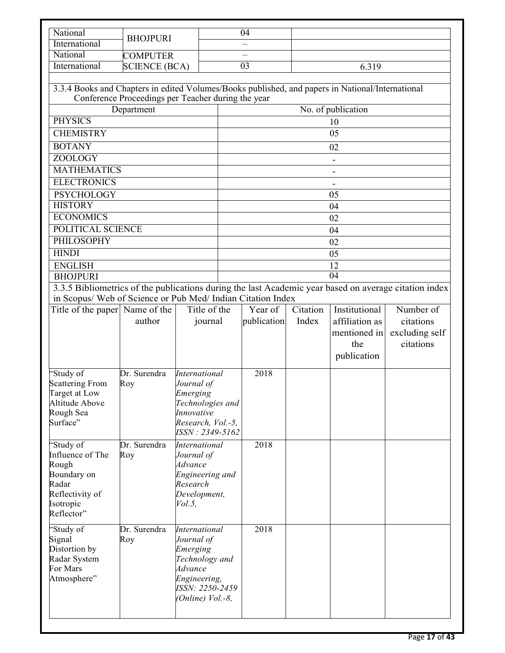| National                                                                                         |                                                    |                                     |                                                                                                             | 04                       |          |                          |                |  |
|--------------------------------------------------------------------------------------------------|----------------------------------------------------|-------------------------------------|-------------------------------------------------------------------------------------------------------------|--------------------------|----------|--------------------------|----------------|--|
| International                                                                                    | <b>BHOJPURI</b>                                    |                                     |                                                                                                             |                          |          |                          |                |  |
| National                                                                                         | <b>COMPUTER</b>                                    |                                     |                                                                                                             |                          |          |                          |                |  |
| International                                                                                    | <b>SCIENCE (BCA)</b>                               |                                     |                                                                                                             | $\overline{03}$<br>6.319 |          |                          |                |  |
| 3.3.4 Books and Chapters in edited Volumes/Books published, and papers in National/International | Conference Proceedings per Teacher during the year |                                     |                                                                                                             |                          |          |                          |                |  |
|                                                                                                  | Department                                         |                                     |                                                                                                             |                          |          | No. of publication       |                |  |
| <b>PHYSICS</b>                                                                                   |                                                    |                                     |                                                                                                             |                          |          | 10                       |                |  |
| <b>CHEMISTRY</b>                                                                                 |                                                    |                                     |                                                                                                             |                          |          | 05                       |                |  |
| <b>BOTANY</b>                                                                                    |                                                    |                                     |                                                                                                             |                          |          | 02                       |                |  |
| <b>ZOOLOGY</b>                                                                                   |                                                    |                                     |                                                                                                             |                          |          | $\overline{\phantom{a}}$ |                |  |
| <b>MATHEMATICS</b>                                                                               |                                                    |                                     |                                                                                                             |                          |          |                          |                |  |
| <b>ELECTRONICS</b>                                                                               |                                                    |                                     |                                                                                                             |                          |          |                          |                |  |
| <b>PSYCHOLOGY</b>                                                                                |                                                    |                                     |                                                                                                             |                          |          | 05                       |                |  |
| <b>HISTORY</b>                                                                                   |                                                    |                                     |                                                                                                             |                          |          | 04                       |                |  |
| <b>ECONOMICS</b>                                                                                 |                                                    |                                     |                                                                                                             |                          |          | 02                       |                |  |
| POLITICAL SCIENCE                                                                                |                                                    |                                     |                                                                                                             |                          |          | 04                       |                |  |
| <b>PHILOSOPHY</b>                                                                                |                                                    |                                     |                                                                                                             |                          |          | 02                       |                |  |
| <b>HINDI</b>                                                                                     |                                                    |                                     |                                                                                                             |                          |          | 05                       |                |  |
| <b>ENGLISH</b>                                                                                   |                                                    |                                     |                                                                                                             |                          |          | 12                       |                |  |
| <b>BHOJPURI</b>                                                                                  |                                                    |                                     | 04<br>3.3.5 Bibliometrics of the publications during the last Academic year based on average citation index |                          |          |                          |                |  |
| in Scopus/ Web of Science or Pub Med/ Indian Citation Index                                      |                                                    |                                     |                                                                                                             |                          |          |                          |                |  |
| Title of the paper Name of the                                                                   |                                                    | Title of the                        |                                                                                                             | Year of                  | Citation | Institutional            | Number of      |  |
|                                                                                                  | author                                             | journal                             |                                                                                                             | publication              | Index    | affiliation as           | citations      |  |
|                                                                                                  |                                                    |                                     |                                                                                                             |                          |          | mentioned in             | excluding self |  |
|                                                                                                  |                                                    |                                     |                                                                                                             |                          |          | the                      | citations      |  |
|                                                                                                  |                                                    |                                     |                                                                                                             |                          |          | publication              |                |  |
| 'Study of                                                                                        | Dr. Surendra                                       | <b>International</b>                |                                                                                                             | 2018                     |          |                          |                |  |
| <b>Scattering From</b>                                                                           | Roy                                                | Journal of                          |                                                                                                             |                          |          |                          |                |  |
| Target at Low<br><b>Altitude Above</b>                                                           |                                                    | Emerging                            |                                                                                                             |                          |          |                          |                |  |
| Rough Sea                                                                                        |                                                    | Technologies and<br>Innovative      |                                                                                                             |                          |          |                          |                |  |
| Surface"                                                                                         |                                                    | Research, Vol.-5,                   |                                                                                                             |                          |          |                          |                |  |
|                                                                                                  |                                                    | ISSN: 2349-5162                     |                                                                                                             |                          |          |                          |                |  |
| 'Study of                                                                                        | Dr. Surendra                                       | <b>International</b>                |                                                                                                             | 2018                     |          |                          |                |  |
| Influence of The                                                                                 | Roy                                                | Journal of                          |                                                                                                             |                          |          |                          |                |  |
| Rough<br>Boundary on                                                                             |                                                    | Advance<br>Engineering and          |                                                                                                             |                          |          |                          |                |  |
| Radar                                                                                            |                                                    | Research                            |                                                                                                             |                          |          |                          |                |  |
| Reflectivity of                                                                                  |                                                    | Development,                        |                                                                                                             |                          |          |                          |                |  |
| Isotropic                                                                                        |                                                    | $Vol. 5$ ,                          |                                                                                                             |                          |          |                          |                |  |
| Reflector"                                                                                       |                                                    |                                     |                                                                                                             |                          |          |                          |                |  |
| 'Study of                                                                                        | Dr. Surendra                                       | <b>International</b>                |                                                                                                             | 2018                     |          |                          |                |  |
| Signal<br>Distortion by                                                                          | Roy                                                | Journal of<br>Emerging              |                                                                                                             |                          |          |                          |                |  |
| Radar System                                                                                     |                                                    | Technology and                      |                                                                                                             |                          |          |                          |                |  |
| For Mars                                                                                         |                                                    | Advance                             |                                                                                                             |                          |          |                          |                |  |
| Atmosphere"                                                                                      |                                                    | Engineering,                        |                                                                                                             |                          |          |                          |                |  |
|                                                                                                  |                                                    | ISSN: 2250-2459<br>(Online) Vol.-8, |                                                                                                             |                          |          |                          |                |  |
|                                                                                                  |                                                    |                                     |                                                                                                             |                          |          |                          |                |  |
|                                                                                                  |                                                    |                                     |                                                                                                             |                          |          |                          |                |  |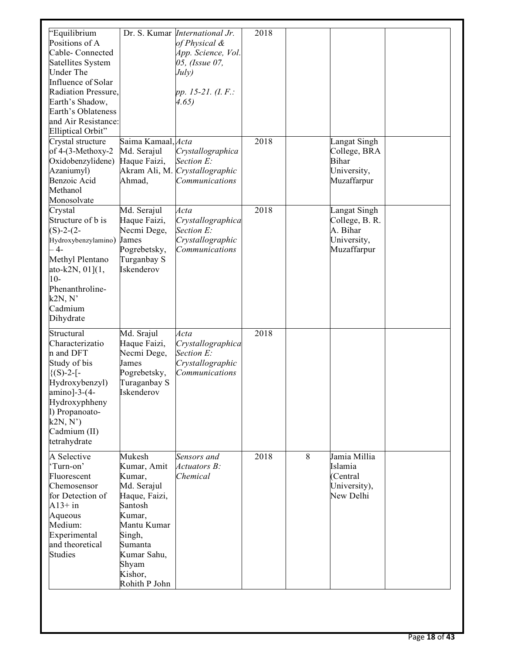| 'Equilibrium<br>Positions of A<br>Cable-Connected<br>Satellites System<br>Under The<br>Influence of Solar<br>Radiation Pressure,<br>Earth's Shadow,<br>Earth's Oblateness<br>and Air Resistance:<br>Elliptical Orbit"<br>Crystal structure<br>of 4-(3-Methoxy-2<br>Oxidobenzylidene)<br>Azaniumyl)<br>Benzoic Acid | Saima Kamaal, Acta<br>Md. Serajul<br>Haque Faizi,<br>Akram Ali, M.<br>Ahmad,                                                                                                 | Dr. S. Kumar <i>International Jr.</i><br>of Physical &<br>App. Science, Vol.<br>05, (Issue 07,<br>July)<br>pp. 15-21. (I.F.:<br>4.65)<br>Crystallographica<br>Section E:<br>Crystallographic<br>Communications | 2018<br>2018 |   | Langat Singh<br>College, BRA<br><b>Bihar</b><br>University,<br>Muzaffarpur |  |
|--------------------------------------------------------------------------------------------------------------------------------------------------------------------------------------------------------------------------------------------------------------------------------------------------------------------|------------------------------------------------------------------------------------------------------------------------------------------------------------------------------|----------------------------------------------------------------------------------------------------------------------------------------------------------------------------------------------------------------|--------------|---|----------------------------------------------------------------------------|--|
| Methanol<br>Monosolvate<br>Crystal<br>Structure of b is<br>$(S)-2-(2-$<br>Hydroxybenzylamino)<br>$-4-$<br>Methyl Plentano<br>ato-k2N, $01$ ] $(1,$<br>$10-$<br>Phenanthroline-<br>k2N, N'<br>Cadmium<br>Dihydrate                                                                                                  | Md. Serajul<br>Haque Faizi,<br>Necmi Dege,<br>James<br>Pogrebetsky,<br>Turganbay S<br>Iskenderov                                                                             | Acta<br>Crystallographica<br>Section E:<br>Crystallographic<br>Communications                                                                                                                                  | 2018         |   | Langat Singh<br>College, B. R.<br>A. Bihar<br>University,<br>Muzaffarpur   |  |
| Structural<br>Characterizatio<br>n and DFT<br>Study of bis<br>$\{(S)-2-[$ -<br>Hydroxybenzyl)<br>amino]-3-(4-<br>Hydroxyphheny<br>l) Propanoato-<br>k2N, N'<br>Cadmium (II)<br>tetrahydrate                                                                                                                        | Md. Srajul<br>Haque Faizi,<br>Necmi Dege,<br>James<br>Pogrebetsky,<br>Turaganbay S<br>Iskenderov                                                                             | Acta<br>Crystallographica<br>Section E:<br>Crystallographic<br>Communications                                                                                                                                  | 2018         |   |                                                                            |  |
| A Selective<br>Turn-on'<br>Fluorescent<br>Chemosensor<br>for Detection of<br>$A13+$ in<br>Aqueous<br>Medium:<br>Experimental<br>and theoretical<br><b>Studies</b>                                                                                                                                                  | Mukesh<br>Kumar, Amit<br>Kumar,<br>Md. Serajul<br>Haque, Faizi,<br>Santosh<br>Kumar,<br>Mantu Kumar<br>Singh,<br>Sumanta<br>Kumar Sahu,<br>Shyam<br>Kishor,<br>Rohith P John | Sensors and<br>Actuators B:<br>Chemical                                                                                                                                                                        | 2018         | 8 | Jamia Millia<br>Islamia<br>(Central<br>University),<br>New Delhi           |  |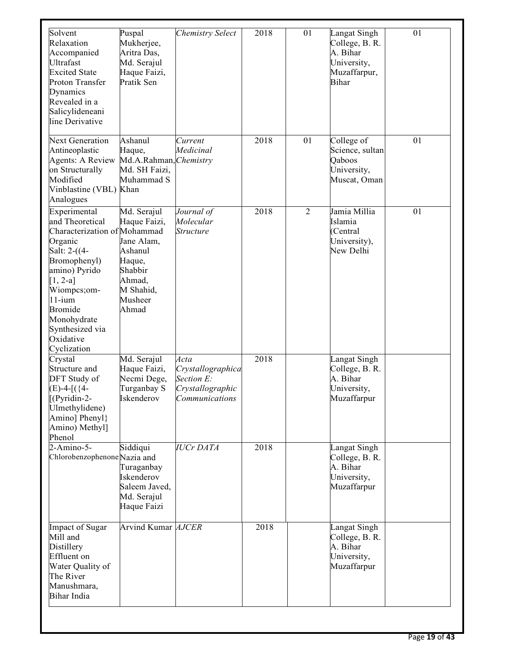| Solvent<br>Relaxation<br>Accompanied | Puspal<br>Mukherjee,<br>Aritra Das, | <b>Chemistry Select</b> | 2018             | 01             | Langat Singh<br>College, B. R.<br>A. Bihar | 01 |
|--------------------------------------|-------------------------------------|-------------------------|------------------|----------------|--------------------------------------------|----|
| Ultrafast                            | Md. Serajul                         |                         |                  |                | University,                                |    |
| <b>Excited State</b>                 | Haque Faizi,                        |                         |                  |                | Muzaffarpur,                               |    |
| Proton Transfer                      | Pratik Sen                          |                         |                  |                | <b>Bihar</b>                               |    |
| Dynamics                             |                                     |                         |                  |                |                                            |    |
| Revealed in a                        |                                     |                         |                  |                |                                            |    |
| Salicylideneani                      |                                     |                         |                  |                |                                            |    |
| line Derivative                      |                                     |                         |                  |                |                                            |    |
|                                      |                                     |                         |                  |                |                                            |    |
| <b>Next Generation</b>               | Ashanul                             | Current                 | 2018             | 01             | College of                                 | 01 |
| Antineoplastic                       | Haque,                              | Medicinal               |                  |                | Science, sultan                            |    |
| <b>Agents: A Review</b>              | Md.A.Rahman, Chemistry              |                         |                  |                | Qaboos                                     |    |
| on Structurally                      | Md. SH Faizi,                       |                         |                  |                | University,                                |    |
| Modified                             | Muhammad S                          |                         |                  |                | Muscat, Oman                               |    |
| Vinblastine (VBL) Khan               |                                     |                         |                  |                |                                            |    |
| Analogues                            |                                     |                         |                  |                |                                            |    |
| Experimental                         | Md. Serajul                         | Journal of              | $\frac{2018}{ }$ | $\overline{2}$ | Jamia Millia                               | 01 |
| and Theoretical                      | Haque Faizi,                        | Molecular               |                  |                | Islamia                                    |    |
| Characterization of Mohammad         |                                     | <i><b>Structure</b></i> |                  |                | (Central                                   |    |
| Organic                              | Jane Alam,                          |                         |                  |                | University),                               |    |
| Salt: 2-((4-                         | Ashanul                             |                         |                  |                | New Delhi                                  |    |
| Bromophenyl)                         | Haque,                              |                         |                  |                |                                            |    |
| amino) Pyrido                        | Shabbir                             |                         |                  |                |                                            |    |
| $[1, 2-a]$                           | Ahmad,                              |                         |                  |                |                                            |    |
| Wiompcs;om-                          | M Shahid,                           |                         |                  |                |                                            |    |
| $11$ -ium                            | Musheer                             |                         |                  |                |                                            |    |
| <b>Bromide</b>                       | Ahmad                               |                         |                  |                |                                            |    |
| Monohydrate                          |                                     |                         |                  |                |                                            |    |
| Synthesized via                      |                                     |                         |                  |                |                                            |    |
| Oxidative                            |                                     |                         |                  |                |                                            |    |
| Cyclization                          |                                     |                         |                  |                |                                            |    |
| Crystal                              | Md. Serajul                         | Acta                    | 2018             |                | Langat Singh                               |    |
| Structure and                        | Haque Faizi,                        | Crystallographica       |                  |                | College, B. R.                             |    |
| DFT Study of                         | Necmi Dege,                         | Section E:              |                  |                | A. Bihar                                   |    |
| $(E)$ -4- $($ {4-                    | Turganbay S                         | Crystallographic        |                  |                | University,                                |    |
| $[$ (Pyridin-2-                      | Iskenderov                          | Communications          |                  |                | Muzaffarpur                                |    |
| Ulmethylidene)                       |                                     |                         |                  |                |                                            |    |
| Amino] Phenyl}                       |                                     |                         |                  |                |                                            |    |
| Amino) Methyl]                       |                                     |                         |                  |                |                                            |    |
| Phenol                               |                                     |                         |                  |                |                                            |    |
| $2-Amino-5-$                         | Siddiqui                            | <b>IUCr DATA</b>        | 2018             |                | Langat Singh                               |    |
| Chlorobenzophenone Nazia and         |                                     |                         |                  |                | College, B. R.                             |    |
|                                      | Turaganbay                          |                         |                  |                | A. Bihar                                   |    |
|                                      | Iskenderov                          |                         |                  |                | University,                                |    |
|                                      | Saleem Javed,                       |                         |                  |                | Muzaffarpur                                |    |
|                                      | Md. Serajul                         |                         |                  |                |                                            |    |
|                                      | Haque Faizi                         |                         |                  |                |                                            |    |
|                                      |                                     |                         |                  |                |                                            |    |
| Impact of Sugar                      | Arvind Kumar AJCER                  |                         | 2018             |                | Langat Singh                               |    |
| Mill and                             |                                     |                         |                  |                | College, B. R.                             |    |
| Distillery                           |                                     |                         |                  |                | A. Bihar                                   |    |
| Effluent on                          |                                     |                         |                  |                | University,                                |    |
| Water Quality of                     |                                     |                         |                  |                | Muzaffarpur                                |    |
| The River                            |                                     |                         |                  |                |                                            |    |
| Manushmara,                          |                                     |                         |                  |                |                                            |    |
| Bihar India                          |                                     |                         |                  |                |                                            |    |
|                                      |                                     |                         |                  |                |                                            |    |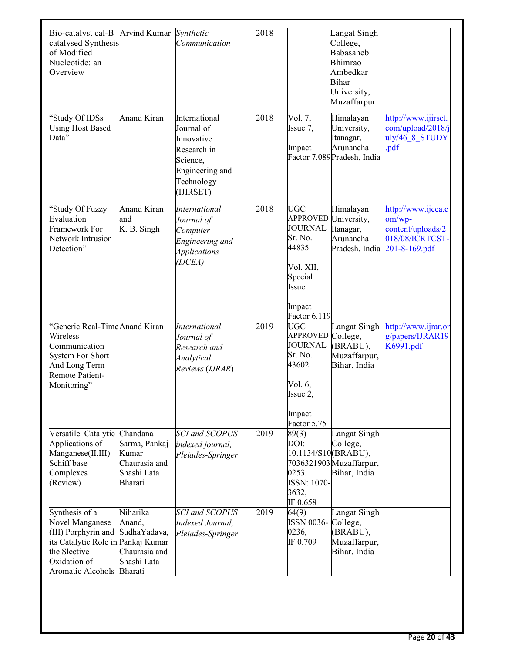| Bio-catalyst cal-B<br>catalysed Synthesis<br>of Modified<br>Nucleotide: an<br>Overview                                                              | <b>Arvind Kumar</b>                                                            | Synthetic<br>Communication                                                                                         | 2018 |                                                                                                                                | Langat Singh<br>College,<br>Babasaheb<br>Bhimrao<br>Ambedkar<br><b>Bihar</b><br>University,<br>Muzaffarpur |                                                                                       |
|-----------------------------------------------------------------------------------------------------------------------------------------------------|--------------------------------------------------------------------------------|--------------------------------------------------------------------------------------------------------------------|------|--------------------------------------------------------------------------------------------------------------------------------|------------------------------------------------------------------------------------------------------------|---------------------------------------------------------------------------------------|
| 'Study Of IDSs<br><b>Using Host Based</b><br>Data"                                                                                                  | <b>Anand Kiran</b>                                                             | International<br>Journal of<br>Innovative<br>Research in<br>Science,<br>Engineering and<br>Technology<br>(IJIRSET) | 2018 | $\overline{Vol. 7}$ ,<br>Issue 7,<br>Impact                                                                                    | Himalayan<br>University,<br>Itanagar,<br>Arunanchal<br>Factor 7.089 Pradesh, India                         | http://www.ijirset.<br>com/upload/2018/j<br>uly/46 8 STUDY<br>.pdf                    |
| 'Study Of Fuzzy<br>Evaluation<br>Framework For<br>Network Intrusion<br>Detection"                                                                   | <b>Anand Kiran</b><br>and<br>K. B. Singh                                       | <b>International</b><br>Journal of<br>Computer<br>Engineering and<br><i>Applications</i><br>(IJCEA)                | 2018 | <b>UGC</b><br><b>APPROVED</b><br><b>JOURNAL</b><br>Sr. No.<br>44835<br>Vol. XII,<br>Special<br>Issue<br>Impact<br>Factor 6.119 | Himalayan<br>University,<br>Itanagar,<br>Arunanchal<br>Pradesh, India                                      | http://www.ijcea.c<br>om/wp-<br>content/uploads/2<br>018/08/ICRTCST-<br>201-8-169.pdf |
| 'Generic Real-Time Anand Kiran<br>Wireless<br>Communication<br><b>System For Short</b><br>And Long Term<br>Remote Patient-<br>Monitoring"           |                                                                                | <b>International</b><br>Journal of<br>Research and<br>Analytical<br>Reviews (IJRAR)                                | 2019 | <b>UGC</b><br>APPROVED College,<br><b>JOURNAL</b><br>Sr. No.<br>43602<br>Vol. 6,<br>Issue 2,<br>Impact<br>Factor 5.75          | Langat Singh<br>(BRABU),<br>Muzaffarpur,<br>Bihar, India                                                   | http://www.ijrar.or<br>g/papers/IJRAR19<br>K6991.pdf                                  |
| Versatile Catalytic<br>Applications of<br>Manganese(II,III)<br>Schiff base<br>Complexes<br>(Review)                                                 | Chandana<br>Sarma, Pankaj<br>Kumar<br>Chaurasia and<br>Shashi Lata<br>Bharati. | <b>SCI</b> and <b>SCOPUS</b><br>indexed journal,<br>Pleiades-Springer                                              | 2019 | 89(3)<br>DOI:<br>10.1134/S10(BRABU),<br>0253.<br><b>ISSN: 1070-</b><br>3632,<br>IF 0.658                                       | Langat Singh<br>College,<br>7036321903 Muzaffarpur,<br>Bihar, India                                        |                                                                                       |
| Synthesis of a<br>Novel Manganese<br>(III) Porphyrin and<br>its Catalytic Role in Pankaj Kumar<br>the Slective<br>Oxidation of<br>Aromatic Alcohols | Niharika<br>Anand,<br>SudhaYadava,<br>Chaurasia and<br>Shashi Lata<br>Bharati  | <b>SCI</b> and <b>SCOPUS</b><br>Indexed Journal,<br>Pleiades-Springer                                              | 2019 | 64(9)<br>ISSN 0036- College,<br>0236,<br>IF 0.709                                                                              | Langat Singh<br>(BRABU),<br>Muzaffarpur,<br>Bihar, India                                                   |                                                                                       |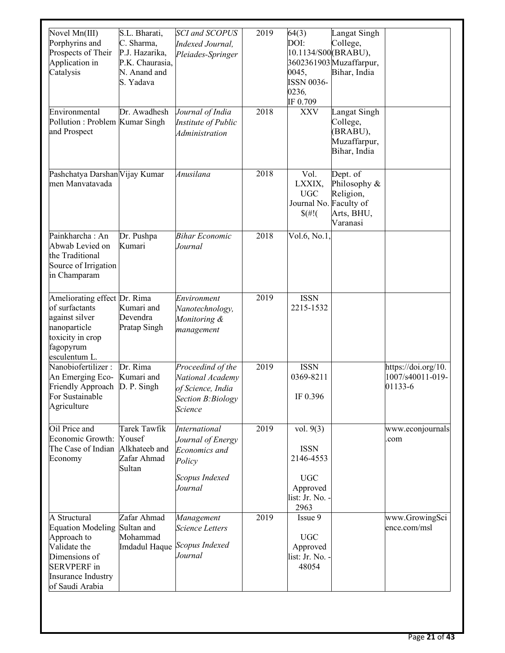| Novel Mn(III)<br>Porphyrins and<br>Prospects of Their<br>Application in<br>Catalysis<br>Environmental                                                   | S.L. Bharati,<br>C. Sharma,<br>P.J. Hazarika,<br>P.K. Chaurasia,<br>N. Anand and<br>S. Yadava<br>Dr. Awadhesh | <b>SCI</b> and <b>SCOPUS</b><br>Indexed Journal,<br>Pleiades-Springer<br>Journal of India   | 2019<br>2018 | 64(3)<br>DOI:<br>10.1134/S00(BRABU),<br>0045,<br><b>ISSN 0036-</b><br>0236,<br>IF 0.709<br><b>XXV</b> | Langat Singh<br>College,<br>3602361903Muzaffarpur,<br>Bihar, India<br>Langat Singh |                                                    |
|---------------------------------------------------------------------------------------------------------------------------------------------------------|---------------------------------------------------------------------------------------------------------------|---------------------------------------------------------------------------------------------|--------------|-------------------------------------------------------------------------------------------------------|------------------------------------------------------------------------------------|----------------------------------------------------|
| Pollution: Problem Kumar Singh<br>and Prospect                                                                                                          |                                                                                                               | Institute of Public<br><i>Administration</i>                                                |              |                                                                                                       | College,<br>(BRABU),<br>Muzaffarpur,<br>Bihar, India                               |                                                    |
| Pashchatya Darshan Vijay Kumar<br>men Manvatavada                                                                                                       |                                                                                                               | Anusilana                                                                                   | 2018         | Vol.<br>LXXIX,<br><b>UGC</b><br>Journal No. Faculty of<br>$\frac{f}{f}$ (#!)                          | Dept. of<br>Philosophy &<br>Religion,<br>Arts, BHU,<br>Varanasi                    |                                                    |
| Painkharcha: An<br>Abwab Levied on<br>the Traditional<br>Source of Irrigation<br>in Champaram                                                           | Dr. Pushpa<br>Kumari                                                                                          | <b>Bihar Economic</b><br>Journal                                                            | 2018         | Vol.6, No.1,                                                                                          |                                                                                    |                                                    |
| Ameliorating effect Dr. Rima<br>of surfactants<br>against silver<br>nanoparticle<br>toxicity in crop<br>fagopyrum<br>esculentum L.                      | Kumari and<br>Devendra<br>Pratap Singh                                                                        | Environment<br>Nanotechnology,<br>Monitoring &<br>management                                | 2019         | <b>ISSN</b><br>2215-1532                                                                              |                                                                                    |                                                    |
| Nanobiofertilizer:<br>An Emerging Eco-<br>Friendly Approach<br>For Sustainable<br>Agriculture                                                           | Dr. Rima<br>Kumari and<br>D. P. Singh                                                                         | Proceedind of the<br>National Academy<br>of Science, India<br>Section B: Biology<br>Science | 2019         | <b>ISSN</b><br>0369-8211<br>IF 0.396                                                                  |                                                                                    | https://doi.org/10.<br>1007/s40011-019-<br>01133-6 |
| Oil Price and<br>Economic Growth:<br>The Case of Indian<br>Economy                                                                                      | Tarek Tawfik<br>Yousef<br>Alkhateeb and<br>Zafar Ahmad<br>Sultan                                              | International<br>Journal of Energy<br>Economics and<br>Policy<br>Scopus Indexed<br>Journal  | 2019         | vol. $9(3)$<br><b>ISSN</b><br>2146-4553<br><b>UGC</b><br>Approved<br>list: Jr. No. -<br>2963          |                                                                                    | www.econjournals<br>.com                           |
| A Structural<br><b>Equation Modeling</b><br>Approach to<br>Validate the<br>Dimensions of<br><b>SERVPERF</b> in<br>Insurance Industry<br>of Saudi Arabia | Zafar Ahmad<br>Sultan and<br>Mohammad<br>Imdadul Haque                                                        | Management<br><b>Science Letters</b><br>Scopus Indexed<br>Journal                           | 2019         | Issue 9<br><b>UGC</b><br>Approved<br>list: Jr. No. -<br>48054                                         |                                                                                    | www.GrowingSci<br>ence.com/msl                     |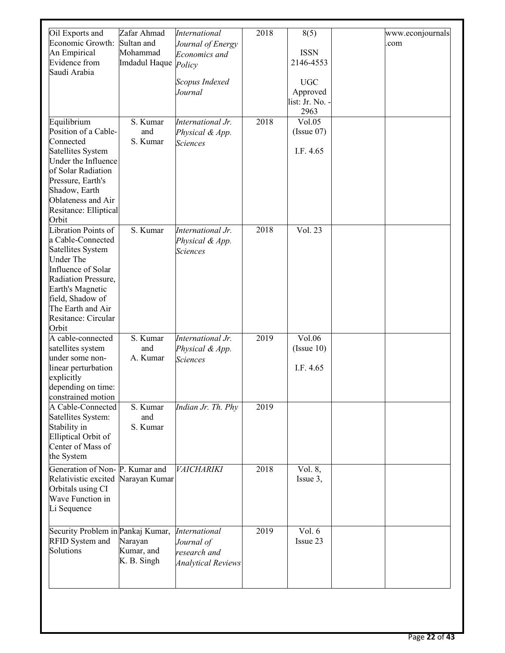| Oil Exports and<br>Economic Growth:<br>An Empirical<br>Evidence from<br>Saudi Arabia                                                                                                                                        | Zafar Ahmad<br>Sultan and<br>Mohammad<br>Imdadul Haque | <b>International</b><br>Journal of Energy<br>Economics and<br>Policy<br>Scopus Indexed<br>Journal | 2018 | 8(5)<br><b>ISSN</b><br>2146-4553<br><b>UGC</b><br>Approved<br>list: Jr. No. -<br>2963 | www.econjournals<br>.com |
|-----------------------------------------------------------------------------------------------------------------------------------------------------------------------------------------------------------------------------|--------------------------------------------------------|---------------------------------------------------------------------------------------------------|------|---------------------------------------------------------------------------------------|--------------------------|
| Equilibrium<br>Position of a Cable-<br>Connected<br>Satellites System<br>Under the Influence<br>of Solar Radiation<br>Pressure, Earth's<br>Shadow, Earth<br>Oblateness and Air<br>Resitance: Elliptical<br>Orbit            | S. Kumar<br>and<br>S. Kumar                            | International $\overline{Jr}$ .<br>Physical & App.<br><b>Sciences</b>                             | 2018 | Vol.05<br>(Is sue 07)<br>I.F. 4.65                                                    |                          |
| Libration Points of<br>a Cable-Connected<br>Satellites System<br><b>Under The</b><br>Influence of Solar<br>Radiation Pressure,<br>Earth's Magnetic<br>field, Shadow of<br>The Earth and Air<br>Resitance: Circular<br>Orbit | S. Kumar                                               | International Jr.<br>Physical & App.<br><b>Sciences</b>                                           | 2018 | Vol. 23                                                                               |                          |
| A cable-connected<br>satellites system<br>under some non-<br>linear perturbation<br>explicitly<br>depending on time:<br>constrained motion                                                                                  | S. Kumar<br>and<br>A. Kumar                            | International Jr.<br>Physical & App.<br><b>Sciences</b>                                           | 2019 | Vol.06<br>(Is sue 10)<br>I.F. 4.65                                                    |                          |
| A Cable-Connected<br>Satellites System:<br>Stability in<br><b>Elliptical Orbit of</b><br>Center of Mass of<br>the System                                                                                                    | S. Kumar<br>and<br>S. Kumar                            | Indian Jr. Th. Phy                                                                                | 2019 |                                                                                       |                          |
| Generation of Non- P. Kumar and<br>Relativistic excited Narayan Kumar<br>Orbitals using CI<br>Wave Function in<br>Li Sequence                                                                                               |                                                        | VAICHARIKI                                                                                        | 2018 | Vol. 8,<br>Issue 3,                                                                   |                          |
| Security Problem in Pankaj Kumar,<br><b>RFID</b> System and<br>Solutions                                                                                                                                                    | Narayan<br>Kumar, and<br>K. B. Singh                   | <b>International</b><br>Journal of<br>research and<br><b>Analytical Reviews</b>                   | 2019 | Vol. 6<br>Issue 23                                                                    |                          |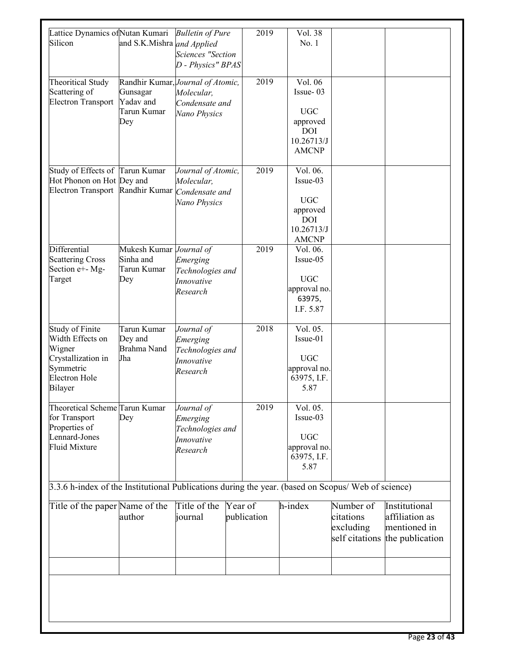| Lattice Dynamics ofNutan Kumari<br>Silicon                                                                                 | and S.K.Mishra and Applied                                                       | <b>Bulletin of Pure</b><br><b>Sciences "Section</b><br>D - Physics" BPAS    |         | 2019        | Vol. 38<br>No.1                                                                            |                                                       |                                                                    |
|----------------------------------------------------------------------------------------------------------------------------|----------------------------------------------------------------------------------|-----------------------------------------------------------------------------|---------|-------------|--------------------------------------------------------------------------------------------|-------------------------------------------------------|--------------------------------------------------------------------|
| <b>Theoritical Study</b><br>Scattering of<br><b>Electron Transport</b>                                                     | Randhir Kumar, Journal of Atomic,<br>Gunsagar<br>Yadav and<br>Tarun Kumar<br>Dey | Molecular,<br>Condensate and<br>Nano Physics                                |         | 2019        | Vol. 06<br>Issue-03<br><b>UGC</b><br>approved<br><b>DOI</b><br>10.26713/J<br><b>AMCNP</b>  |                                                       |                                                                    |
| Study of Effects of Tarun Kumar<br>Hot Phonon on Hot Dey and<br>Electron Transport Randhir Kumar Condensate and            |                                                                                  | Journal of Atomic,<br>Molecular,<br>Nano Physics                            |         | 2019        | Vol. 06.<br>Issue-03<br><b>UGC</b><br>approved<br><b>DOI</b><br>10.26713/J<br><b>AMCNP</b> |                                                       |                                                                    |
| Differential<br><b>Scattering Cross</b><br>Section e+- Mg-<br>Target                                                       | Mukesh Kumar Journal of<br>Sinha and<br>Tarun Kumar<br>Dey                       | Emerging<br>Technologies and<br>Innovative<br>Research                      |         | 2019        | Vol. 06.<br>Issue-05<br><b>UGC</b><br>approval no.<br>63975,<br>I.F. 5.87                  |                                                       |                                                                    |
| <b>Study of Finite</b><br>Width Effects on<br>Wigner<br>Crystallization in<br>Symmetric<br><b>Electron Hole</b><br>Bilayer | Tarun Kumar<br>Dey and<br>Brahma Nand<br>Jha                                     | Journal of<br>Emerging<br>Technologies and<br><b>Innovative</b><br>Research |         | 2018        | Vol. 05.<br>Issue-01<br><b>UGC</b><br>approval no.<br>63975, I.F.<br>5.87                  |                                                       |                                                                    |
| Theoretical Scheme Tarun Kumar<br>for Transport<br>Properties of<br>Lennard-Jones<br><b>Fluid Mixture</b>                  | Dey                                                                              | Journal of<br>Emerging<br>Technologies and<br>Innovative<br>Research        |         | 2019        | Vol. 05.<br>Issue-03<br><b>UGC</b><br>approval no.<br>63975, I.F.<br>5.87                  |                                                       |                                                                    |
| 3.3.6 h-index of the Institutional Publications during the year. (based on Scopus/ Web of science)                         |                                                                                  |                                                                             |         |             |                                                                                            |                                                       |                                                                    |
| Title of the paper Name of the                                                                                             | author                                                                           | Title of the<br>journal                                                     | Year of | publication | h-index                                                                                    | Number of<br>citations<br>excluding<br>self citations | Institutional<br>affiliation as<br>mentioned in<br>the publication |
|                                                                                                                            |                                                                                  |                                                                             |         |             |                                                                                            |                                                       |                                                                    |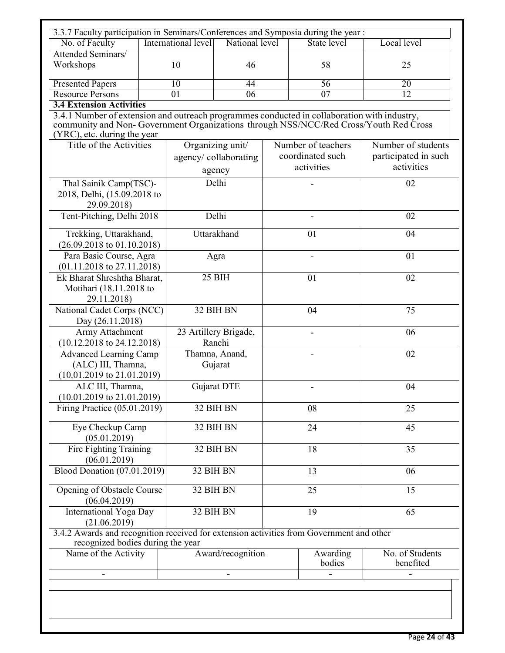| 3.3.7 Faculty participation in Seminars/Conferences and Symposia during the year:                                                                                                                                  |                                                        |                                    |                                 |          |                    |                              |  |
|--------------------------------------------------------------------------------------------------------------------------------------------------------------------------------------------------------------------|--------------------------------------------------------|------------------------------------|---------------------------------|----------|--------------------|------------------------------|--|
| No. of Faculty                                                                                                                                                                                                     |                                                        | International level                | National level                  |          | <b>State level</b> | Local level                  |  |
| Attended Seminars/<br>Workshops                                                                                                                                                                                    |                                                        | 10<br>46                           |                                 |          | 58                 | 25                           |  |
| <b>Presented Papers</b>                                                                                                                                                                                            |                                                        | $\overline{10}$                    | 44                              |          | 56                 | 20                           |  |
| <b>Resource Persons</b>                                                                                                                                                                                            |                                                        | $\overline{01}$<br>$\overline{06}$ |                                 |          | $\overline{07}$    | $\overline{12}$              |  |
| <b>3.4 Extension Activities</b>                                                                                                                                                                                    |                                                        |                                    |                                 |          |                    |                              |  |
| 3.4.1 Number of extension and outreach programmes conducted in collaboration with industry,<br>community and Non-Government Organizations through NSS/NCC/Red Cross/Youth Red Cross<br>(YRC), etc. during the year |                                                        |                                    |                                 |          |                    |                              |  |
| Title of the Activities                                                                                                                                                                                            |                                                        |                                    | Organizing unit/                |          | Number of teachers | Number of students           |  |
|                                                                                                                                                                                                                    |                                                        |                                    | agency/collaborating            |          | coordinated such   | participated in such         |  |
|                                                                                                                                                                                                                    |                                                        |                                    | agency                          |          | activities         | activities                   |  |
| Thal Sainik Camp(TSC)-<br>2018, Delhi, (15.09.2018 to<br>29.09.2018)                                                                                                                                               |                                                        |                                    | Delhi                           |          |                    | 02                           |  |
| Tent-Pitching, Delhi 2018                                                                                                                                                                                          |                                                        |                                    | Delhi                           |          |                    | 02                           |  |
| Trekking, Uttarakhand,<br>$(26.09.2018 \text{ to } 01.10.2018)$                                                                                                                                                    |                                                        |                                    | Uttarakhand                     |          | 01                 | 04                           |  |
| Para Basic Course, Agra<br>$(01.11.2018 \text{ to } 27.11.2018)$                                                                                                                                                   |                                                        |                                    | Agra                            |          |                    | 01                           |  |
| 29.11.2018)                                                                                                                                                                                                        | Ek Bharat Shreshtha Bharat,<br>Motihari (18.11.2018 to |                                    | 25 BIH                          |          | 01                 | 02                           |  |
| National Cadet Corps (NCC)<br>Day (26.11.2018)                                                                                                                                                                     |                                                        |                                    | 32 BIH BN                       |          | 04                 | 75                           |  |
| Army Attachment<br>$(10.12.2018 \text{ to } 24.12.2018)$                                                                                                                                                           |                                                        |                                    | 23 Artillery Brigade,<br>Ranchi |          |                    | 06                           |  |
| <b>Advanced Learning Camp</b><br>(ALC) III, Thamna,<br>$(10.01.2019 \text{ to } 21.01.2019)$                                                                                                                       |                                                        | Thamna, Anand,<br>Gujarat          |                                 |          |                    | 02                           |  |
| ALC III, Thamna,<br>$(10.01.2019 \text{ to } 21.01.2019)$                                                                                                                                                          |                                                        | Gujarat DTE                        |                                 |          |                    | 04                           |  |
| Firing Practice (05.01.2019)                                                                                                                                                                                       |                                                        | 32 BIH BN                          |                                 | 08       |                    | 25                           |  |
| Eye Checkup Camp<br>(05.01.2019)                                                                                                                                                                                   |                                                        |                                    | 32 BIH BN                       |          | 24                 | 45                           |  |
| Fire Fighting Training<br>(06.01.2019)                                                                                                                                                                             |                                                        |                                    | 32 BIH BN                       |          | 18                 | 35                           |  |
| <b>Blood Donation (07.01.2019)</b>                                                                                                                                                                                 |                                                        |                                    | 32 BIH BN                       |          | 13                 | 06                           |  |
| Opening of Obstacle Course<br>(06.04.2019)                                                                                                                                                                         |                                                        |                                    | 32 BIH BN                       |          | 25                 | 15                           |  |
| International Yoga Day<br>(21.06.2019)                                                                                                                                                                             | 32 BIH BN                                              |                                    |                                 |          | 19                 | 65                           |  |
| 3.4.2 Awards and recognition received for extension activities from Government and other<br>recognized bodies during the year                                                                                      |                                                        |                                    |                                 |          |                    |                              |  |
| Name of the Activity                                                                                                                                                                                               |                                                        |                                    | Award/recognition               | Awarding |                    | No. of Students<br>benefited |  |
| $\overline{\phantom{a}}$                                                                                                                                                                                           |                                                        |                                    |                                 |          |                    |                              |  |
|                                                                                                                                                                                                                    |                                                        |                                    |                                 |          |                    |                              |  |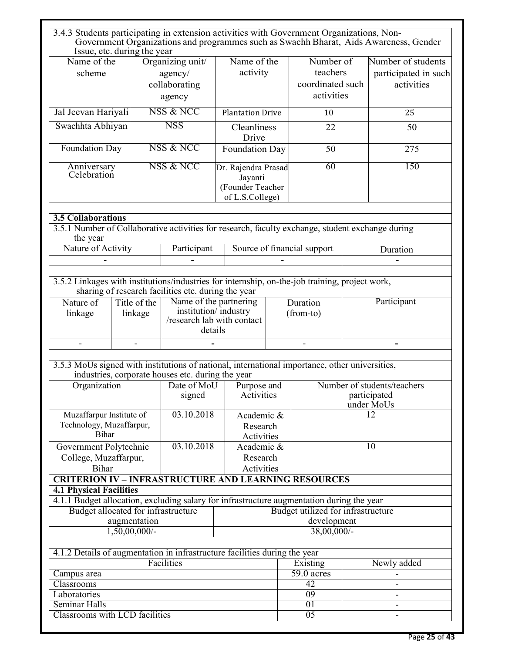| 3.4.3 Students participating in extension activities with Government Organizations, Non-                                                  | Issue, etc. during the year |                                                        |                                                                                         |  |                                                           |  | Government Organizations and programmes such as Swachh Bharat, Aids Awareness, Gender |
|-------------------------------------------------------------------------------------------------------------------------------------------|-----------------------------|--------------------------------------------------------|-----------------------------------------------------------------------------------------|--|-----------------------------------------------------------|--|---------------------------------------------------------------------------------------|
| Name of the<br>scheme                                                                                                                     |                             | Organizing unit/<br>agency/<br>collaborating<br>agency | Name of the<br>activity                                                                 |  | Number of<br>teachers<br>coordinated such<br>activities   |  | Number of students<br>participated in such<br>activities                              |
| Jal Jeevan Hariyali                                                                                                                       |                             | NSS & NCC                                              | <b>Plantation Drive</b>                                                                 |  | 10                                                        |  | 25                                                                                    |
| Swachhta Abhiyan                                                                                                                          |                             | <b>NSS</b>                                             | Cleanliness<br>Drive                                                                    |  | 22                                                        |  | 50                                                                                    |
| Foundation Day                                                                                                                            |                             | NSS & NCC                                              | Foundation Day                                                                          |  | 50                                                        |  | 275                                                                                   |
| Anniversary<br>Celebration                                                                                                                |                             | NSS & NCC                                              | Dr. Rajendra Prasad<br>Jayanti<br>(Founder Teacher<br>of L.S.College)                   |  | 60                                                        |  | 150                                                                                   |
| <b>3.5 Collaborations</b><br>3.5.1 Number of Collaborative activities for research, faculty exchange, student exchange during<br>the year |                             |                                                        |                                                                                         |  |                                                           |  |                                                                                       |
| Nature of Activity                                                                                                                        |                             | Participant                                            |                                                                                         |  | Source of financial support                               |  | Duration                                                                              |
|                                                                                                                                           |                             |                                                        |                                                                                         |  |                                                           |  |                                                                                       |
| 3.5.2 Linkages with institutions/industries for internship, on-the-job training, project work,                                            |                             | sharing of research facilities etc. during the year    |                                                                                         |  |                                                           |  |                                                                                       |
| Nature of<br>linkage                                                                                                                      | Title of the<br>linkage     |                                                        | Name of the partnering<br>institution/industry<br>/research lab with contact<br>details |  | Duration<br>(from-to)                                     |  | Participant                                                                           |
|                                                                                                                                           |                             |                                                        |                                                                                         |  |                                                           |  |                                                                                       |
| 3.5.3 MoUs signed with institutions of national, international importance, other universities,                                            |                             | industries, corporate houses etc. during the year      |                                                                                         |  |                                                           |  |                                                                                       |
| Organization                                                                                                                              |                             | Date of MoU<br>signed                                  | Purpose and<br>Activities                                                               |  | Number of students/teachers<br>participated<br>under MoUs |  |                                                                                       |
| Muzaffarpur Institute of<br>Technology, Muzaffarpur,<br><b>Bihar</b>                                                                      |                             | 03.10.2018                                             | Academic &<br>Research<br>Activities                                                    |  |                                                           |  | 12                                                                                    |
| Government Polytechnic<br>College, Muzaffarpur,<br><b>Bihar</b>                                                                           |                             | 03.10.2018                                             | Academic &<br>Research<br>Activities                                                    |  |                                                           |  | 10                                                                                    |
| <b>CRITERION IV - INFRASTRUCTURE AND LEARNING RESOURCES</b>                                                                               |                             |                                                        |                                                                                         |  |                                                           |  |                                                                                       |
| <b>4.1 Physical Facilities</b><br>4.1.1 Budget allocation, excluding salary for infrastructure augmentation during the year               |                             |                                                        |                                                                                         |  |                                                           |  |                                                                                       |
| Budget allocated for infrastructure                                                                                                       |                             |                                                        |                                                                                         |  | Budget utilized for infrastructure                        |  |                                                                                       |
| augmentation                                                                                                                              |                             |                                                        |                                                                                         |  | development                                               |  |                                                                                       |
| $1,50,00,000/$ -<br>$38,00,000/$ -                                                                                                        |                             |                                                        |                                                                                         |  |                                                           |  |                                                                                       |
| 4.1.2 Details of augmentation in infrastructure facilities during the year                                                                |                             |                                                        |                                                                                         |  |                                                           |  |                                                                                       |
| Facilities<br>Newly added<br>Existing                                                                                                     |                             |                                                        |                                                                                         |  |                                                           |  |                                                                                       |
| Campus area                                                                                                                               |                             |                                                        |                                                                                         |  | $\overline{59}$ .0 acres                                  |  |                                                                                       |
| Classrooms<br>Laboratories                                                                                                                |                             |                                                        |                                                                                         |  | 42<br>$\overline{09}$                                     |  | $\qquad \qquad \blacksquare$<br>$\overline{\phantom{a}}$                              |
| Seminar Halls                                                                                                                             |                             |                                                        |                                                                                         |  | $\overline{01}$                                           |  | $\overline{\phantom{a}}$                                                              |
| Classrooms with LCD facilities                                                                                                            |                             |                                                        |                                                                                         |  | $\overline{05}$                                           |  | $\overline{\phantom{a}}$                                                              |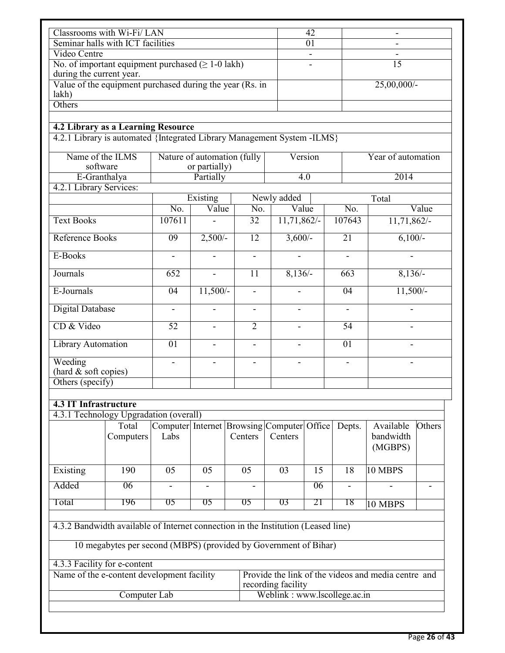| Classrooms with Wi-Fi/LAN                                                                                     |                                                                  |                          |                          |                                                       |                    | 42                           |  |                          | $\qquad \qquad \blacksquare$                        |                |
|---------------------------------------------------------------------------------------------------------------|------------------------------------------------------------------|--------------------------|--------------------------|-------------------------------------------------------|--------------------|------------------------------|--|--------------------------|-----------------------------------------------------|----------------|
|                                                                                                               | Seminar halls with ICT facilities                                |                          |                          |                                                       |                    | 01                           |  |                          |                                                     |                |
| Video Centre                                                                                                  |                                                                  |                          |                          |                                                       |                    |                              |  |                          |                                                     |                |
| No. of important equipment purchased $( \ge 1-0$ lakh)<br>during the current year.                            |                                                                  |                          |                          |                                                       |                    |                              |  |                          | $\overline{15}$                                     |                |
| lakh)                                                                                                         | Value of the equipment purchased during the year (Rs. in         |                          |                          |                                                       |                    |                              |  |                          | 25,00,000/-                                         |                |
| <b>Others</b>                                                                                                 |                                                                  |                          |                          |                                                       |                    |                              |  |                          |                                                     |                |
|                                                                                                               |                                                                  |                          |                          |                                                       |                    |                              |  |                          |                                                     |                |
| 4.2 Library as a Learning Resource<br>4.2.1 Library is automated {Integrated Library Management System -ILMS} |                                                                  |                          |                          |                                                       |                    |                              |  |                          |                                                     |                |
| Name of the ILMS<br>Nature of automation (fully<br>Version<br>software<br>or partially)                       |                                                                  |                          |                          |                                                       | Year of automation |                              |  |                          |                                                     |                |
| E-Granthalya                                                                                                  |                                                                  |                          | Partially                |                                                       |                    | 4.0                          |  |                          | 2014                                                |                |
| 4.2.1 Library Services:                                                                                       |                                                                  |                          |                          |                                                       |                    |                              |  |                          |                                                     |                |
|                                                                                                               |                                                                  | No.                      | Existing<br>Value        | $\overline{No.}$                                      | Newly added        | Value                        |  | No.                      | Total                                               | Value          |
| <b>Text Books</b>                                                                                             |                                                                  | 107611                   |                          | 32                                                    |                    | 11,71,862/-                  |  | 107643                   | 11,71,862/-                                         |                |
| Reference Books                                                                                               |                                                                  | 09                       | $2,500/-$                | 12                                                    |                    | $3,600/-$                    |  | 21                       | $6,100/-$                                           |                |
| E-Books                                                                                                       |                                                                  | $\blacksquare$           | $\blacksquare$           | $\blacksquare$                                        |                    | $\blacksquare$               |  | $\blacksquare$           | $\blacksquare$                                      |                |
| Journals                                                                                                      |                                                                  | 652                      |                          | 11                                                    |                    | $8,136/-$                    |  | 663                      | $8,136/-$                                           |                |
| E-Journals                                                                                                    |                                                                  | 04                       | $11,500/-$               |                                                       |                    |                              |  | 04                       | $11,500/-$                                          |                |
| <b>Digital Database</b>                                                                                       |                                                                  | $\frac{1}{2}$            | $\blacksquare$           | $\qquad \qquad \blacksquare$                          |                    | $\frac{1}{2}$                |  | $\frac{1}{2}$            |                                                     |                |
| CD & Video                                                                                                    |                                                                  | $\overline{52}$          |                          | $\overline{2}$                                        |                    |                              |  | $\overline{54}$          |                                                     |                |
| <b>Library Automation</b>                                                                                     |                                                                  | $\overline{01}$          | $\overline{\phantom{a}}$ | $\frac{1}{2}$                                         |                    | $\blacksquare$               |  | $\overline{01}$          |                                                     |                |
| Weeding<br>(hard & soft copies)<br>Others (specify)                                                           |                                                                  | $\overline{\phantom{a}}$ |                          |                                                       |                    |                              |  | $\overline{\phantom{a}}$ |                                                     |                |
| <b>4.3 IT Infrastructure</b>                                                                                  |                                                                  |                          |                          |                                                       |                    |                              |  |                          |                                                     |                |
| 4.3.1 Technology Upgradation (overall)                                                                        |                                                                  |                          |                          |                                                       |                    |                              |  |                          |                                                     |                |
|                                                                                                               | Total<br>Computers                                               | Labs                     |                          | Computer Internet Browsing Computer Office<br>Centers | Centers            |                              |  | Depts.                   | Available<br>bandwidth<br>(MGBPS)                   | Others         |
| Existing                                                                                                      | 190                                                              | 05                       | 05                       | 05                                                    | 03                 | 15                           |  | 18                       | 10 MBPS                                             |                |
| Added                                                                                                         | 06                                                               |                          |                          |                                                       |                    | 06                           |  |                          |                                                     | $\blacksquare$ |
| Total                                                                                                         | 196                                                              | 05                       | 05                       | 05                                                    | 03                 | 21                           |  | 18                       | 10 MBPS                                             |                |
| 4.3.2 Bandwidth available of Internet connection in the Institution (Leased line)                             |                                                                  |                          |                          |                                                       |                    |                              |  |                          |                                                     |                |
|                                                                                                               | 10 megabytes per second (MBPS) (provided by Government of Bihar) |                          |                          |                                                       |                    |                              |  |                          |                                                     |                |
| 4.3.3 Facility for e-content                                                                                  | Name of the e-content development facility                       |                          |                          |                                                       |                    |                              |  |                          | Provide the link of the videos and media centre and |                |
|                                                                                                               | Computer Lab                                                     |                          |                          |                                                       | recording facility | Weblink: www.lscollege.ac.in |  |                          |                                                     |                |
|                                                                                                               |                                                                  |                          |                          |                                                       |                    |                              |  |                          |                                                     |                |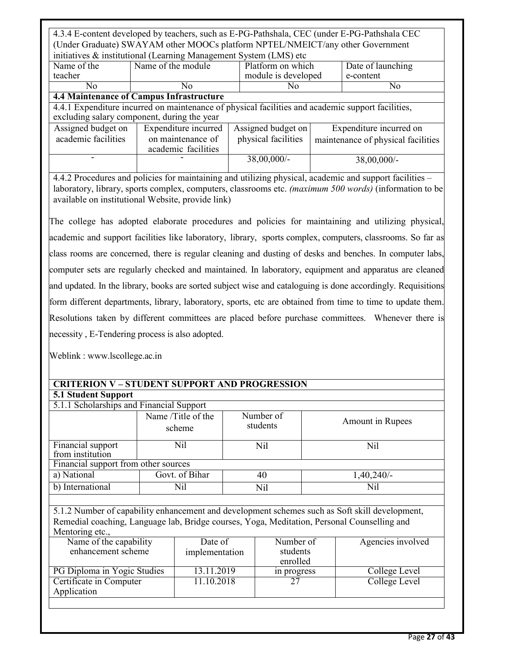4.3.4 E-content developed by teachers, such as E-PG-Pathshala, CEC (under E-PG-Pathshala CEC (Under Graduate) SWAYAM other MOOCs platform NPTEL/NMEICT/any other Government initiatives  $\&$  institutional (Learning Management System (LMS) etc

|             | $\frac{1}{2}$      |                     |                   |
|-------------|--------------------|---------------------|-------------------|
| Name of the | Name of the module | Platform on which   | Date of launching |
| teacher     |                    | module is developed | e-content         |
| N0          | NO                 | NC                  | NO                |
|             | --                 |                     |                   |

#### **4.4 Maintenance of Campus Infrastructure**

4.4.1 Expenditure incurred on maintenance of physical facilities and academic support facilities, excluding salary component, during the year

| Assigned budget on  | Expenditure incurred   Assigned budget on |                     | Expenditure incurred on            |
|---------------------|-------------------------------------------|---------------------|------------------------------------|
| academic facilities | on maintenance of                         | physical facilities | maintenance of physical facilities |
|                     | academic facilities                       |                     |                                    |
|                     |                                           | $38,00,000/$ -      | $38,00,000/$ -                     |
|                     |                                           |                     |                                    |

4.4.2 Procedures and policies for maintaining and utilizing physical, academic and support facilities – laboratory, library, sports complex, computers, classrooms etc. *(maximum 500 words)* (information to be available on institutional Website, provide link)

The college has adopted elaborate procedures and policies for maintaining and utilizing physical, academic and support facilities like laboratory, library, sports complex, computers, classrooms. So far as class rooms are concerned, there is regular cleaning and dusting of desks and benches. In computer labs, computer sets are regularly checked and maintained. In laboratory, equipment and apparatus are cleaned and updated. In the library, books are sorted subject wise and cataloguing is done accordingly. Requisitions form different departments, library, laboratory, sports, etc are obtained from time to time to update them. Resolutions taken by different committees are placed before purchase committees. Whenever there is necessity , E-Tendering process is also adopted.

Weblink : www.lscollege.ac.in

| <b>CRITERION V-STUDENT SUPPORT AND PROGRESSION</b>                                          |  |                              |  |                       |                  |                                                                                                |  |  |
|---------------------------------------------------------------------------------------------|--|------------------------------|--|-----------------------|------------------|------------------------------------------------------------------------------------------------|--|--|
| <b>5.1 Student Support</b>                                                                  |  |                              |  |                       |                  |                                                                                                |  |  |
| 5.1.1 Scholarships and Financial Support                                                    |  |                              |  |                       |                  |                                                                                                |  |  |
|                                                                                             |  | Name /Title of the<br>scheme |  | Number of<br>students | Amount in Rupees |                                                                                                |  |  |
| Financial support<br>from institution                                                       |  | Nil                          |  | Nil                   |                  | Nil                                                                                            |  |  |
| Financial support from other sources                                                        |  |                              |  |                       |                  |                                                                                                |  |  |
| a) National                                                                                 |  | Govt. of Bihar               |  | 40                    |                  | $1,40,240/-$                                                                                   |  |  |
| b) International                                                                            |  | Nil                          |  | Nil                   |                  | Nil                                                                                            |  |  |
|                                                                                             |  |                              |  |                       |                  |                                                                                                |  |  |
|                                                                                             |  |                              |  |                       |                  | 5.1.2 Number of capability enhancement and development schemes such as Soft skill development, |  |  |
| Remedial coaching, Language lab, Bridge courses, Yoga, Meditation, Personal Counselling and |  |                              |  |                       |                  |                                                                                                |  |  |
| Mentoring etc.,                                                                             |  |                              |  |                       |                  |                                                                                                |  |  |
| Name of the capability                                                                      |  | Date of                      |  | Number of             |                  | Agencies involved                                                                              |  |  |
| enhancement scheme                                                                          |  | implementation               |  | students<br>enrolled  |                  |                                                                                                |  |  |
| PG Diploma in Yogic Studies                                                                 |  | $13.11.20\overline{19}$      |  | in progress           |                  | College Level                                                                                  |  |  |
| Certificate in Computer                                                                     |  | 11.10.2018                   |  | 27                    |                  | College Level                                                                                  |  |  |
| Application                                                                                 |  |                              |  |                       |                  |                                                                                                |  |  |
|                                                                                             |  |                              |  |                       |                  |                                                                                                |  |  |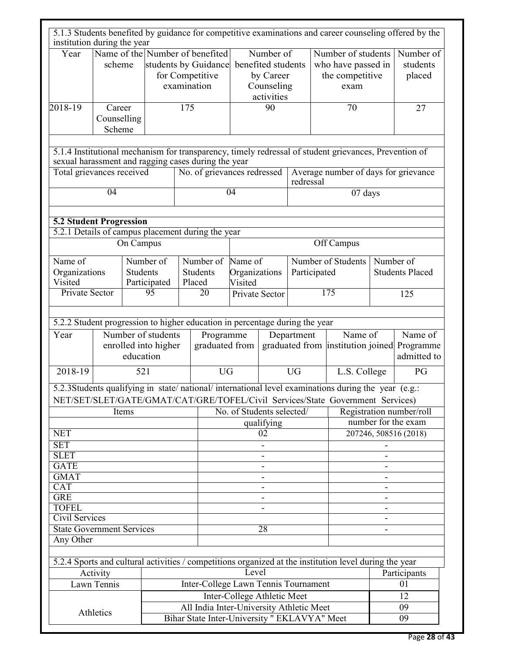|                                                                                     |                                 |                 |                                            |                                          |                                                                            |                                     |                                                                          |                                                 |                                                                     |                                                                                                                                                                                      |                                     | 5.1.3 Students benefited by guidance for competitive examinations and career counseling offered by the |
|-------------------------------------------------------------------------------------|---------------------------------|-----------------|--------------------------------------------|------------------------------------------|----------------------------------------------------------------------------|-------------------------------------|--------------------------------------------------------------------------|-------------------------------------------------|---------------------------------------------------------------------|--------------------------------------------------------------------------------------------------------------------------------------------------------------------------------------|-------------------------------------|--------------------------------------------------------------------------------------------------------|
| institution during the year                                                         |                                 |                 |                                            |                                          |                                                                            |                                     |                                                                          |                                                 |                                                                     |                                                                                                                                                                                      |                                     |                                                                                                        |
| Year                                                                                | scheme                          |                 |                                            | examination                              | Name of the Number of benefited<br>students by Guidance<br>for Competitive |                                     | Number of<br>benefited students<br>by Career<br>Counseling<br>activities |                                                 | Number of students<br>who have passed in<br>the competitive<br>exam |                                                                                                                                                                                      |                                     | Number of<br>students<br>placed                                                                        |
| 2018-19                                                                             | Career<br>Counselling<br>Scheme |                 |                                            | 175                                      |                                                                            | 90                                  |                                                                          |                                                 | 70                                                                  |                                                                                                                                                                                      | 27                                  |                                                                                                        |
| sexual harassment and ragging cases during the year                                 |                                 |                 |                                            |                                          |                                                                            |                                     |                                                                          |                                                 |                                                                     | 5.1.4 Institutional mechanism for transparency, timely redressal of student grievances, Prevention of                                                                                |                                     |                                                                                                        |
|                                                                                     | Total grievances received       |                 |                                            | No. of grievances redressed<br>redressal |                                                                            |                                     |                                                                          | Average number of days for grievance            |                                                                     |                                                                                                                                                                                      |                                     |                                                                                                        |
|                                                                                     | $\overline{04}$                 |                 |                                            |                                          |                                                                            | $\overline{04}$                     |                                                                          |                                                 |                                                                     | 07 days                                                                                                                                                                              |                                     |                                                                                                        |
| <b>5.2 Student Progression</b>                                                      |                                 |                 |                                            |                                          |                                                                            |                                     |                                                                          |                                                 |                                                                     |                                                                                                                                                                                      |                                     |                                                                                                        |
| 5.2.1 Details of campus placement during the year                                   |                                 |                 |                                            |                                          |                                                                            |                                     |                                                                          |                                                 |                                                                     |                                                                                                                                                                                      |                                     |                                                                                                        |
|                                                                                     |                                 | On Campus       |                                            |                                          |                                                                            |                                     |                                                                          |                                                 |                                                                     | Off Campus                                                                                                                                                                           |                                     |                                                                                                        |
| Name of<br>Organizations<br>Visited                                                 |                                 | <b>Students</b> | Number of<br>Participated                  | Placed                                   | Number of<br><b>Students</b>                                               | Name of<br>Organizations<br>Visited |                                                                          |                                                 | Number of Students<br>Participated                                  |                                                                                                                                                                                      | Number of<br><b>Students Placed</b> |                                                                                                        |
| Private Sector                                                                      |                                 |                 | $\overline{95}$                            |                                          | 20                                                                         |                                     | Private Sector                                                           |                                                 | $\overline{175}$                                                    |                                                                                                                                                                                      |                                     | 125                                                                                                    |
|                                                                                     |                                 |                 |                                            |                                          |                                                                            |                                     |                                                                          |                                                 |                                                                     |                                                                                                                                                                                      |                                     |                                                                                                        |
| 5.2.2 Student progression to higher education in percentage during the year<br>Year |                                 | education       | Number of students<br>enrolled into higher |                                          | Programme<br>graduated from                                                |                                     |                                                                          | Department                                      |                                                                     | Name of                                                                                                                                                                              |                                     | Name of<br>graduated from institution joined Programme<br>admitted to                                  |
| $2018 - 19$                                                                         |                                 | 521             |                                            |                                          | <b>UG</b>                                                                  |                                     |                                                                          | <b>UG</b>                                       |                                                                     | L.S. College                                                                                                                                                                         |                                     | PG                                                                                                     |
|                                                                                     |                                 |                 |                                            |                                          |                                                                            |                                     |                                                                          |                                                 |                                                                     | 5.2.3Students qualifying in state/national/international level examinations during the year (e.g.:<br>NET/SET/SLET/GATE/GMAT/CAT/GRE/TOFEL/Civil Services/State Government Services) |                                     |                                                                                                        |
|                                                                                     |                                 | Items           |                                            |                                          |                                                                            |                                     |                                                                          |                                                 |                                                                     |                                                                                                                                                                                      |                                     |                                                                                                        |
|                                                                                     |                                 |                 |                                            |                                          | No. of Students selected/<br>qualifying                                    |                                     |                                                                          | Registration number/roll<br>number for the exam |                                                                     |                                                                                                                                                                                      |                                     |                                                                                                        |
| <b>NET</b>                                                                          |                                 |                 |                                            |                                          |                                                                            | 02                                  |                                                                          |                                                 |                                                                     | 207246, 508516 (2018)                                                                                                                                                                |                                     |                                                                                                        |
| <b>SET</b>                                                                          |                                 |                 |                                            |                                          |                                                                            |                                     |                                                                          |                                                 |                                                                     |                                                                                                                                                                                      |                                     |                                                                                                        |
| <b>SLET</b>                                                                         |                                 |                 |                                            |                                          |                                                                            |                                     |                                                                          |                                                 |                                                                     |                                                                                                                                                                                      |                                     |                                                                                                        |
| <b>GATE</b>                                                                         |                                 |                 |                                            |                                          |                                                                            |                                     |                                                                          |                                                 |                                                                     |                                                                                                                                                                                      |                                     |                                                                                                        |
| <b>GMAT</b><br><b>CAT</b>                                                           |                                 |                 |                                            |                                          |                                                                            |                                     |                                                                          |                                                 |                                                                     |                                                                                                                                                                                      |                                     |                                                                                                        |
| <b>GRE</b>                                                                          |                                 |                 |                                            |                                          |                                                                            |                                     |                                                                          |                                                 |                                                                     |                                                                                                                                                                                      |                                     |                                                                                                        |
| <b>TOFEL</b>                                                                        |                                 |                 |                                            |                                          |                                                                            |                                     |                                                                          |                                                 |                                                                     |                                                                                                                                                                                      |                                     |                                                                                                        |
| <b>Civil Services</b>                                                               |                                 |                 |                                            |                                          |                                                                            |                                     |                                                                          |                                                 |                                                                     |                                                                                                                                                                                      |                                     |                                                                                                        |
| <b>State Government Services</b>                                                    |                                 |                 |                                            |                                          |                                                                            |                                     | $\overline{28}$                                                          |                                                 |                                                                     |                                                                                                                                                                                      |                                     |                                                                                                        |
| Any Other                                                                           |                                 |                 |                                            |                                          |                                                                            |                                     |                                                                          |                                                 |                                                                     |                                                                                                                                                                                      |                                     |                                                                                                        |
|                                                                                     |                                 |                 |                                            |                                          |                                                                            |                                     |                                                                          |                                                 |                                                                     | 5.2.4 Sports and cultural activities / competitions organized at the institution level during the year                                                                               |                                     |                                                                                                        |
|                                                                                     | Activity                        |                 |                                            |                                          |                                                                            | Level                               |                                                                          |                                                 |                                                                     |                                                                                                                                                                                      |                                     | Participants                                                                                           |
|                                                                                     | Lawn Tennis                     |                 |                                            |                                          | Inter-College Lawn Tennis Tournament                                       |                                     |                                                                          |                                                 |                                                                     |                                                                                                                                                                                      |                                     | 01                                                                                                     |
|                                                                                     |                                 |                 |                                            |                                          |                                                                            | Inter-College Athletic Meet         |                                                                          |                                                 |                                                                     |                                                                                                                                                                                      |                                     | 12                                                                                                     |
|                                                                                     | Athletics                       |                 |                                            |                                          | All India Inter-University Athletic Meet                                   |                                     |                                                                          |                                                 |                                                                     |                                                                                                                                                                                      |                                     | 09                                                                                                     |
|                                                                                     |                                 |                 |                                            |                                          | Bihar State Inter-University " EKLAVYA" Meet                               |                                     |                                                                          |                                                 |                                                                     |                                                                                                                                                                                      |                                     | 09                                                                                                     |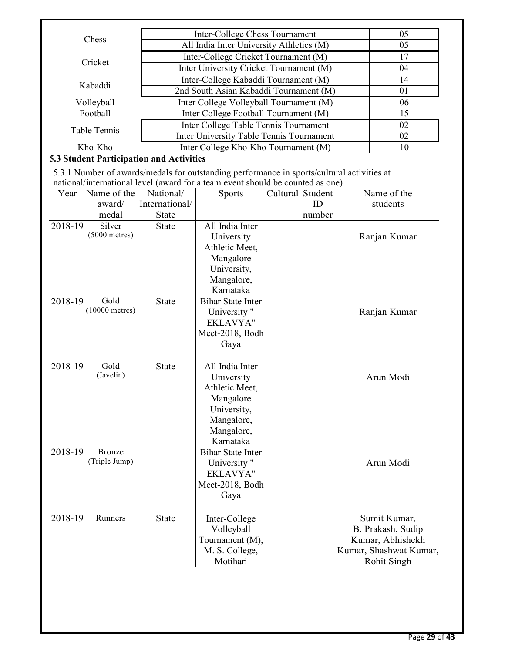|                    |                                           |                                          | Inter-College Chess Tournament                                                                                                                                                 |  |                  | 05                                                                                       |  |  |
|--------------------|-------------------------------------------|------------------------------------------|--------------------------------------------------------------------------------------------------------------------------------------------------------------------------------|--|------------------|------------------------------------------------------------------------------------------|--|--|
|                    | Chess                                     |                                          | All India Inter University Athletics (M)                                                                                                                                       |  |                  | 05                                                                                       |  |  |
|                    |                                           |                                          | Inter-College Cricket Tournament (M)                                                                                                                                           |  |                  | 17                                                                                       |  |  |
|                    | Cricket                                   |                                          | Inter University Cricket Tournament (M)                                                                                                                                        |  |                  | 04                                                                                       |  |  |
|                    |                                           |                                          | Inter-College Kabaddi Tournament (M)                                                                                                                                           |  |                  | 14                                                                                       |  |  |
|                    | Kabaddi                                   |                                          | 2nd South Asian Kabaddi Tournament (M)                                                                                                                                         |  |                  | 01                                                                                       |  |  |
|                    | Volleyball                                |                                          | Inter College Volleyball Tournament (M)                                                                                                                                        |  |                  | 06                                                                                       |  |  |
|                    | Football                                  | Inter College Football Tournament (M)    | 15                                                                                                                                                                             |  |                  |                                                                                          |  |  |
|                    | <b>Table Tennis</b>                       |                                          | Inter College Table Tennis Tournament                                                                                                                                          |  |                  |                                                                                          |  |  |
|                    |                                           |                                          | Inter University Table Tennis Tournament<br>02                                                                                                                                 |  |                  |                                                                                          |  |  |
|                    | Kho-Kho                                   |                                          | Inter College Kho-Kho Tournament (M)                                                                                                                                           |  |                  | 10                                                                                       |  |  |
|                    |                                           | 5.3 Student Participation and Activities |                                                                                                                                                                                |  |                  |                                                                                          |  |  |
|                    |                                           |                                          | 5.3.1 Number of awards/medals for outstanding performance in sports/cultural activities at                                                                                     |  |                  |                                                                                          |  |  |
|                    |                                           |                                          | national/international level (award for a team event should be counted as one)                                                                                                 |  |                  |                                                                                          |  |  |
| Year               | Name of the                               | National/                                | <b>Sports</b>                                                                                                                                                                  |  | Cultural Student | Name of the                                                                              |  |  |
|                    | award/                                    | International/                           |                                                                                                                                                                                |  | ID               | students                                                                                 |  |  |
| 2018-19            | medal<br>Silver                           | <b>State</b><br><b>State</b>             | All India Inter                                                                                                                                                                |  | number           |                                                                                          |  |  |
|                    | $(5000$ metres)                           |                                          | University                                                                                                                                                                     |  |                  | Ranjan Kumar                                                                             |  |  |
|                    |                                           |                                          | Athletic Meet,                                                                                                                                                                 |  |                  |                                                                                          |  |  |
|                    |                                           |                                          | Mangalore                                                                                                                                                                      |  |                  |                                                                                          |  |  |
|                    |                                           |                                          | University,                                                                                                                                                                    |  |                  |                                                                                          |  |  |
|                    |                                           |                                          | Mangalore,                                                                                                                                                                     |  |                  |                                                                                          |  |  |
|                    |                                           | Karnataka                                |                                                                                                                                                                                |  |                  |                                                                                          |  |  |
| 2018-19            | Gold                                      | <b>State</b>                             | <b>Bihar State Inter</b>                                                                                                                                                       |  |                  |                                                                                          |  |  |
|                    | $(10000$ metres)                          |                                          | University "                                                                                                                                                                   |  |                  | Ranjan Kumar                                                                             |  |  |
|                    |                                           |                                          | EKLAVYA"                                                                                                                                                                       |  |                  |                                                                                          |  |  |
|                    |                                           |                                          | Meet-2018, Bodh                                                                                                                                                                |  |                  |                                                                                          |  |  |
|                    |                                           |                                          | Gaya                                                                                                                                                                           |  |                  |                                                                                          |  |  |
| 2018-19            | Gold                                      | <b>State</b>                             | All India Inter                                                                                                                                                                |  |                  |                                                                                          |  |  |
|                    | (Javelin)                                 |                                          | University                                                                                                                                                                     |  |                  | Arun Modi                                                                                |  |  |
|                    |                                           |                                          | Athletic Meet,                                                                                                                                                                 |  |                  |                                                                                          |  |  |
|                    |                                           |                                          | Mangalore                                                                                                                                                                      |  |                  |                                                                                          |  |  |
|                    |                                           |                                          | University,                                                                                                                                                                    |  |                  |                                                                                          |  |  |
|                    |                                           |                                          | Mangalore,                                                                                                                                                                     |  |                  |                                                                                          |  |  |
|                    |                                           |                                          |                                                                                                                                                                                |  |                  |                                                                                          |  |  |
|                    |                                           |                                          |                                                                                                                                                                                |  |                  |                                                                                          |  |  |
|                    |                                           |                                          |                                                                                                                                                                                |  |                  |                                                                                          |  |  |
|                    |                                           |                                          |                                                                                                                                                                                |  |                  |                                                                                          |  |  |
|                    |                                           |                                          |                                                                                                                                                                                |  |                  |                                                                                          |  |  |
|                    |                                           |                                          |                                                                                                                                                                                |  |                  |                                                                                          |  |  |
|                    |                                           |                                          |                                                                                                                                                                                |  |                  |                                                                                          |  |  |
|                    |                                           |                                          |                                                                                                                                                                                |  |                  |                                                                                          |  |  |
|                    |                                           |                                          |                                                                                                                                                                                |  |                  |                                                                                          |  |  |
|                    |                                           |                                          |                                                                                                                                                                                |  |                  |                                                                                          |  |  |
|                    |                                           |                                          |                                                                                                                                                                                |  |                  | Kumar, Shashwat Kumar,                                                                   |  |  |
|                    |                                           |                                          | Motihari                                                                                                                                                                       |  |                  |                                                                                          |  |  |
| 2018-19<br>2018-19 | <b>Bronze</b><br>(Triple Jump)<br>Runners | <b>State</b>                             | Mangalore,<br>Karnataka<br><b>Bihar State Inter</b><br>University "<br>EKLAVYA"<br>Meet-2018, Bodh<br>Gaya<br>Inter-College<br>Volleyball<br>Tournament (M),<br>M. S. College, |  |                  | Arun Modi<br>Sumit Kumar,<br>B. Prakash, Sudip<br>Kumar, Abhishekh<br><b>Rohit Singh</b> |  |  |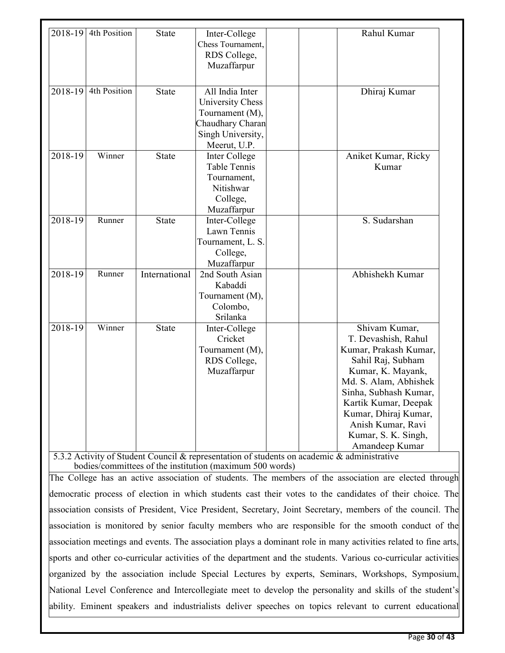| 2018-19   | 4th Position | State         | Inter-College       | Rahul Kumar           |
|-----------|--------------|---------------|---------------------|-----------------------|
|           |              |               | Chess Tournament,   |                       |
|           |              |               | RDS College,        |                       |
|           |              |               | Muzaffarpur         |                       |
|           |              |               |                     |                       |
| 2018-19   | 4th Position | <b>State</b>  | All India Inter     | Dhiraj Kumar          |
|           |              |               | University Chess    |                       |
|           |              |               | Tournament (M),     |                       |
|           |              |               | Chaudhary Charan    |                       |
|           |              |               | Singh University,   |                       |
|           |              |               | Meerut, U.P.        |                       |
| 2018-19   | Winner       | <b>State</b>  | Inter College       | Aniket Kumar, Ricky   |
|           |              |               | <b>Table Tennis</b> | Kumar                 |
|           |              |               | Tournament,         |                       |
|           |              |               | Nitishwar           |                       |
|           |              |               | College,            |                       |
|           |              |               | Muzaffarpur         |                       |
| $2018-19$ | Runner       | <b>State</b>  | Inter-College       | S. Sudarshan          |
|           |              |               | Lawn Tennis         |                       |
|           |              |               | Tournament, L. S.   |                       |
|           |              |               | College,            |                       |
|           |              |               | Muzaffarpur         |                       |
| 2018-19   | Runner       | International | 2nd South Asian     | Abhishekh Kumar       |
|           |              |               | Kabaddi             |                       |
|           |              |               | Tournament (M),     |                       |
|           |              |               | Colombo,            |                       |
|           |              |               | Srilanka            |                       |
| 2018-19   | Winner       | State         | Inter-College       | Shivam Kumar,         |
|           |              |               | Cricket             | T. Devashish, Rahul   |
|           |              |               | Tournament (M),     | Kumar, Prakash Kumar, |
|           |              |               | RDS College,        | Sahil Raj, Subham     |
|           |              |               | Muzaffarpur         | Kumar, K. Mayank,     |
|           |              |               |                     | Md. S. Alam, Abhishek |
|           |              |               |                     | Sinha, Subhash Kumar, |
|           |              |               |                     | Kartik Kumar, Deepak  |
|           |              |               |                     | Kumar, Dhiraj Kumar,  |
|           |              |               |                     | Anish Kumar, Ravi     |
|           |              |               |                     | Kumar, S. K. Singh,   |
|           |              |               |                     | Amandeep Kumar        |

bodies/committees of the institution (maximum 500 words)

The College has an active association of students. The members of the association are elected through democratic process of election in which students cast their votes to the candidates of their choice. The association consists of President, Vice President, Secretary, Joint Secretary, members of the council. The association is monitored by senior faculty members who are responsible for the smooth conduct of the association meetings and events. The association plays a dominant role in many activities related to fine arts, sports and other co-curricular activities of the department and the students. Various co-curricular activities organized by the association include Special Lectures by experts, Seminars, Workshops, Symposium, National Level Conference and Intercollegiate meet to develop the personality and skills of the student's ability. Eminent speakers and industrialists deliver speeches on topics relevant to current educational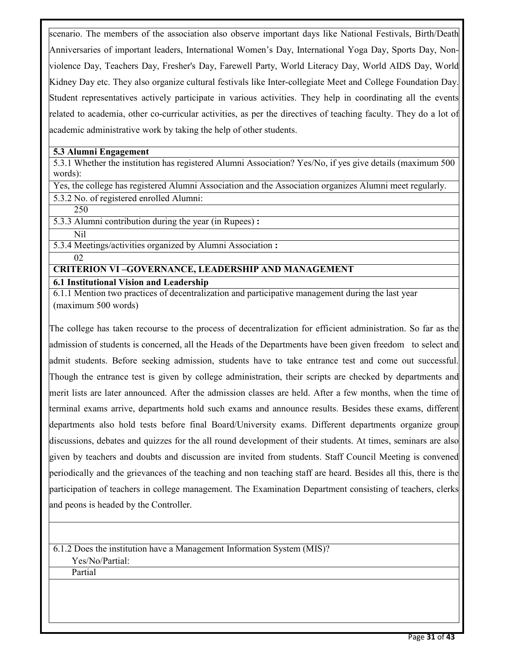scenario. The members of the association also observe important days like National Festivals, Birth/Death Anniversaries of important leaders, International Women's Day, International Yoga Day, Sports Day, Nonviolence Day, Teachers Day, Fresher's Day, Farewell Party, World Literacy Day, World AIDS Day, World Kidney Day etc. They also organize cultural festivals like Inter-collegiate Meet and College Foundation Day. Student representatives actively participate in various activities. They help in coordinating all the events related to academia, other co-curricular activities, as per the directives of teaching faculty. They do a lot of academic administrative work by taking the help of other students.

#### **5.3 Alumni Engagement**

5.3.1 Whether the institution has registered Alumni Association? Yes/No, if yes give details (maximum 500 words):

Yes, the college has registered Alumni Association and the Association organizes Alumni meet regularly.

5.3.2 No. of registered enrolled Alumni:

250

5.3.3 Alumni contribution during the year (in Rupees) **:**

Nil

5.3.4 Meetings/activities organized by Alumni Association **:**

#### 02

## **CRITERION VI –GOVERNANCE, LEADERSHIP AND MANAGEMENT**

**6.1 Institutional Vision and Leadership** 

6.1.1 Mention two practices of decentralization and participative management during the last year (maximum 500 words)

The college has taken recourse to the process of decentralization for efficient administration. So far as the admission of students is concerned, all the Heads of the Departments have been given freedom to select and admit students. Before seeking admission, students have to take entrance test and come out successful. Though the entrance test is given by college administration, their scripts are checked by departments and merit lists are later announced. After the admission classes are held. After a few months, when the time of terminal exams arrive, departments hold such exams and announce results. Besides these exams, different departments also hold tests before final Board/University exams. Different departments organize group discussions, debates and quizzes for the all round development of their students. At times, seminars are also given by teachers and doubts and discussion are invited from students. Staff Council Meeting is convened periodically and the grievances of the teaching and non teaching staff are heard. Besides all this, there is the participation of teachers in college management. The Examination Department consisting of teachers, clerks and peons is headed by the Controller.

6.1.2 Does the institution have a Management Information System (MIS)? Yes/No/Partial:

Partial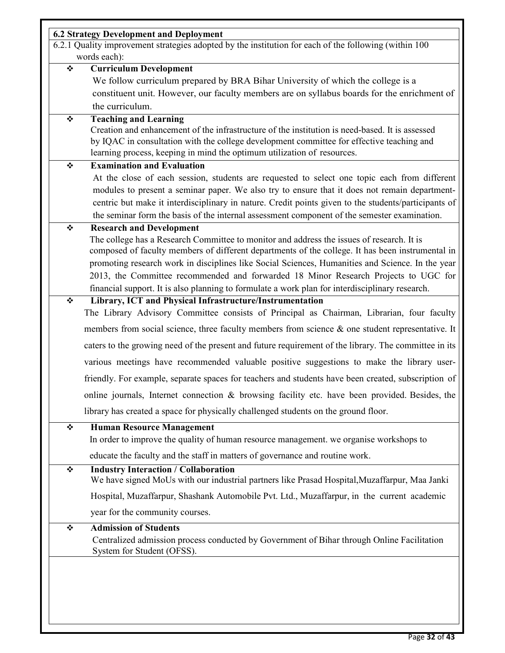| <b>6.2 Strategy Development and Deployment</b><br>6.2.1 Quality improvement strategies adopted by the institution for each of the following (within 100)<br>words each):<br><b>Curriculum Development</b><br>We follow curriculum prepared by BRA Bihar University of which the college is a<br>constituent unit. However, our faculty members are on syllabus boards for the enrichment of<br>the curriculum.<br><b>Teaching and Learning</b><br>Creation and enhancement of the infrastructure of the institution is need-based. It is assessed<br>by IQAC in consultation with the college development committee for effective teaching and<br>learning process, keeping in mind the optimum utilization of resources.<br><b>Examination and Evaluation</b><br>At the close of each session, students are requested to select one topic each from different<br>modules to present a seminar paper. We also try to ensure that it does not remain department-<br>centric but make it interdisciplinary in nature. Credit points given to the students/participants of<br>the seminar form the basis of the internal assessment component of the semester examination.<br><b>Research and Development</b><br>The college has a Research Committee to monitor and address the issues of research. It is<br>composed of faculty members of different departments of the college. It has been instrumental in<br>promoting research work in disciplines like Social Sciences, Humanities and Science. In the year<br>2013, the Committee recommended and forwarded 18 Minor Research Projects to UGC for<br>financial support. It is also planning to formulate a work plan for interdisciplinary research.<br>Library, ICT and Physical Infrastructure/Instrumentation<br>The Library Advisory Committee consists of Principal as Chairman, Librarian, four faculty |
|--------------------------------------------------------------------------------------------------------------------------------------------------------------------------------------------------------------------------------------------------------------------------------------------------------------------------------------------------------------------------------------------------------------------------------------------------------------------------------------------------------------------------------------------------------------------------------------------------------------------------------------------------------------------------------------------------------------------------------------------------------------------------------------------------------------------------------------------------------------------------------------------------------------------------------------------------------------------------------------------------------------------------------------------------------------------------------------------------------------------------------------------------------------------------------------------------------------------------------------------------------------------------------------------------------------------------------------------------------------------------------------------------------------------------------------------------------------------------------------------------------------------------------------------------------------------------------------------------------------------------------------------------------------------------------------------------------------------------------------------------------------------------------------------------------------------------------------------------------------------|
|                                                                                                                                                                                                                                                                                                                                                                                                                                                                                                                                                                                                                                                                                                                                                                                                                                                                                                                                                                                                                                                                                                                                                                                                                                                                                                                                                                                                                                                                                                                                                                                                                                                                                                                                                                                                                                                                    |
|                                                                                                                                                                                                                                                                                                                                                                                                                                                                                                                                                                                                                                                                                                                                                                                                                                                                                                                                                                                                                                                                                                                                                                                                                                                                                                                                                                                                                                                                                                                                                                                                                                                                                                                                                                                                                                                                    |
|                                                                                                                                                                                                                                                                                                                                                                                                                                                                                                                                                                                                                                                                                                                                                                                                                                                                                                                                                                                                                                                                                                                                                                                                                                                                                                                                                                                                                                                                                                                                                                                                                                                                                                                                                                                                                                                                    |
|                                                                                                                                                                                                                                                                                                                                                                                                                                                                                                                                                                                                                                                                                                                                                                                                                                                                                                                                                                                                                                                                                                                                                                                                                                                                                                                                                                                                                                                                                                                                                                                                                                                                                                                                                                                                                                                                    |
|                                                                                                                                                                                                                                                                                                                                                                                                                                                                                                                                                                                                                                                                                                                                                                                                                                                                                                                                                                                                                                                                                                                                                                                                                                                                                                                                                                                                                                                                                                                                                                                                                                                                                                                                                                                                                                                                    |
|                                                                                                                                                                                                                                                                                                                                                                                                                                                                                                                                                                                                                                                                                                                                                                                                                                                                                                                                                                                                                                                                                                                                                                                                                                                                                                                                                                                                                                                                                                                                                                                                                                                                                                                                                                                                                                                                    |
|                                                                                                                                                                                                                                                                                                                                                                                                                                                                                                                                                                                                                                                                                                                                                                                                                                                                                                                                                                                                                                                                                                                                                                                                                                                                                                                                                                                                                                                                                                                                                                                                                                                                                                                                                                                                                                                                    |
|                                                                                                                                                                                                                                                                                                                                                                                                                                                                                                                                                                                                                                                                                                                                                                                                                                                                                                                                                                                                                                                                                                                                                                                                                                                                                                                                                                                                                                                                                                                                                                                                                                                                                                                                                                                                                                                                    |
|                                                                                                                                                                                                                                                                                                                                                                                                                                                                                                                                                                                                                                                                                                                                                                                                                                                                                                                                                                                                                                                                                                                                                                                                                                                                                                                                                                                                                                                                                                                                                                                                                                                                                                                                                                                                                                                                    |
|                                                                                                                                                                                                                                                                                                                                                                                                                                                                                                                                                                                                                                                                                                                                                                                                                                                                                                                                                                                                                                                                                                                                                                                                                                                                                                                                                                                                                                                                                                                                                                                                                                                                                                                                                                                                                                                                    |
|                                                                                                                                                                                                                                                                                                                                                                                                                                                                                                                                                                                                                                                                                                                                                                                                                                                                                                                                                                                                                                                                                                                                                                                                                                                                                                                                                                                                                                                                                                                                                                                                                                                                                                                                                                                                                                                                    |
|                                                                                                                                                                                                                                                                                                                                                                                                                                                                                                                                                                                                                                                                                                                                                                                                                                                                                                                                                                                                                                                                                                                                                                                                                                                                                                                                                                                                                                                                                                                                                                                                                                                                                                                                                                                                                                                                    |
|                                                                                                                                                                                                                                                                                                                                                                                                                                                                                                                                                                                                                                                                                                                                                                                                                                                                                                                                                                                                                                                                                                                                                                                                                                                                                                                                                                                                                                                                                                                                                                                                                                                                                                                                                                                                                                                                    |
|                                                                                                                                                                                                                                                                                                                                                                                                                                                                                                                                                                                                                                                                                                                                                                                                                                                                                                                                                                                                                                                                                                                                                                                                                                                                                                                                                                                                                                                                                                                                                                                                                                                                                                                                                                                                                                                                    |
|                                                                                                                                                                                                                                                                                                                                                                                                                                                                                                                                                                                                                                                                                                                                                                                                                                                                                                                                                                                                                                                                                                                                                                                                                                                                                                                                                                                                                                                                                                                                                                                                                                                                                                                                                                                                                                                                    |
|                                                                                                                                                                                                                                                                                                                                                                                                                                                                                                                                                                                                                                                                                                                                                                                                                                                                                                                                                                                                                                                                                                                                                                                                                                                                                                                                                                                                                                                                                                                                                                                                                                                                                                                                                                                                                                                                    |
|                                                                                                                                                                                                                                                                                                                                                                                                                                                                                                                                                                                                                                                                                                                                                                                                                                                                                                                                                                                                                                                                                                                                                                                                                                                                                                                                                                                                                                                                                                                                                                                                                                                                                                                                                                                                                                                                    |
|                                                                                                                                                                                                                                                                                                                                                                                                                                                                                                                                                                                                                                                                                                                                                                                                                                                                                                                                                                                                                                                                                                                                                                                                                                                                                                                                                                                                                                                                                                                                                                                                                                                                                                                                                                                                                                                                    |
|                                                                                                                                                                                                                                                                                                                                                                                                                                                                                                                                                                                                                                                                                                                                                                                                                                                                                                                                                                                                                                                                                                                                                                                                                                                                                                                                                                                                                                                                                                                                                                                                                                                                                                                                                                                                                                                                    |
|                                                                                                                                                                                                                                                                                                                                                                                                                                                                                                                                                                                                                                                                                                                                                                                                                                                                                                                                                                                                                                                                                                                                                                                                                                                                                                                                                                                                                                                                                                                                                                                                                                                                                                                                                                                                                                                                    |
|                                                                                                                                                                                                                                                                                                                                                                                                                                                                                                                                                                                                                                                                                                                                                                                                                                                                                                                                                                                                                                                                                                                                                                                                                                                                                                                                                                                                                                                                                                                                                                                                                                                                                                                                                                                                                                                                    |
|                                                                                                                                                                                                                                                                                                                                                                                                                                                                                                                                                                                                                                                                                                                                                                                                                                                                                                                                                                                                                                                                                                                                                                                                                                                                                                                                                                                                                                                                                                                                                                                                                                                                                                                                                                                                                                                                    |
|                                                                                                                                                                                                                                                                                                                                                                                                                                                                                                                                                                                                                                                                                                                                                                                                                                                                                                                                                                                                                                                                                                                                                                                                                                                                                                                                                                                                                                                                                                                                                                                                                                                                                                                                                                                                                                                                    |
| members from social science, three faculty members from science $\&$ one student representative. It                                                                                                                                                                                                                                                                                                                                                                                                                                                                                                                                                                                                                                                                                                                                                                                                                                                                                                                                                                                                                                                                                                                                                                                                                                                                                                                                                                                                                                                                                                                                                                                                                                                                                                                                                                |
| caters to the growing need of the present and future requirement of the library. The committee in its                                                                                                                                                                                                                                                                                                                                                                                                                                                                                                                                                                                                                                                                                                                                                                                                                                                                                                                                                                                                                                                                                                                                                                                                                                                                                                                                                                                                                                                                                                                                                                                                                                                                                                                                                              |
| various meetings have recommended valuable positive suggestions to make the library user-                                                                                                                                                                                                                                                                                                                                                                                                                                                                                                                                                                                                                                                                                                                                                                                                                                                                                                                                                                                                                                                                                                                                                                                                                                                                                                                                                                                                                                                                                                                                                                                                                                                                                                                                                                          |
| friendly. For example, separate spaces for teachers and students have been created, subscription of                                                                                                                                                                                                                                                                                                                                                                                                                                                                                                                                                                                                                                                                                                                                                                                                                                                                                                                                                                                                                                                                                                                                                                                                                                                                                                                                                                                                                                                                                                                                                                                                                                                                                                                                                                |
| online journals, Internet connection & browsing facility etc. have been provided. Besides, the                                                                                                                                                                                                                                                                                                                                                                                                                                                                                                                                                                                                                                                                                                                                                                                                                                                                                                                                                                                                                                                                                                                                                                                                                                                                                                                                                                                                                                                                                                                                                                                                                                                                                                                                                                     |
| library has created a space for physically challenged students on the ground floor.                                                                                                                                                                                                                                                                                                                                                                                                                                                                                                                                                                                                                                                                                                                                                                                                                                                                                                                                                                                                                                                                                                                                                                                                                                                                                                                                                                                                                                                                                                                                                                                                                                                                                                                                                                                |
| <b>Human Resource Management</b>                                                                                                                                                                                                                                                                                                                                                                                                                                                                                                                                                                                                                                                                                                                                                                                                                                                                                                                                                                                                                                                                                                                                                                                                                                                                                                                                                                                                                                                                                                                                                                                                                                                                                                                                                                                                                                   |
| In order to improve the quality of human resource management, we organise workshops to                                                                                                                                                                                                                                                                                                                                                                                                                                                                                                                                                                                                                                                                                                                                                                                                                                                                                                                                                                                                                                                                                                                                                                                                                                                                                                                                                                                                                                                                                                                                                                                                                                                                                                                                                                             |
| educate the faculty and the staff in matters of governance and routine work.                                                                                                                                                                                                                                                                                                                                                                                                                                                                                                                                                                                                                                                                                                                                                                                                                                                                                                                                                                                                                                                                                                                                                                                                                                                                                                                                                                                                                                                                                                                                                                                                                                                                                                                                                                                       |
| <b>Industry Interaction / Collaboration</b>                                                                                                                                                                                                                                                                                                                                                                                                                                                                                                                                                                                                                                                                                                                                                                                                                                                                                                                                                                                                                                                                                                                                                                                                                                                                                                                                                                                                                                                                                                                                                                                                                                                                                                                                                                                                                        |
| We have signed MoUs with our industrial partners like Prasad Hospital, Muzaffarpur, Maa Janki                                                                                                                                                                                                                                                                                                                                                                                                                                                                                                                                                                                                                                                                                                                                                                                                                                                                                                                                                                                                                                                                                                                                                                                                                                                                                                                                                                                                                                                                                                                                                                                                                                                                                                                                                                      |
| Hospital, Muzaffarpur, Shashank Automobile Pvt. Ltd., Muzaffarpur, in the current academic                                                                                                                                                                                                                                                                                                                                                                                                                                                                                                                                                                                                                                                                                                                                                                                                                                                                                                                                                                                                                                                                                                                                                                                                                                                                                                                                                                                                                                                                                                                                                                                                                                                                                                                                                                         |
| year for the community courses.                                                                                                                                                                                                                                                                                                                                                                                                                                                                                                                                                                                                                                                                                                                                                                                                                                                                                                                                                                                                                                                                                                                                                                                                                                                                                                                                                                                                                                                                                                                                                                                                                                                                                                                                                                                                                                    |
| <b>Admission of Students</b>                                                                                                                                                                                                                                                                                                                                                                                                                                                                                                                                                                                                                                                                                                                                                                                                                                                                                                                                                                                                                                                                                                                                                                                                                                                                                                                                                                                                                                                                                                                                                                                                                                                                                                                                                                                                                                       |
| Centralized admission process conducted by Government of Bihar through Online Facilitation<br>System for Student (OFSS).                                                                                                                                                                                                                                                                                                                                                                                                                                                                                                                                                                                                                                                                                                                                                                                                                                                                                                                                                                                                                                                                                                                                                                                                                                                                                                                                                                                                                                                                                                                                                                                                                                                                                                                                           |
|                                                                                                                                                                                                                                                                                                                                                                                                                                                                                                                                                                                                                                                                                                                                                                                                                                                                                                                                                                                                                                                                                                                                                                                                                                                                                                                                                                                                                                                                                                                                                                                                                                                                                                                                                                                                                                                                    |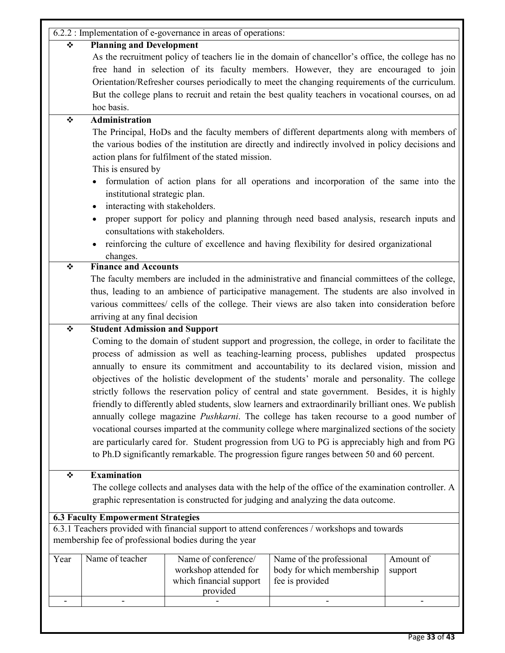|      |                                                                                                                                                                                                | 6.2.2 : Implementation of e-governance in areas of operations: |                                                                                                      |            |  |  |  |  |
|------|------------------------------------------------------------------------------------------------------------------------------------------------------------------------------------------------|----------------------------------------------------------------|------------------------------------------------------------------------------------------------------|------------|--|--|--|--|
| ❖    | <b>Planning and Development</b>                                                                                                                                                                |                                                                |                                                                                                      |            |  |  |  |  |
|      |                                                                                                                                                                                                |                                                                | As the recruitment policy of teachers lie in the domain of chancellor's office, the college has no   |            |  |  |  |  |
|      | free hand in selection of its faculty members. However, they are encouraged to join                                                                                                            |                                                                |                                                                                                      |            |  |  |  |  |
|      | Orientation/Refresher courses periodically to meet the changing requirements of the curriculum.                                                                                                |                                                                |                                                                                                      |            |  |  |  |  |
|      | But the college plans to recruit and retain the best quality teachers in vocational courses, on ad                                                                                             |                                                                |                                                                                                      |            |  |  |  |  |
|      | hoc basis.                                                                                                                                                                                     |                                                                |                                                                                                      |            |  |  |  |  |
| ❖    | <b>Administration</b>                                                                                                                                                                          |                                                                |                                                                                                      |            |  |  |  |  |
|      |                                                                                                                                                                                                |                                                                | The Principal, HoDs and the faculty members of different departments along with members of           |            |  |  |  |  |
|      |                                                                                                                                                                                                |                                                                | the various bodies of the institution are directly and indirectly involved in policy decisions and   |            |  |  |  |  |
|      |                                                                                                                                                                                                | action plans for fulfilment of the stated mission.             |                                                                                                      |            |  |  |  |  |
|      | This is ensured by                                                                                                                                                                             |                                                                |                                                                                                      |            |  |  |  |  |
|      |                                                                                                                                                                                                |                                                                | formulation of action plans for all operations and incorporation of the same into the                |            |  |  |  |  |
|      | institutional strategic plan.                                                                                                                                                                  |                                                                |                                                                                                      |            |  |  |  |  |
|      | interacting with stakeholders.                                                                                                                                                                 |                                                                |                                                                                                      |            |  |  |  |  |
|      |                                                                                                                                                                                                |                                                                |                                                                                                      |            |  |  |  |  |
|      | proper support for policy and planning through need based analysis, research inputs and<br>consultations with stakeholders.                                                                    |                                                                |                                                                                                      |            |  |  |  |  |
|      |                                                                                                                                                                                                |                                                                | reinforcing the culture of excellence and having flexibility for desired organizational              |            |  |  |  |  |
|      |                                                                                                                                                                                                |                                                                |                                                                                                      |            |  |  |  |  |
| ❖    | changes.<br><b>Finance and Accounts</b>                                                                                                                                                        |                                                                |                                                                                                      |            |  |  |  |  |
|      |                                                                                                                                                                                                |                                                                |                                                                                                      |            |  |  |  |  |
|      | The faculty members are included in the administrative and financial committees of the college,<br>thus, leading to an ambience of participative management. The students are also involved in |                                                                |                                                                                                      |            |  |  |  |  |
|      |                                                                                                                                                                                                |                                                                | various committees/ cells of the college. Their views are also taken into consideration before       |            |  |  |  |  |
|      | arriving at any final decision                                                                                                                                                                 |                                                                |                                                                                                      |            |  |  |  |  |
| ❖    | <b>Student Admission and Support</b>                                                                                                                                                           |                                                                |                                                                                                      |            |  |  |  |  |
|      |                                                                                                                                                                                                |                                                                | Coming to the domain of student support and progression, the college, in order to facilitate the     |            |  |  |  |  |
|      |                                                                                                                                                                                                |                                                                | process of admission as well as teaching-learning process, publishes updated                         | prospectus |  |  |  |  |
|      |                                                                                                                                                                                                |                                                                | annually to ensure its commitment and accountability to its declared vision, mission and             |            |  |  |  |  |
|      |                                                                                                                                                                                                |                                                                | objectives of the holistic development of the students' morale and personality. The college          |            |  |  |  |  |
|      |                                                                                                                                                                                                |                                                                | strictly follows the reservation policy of central and state government. Besides, it is highly       |            |  |  |  |  |
|      |                                                                                                                                                                                                |                                                                | friendly to differently abled students, slow learners and extraordinarily brilliant ones. We publish |            |  |  |  |  |
|      |                                                                                                                                                                                                |                                                                | annually college magazine <i>Pushkarni</i> . The college has taken recourse to a good number of      |            |  |  |  |  |
|      |                                                                                                                                                                                                |                                                                | vocational courses imparted at the community college where marginalized sections of the society      |            |  |  |  |  |
|      |                                                                                                                                                                                                |                                                                | are particularly cared for. Student progression from UG to PG is appreciably high and from PG        |            |  |  |  |  |
|      |                                                                                                                                                                                                |                                                                | to Ph.D significantly remarkable. The progression figure ranges between 50 and 60 percent.           |            |  |  |  |  |
|      |                                                                                                                                                                                                |                                                                |                                                                                                      |            |  |  |  |  |
| ❖    | <b>Examination</b>                                                                                                                                                                             |                                                                |                                                                                                      |            |  |  |  |  |
|      |                                                                                                                                                                                                |                                                                | The college collects and analyses data with the help of the office of the examination controller. A  |            |  |  |  |  |
|      |                                                                                                                                                                                                |                                                                | graphic representation is constructed for judging and analyzing the data outcome.                    |            |  |  |  |  |
|      |                                                                                                                                                                                                |                                                                |                                                                                                      |            |  |  |  |  |
|      | <b>6.3 Faculty Empowerment Strategies</b>                                                                                                                                                      |                                                                | 6.3.1 Teachers provided with financial support to attend conferences / workshops and towards         |            |  |  |  |  |
|      |                                                                                                                                                                                                | membership fee of professional bodies during the year          |                                                                                                      |            |  |  |  |  |
|      |                                                                                                                                                                                                |                                                                |                                                                                                      |            |  |  |  |  |
| Year | Name of teacher                                                                                                                                                                                | Name of conference/                                            | Name of the professional                                                                             | Amount of  |  |  |  |  |
|      |                                                                                                                                                                                                | workshop attended for                                          | body for which membership                                                                            | support    |  |  |  |  |
|      |                                                                                                                                                                                                | which financial support<br>provided                            | fee is provided                                                                                      |            |  |  |  |  |
|      |                                                                                                                                                                                                |                                                                |                                                                                                      |            |  |  |  |  |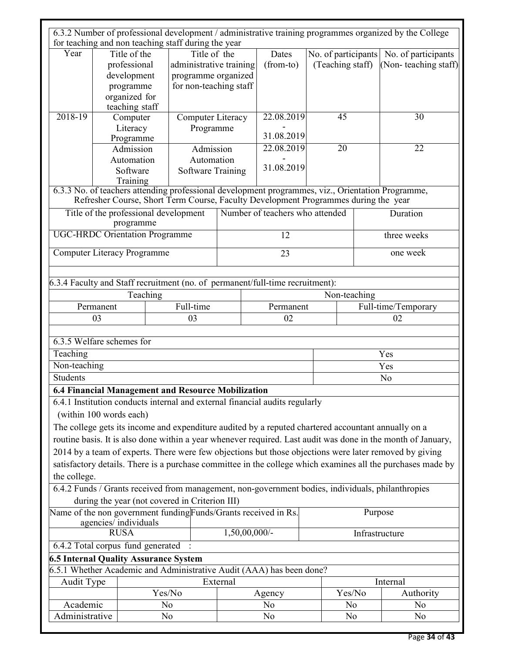|                 |                                                                               | for teaching and non teaching staff during the year                                                                                                                                      |                          |                                       |  |                     | 6.3.2 Number of professional development / administrative training programmes organized by the College       |  |
|-----------------|-------------------------------------------------------------------------------|------------------------------------------------------------------------------------------------------------------------------------------------------------------------------------------|--------------------------|---------------------------------------|--|---------------------|--------------------------------------------------------------------------------------------------------------|--|
| Year            | Title of the                                                                  |                                                                                                                                                                                          | Title of the             | Dates                                 |  | No. of participants | No. of participants                                                                                          |  |
|                 | professional                                                                  | administrative training                                                                                                                                                                  |                          | (from-to)                             |  | (Teaching staff)    | (Non-teaching staff)                                                                                         |  |
|                 | development                                                                   | programme organized                                                                                                                                                                      |                          |                                       |  |                     |                                                                                                              |  |
|                 | programme                                                                     | for non-teaching staff                                                                                                                                                                   |                          |                                       |  |                     |                                                                                                              |  |
|                 | organized for                                                                 |                                                                                                                                                                                          |                          |                                       |  |                     |                                                                                                              |  |
|                 | teaching staff                                                                |                                                                                                                                                                                          |                          |                                       |  |                     |                                                                                                              |  |
| 2018-19         | Computer                                                                      |                                                                                                                                                                                          |                          | 22.08.2019<br>45<br>Computer Literacy |  |                     | 30                                                                                                           |  |
|                 | Literacy                                                                      |                                                                                                                                                                                          | Programme                |                                       |  |                     |                                                                                                              |  |
|                 | Programme                                                                     |                                                                                                                                                                                          | 31.08.2019               |                                       |  |                     |                                                                                                              |  |
|                 | Admission                                                                     |                                                                                                                                                                                          | 22.08.2019<br>Admission  |                                       |  | 20                  | 22                                                                                                           |  |
|                 | Automation                                                                    |                                                                                                                                                                                          | Automation               |                                       |  |                     |                                                                                                              |  |
|                 | Software                                                                      |                                                                                                                                                                                          | <b>Software Training</b> | 31.08.2019                            |  |                     |                                                                                                              |  |
|                 | Training                                                                      |                                                                                                                                                                                          |                          |                                       |  |                     |                                                                                                              |  |
|                 |                                                                               | 6.3.3 No. of teachers attending professional development programmes, viz., Orientation Programme,<br>Refresher Course, Short Term Course, Faculty Development Programmes during the year |                          |                                       |  |                     |                                                                                                              |  |
|                 | programme                                                                     | Title of the professional development                                                                                                                                                    |                          | Number of teachers who attended       |  |                     | Duration                                                                                                     |  |
|                 | <b>UGC-HRDC Orientation Programme</b>                                         |                                                                                                                                                                                          |                          | 12                                    |  |                     | three weeks                                                                                                  |  |
|                 | <b>Computer Literacy Programme</b>                                            |                                                                                                                                                                                          |                          | 23                                    |  |                     | one week                                                                                                     |  |
|                 | 6.3.4 Faculty and Staff recruitment (no. of permanent/full-time recruitment): |                                                                                                                                                                                          |                          |                                       |  |                     |                                                                                                              |  |
|                 | Teaching                                                                      |                                                                                                                                                                                          |                          |                                       |  | Non-teaching        |                                                                                                              |  |
|                 | Permanent                                                                     | Full-time                                                                                                                                                                                |                          | Permanent                             |  |                     | Full-time/Temporary                                                                                          |  |
|                 | 03                                                                            | 03                                                                                                                                                                                       |                          | 02                                    |  |                     | 02                                                                                                           |  |
| Teaching        | 6.3.5 Welfare schemes for                                                     |                                                                                                                                                                                          |                          |                                       |  |                     | Yes                                                                                                          |  |
| Non-teaching    |                                                                               |                                                                                                                                                                                          |                          |                                       |  |                     | Yes                                                                                                          |  |
| <b>Students</b> |                                                                               |                                                                                                                                                                                          |                          |                                       |  |                     | N <sub>0</sub>                                                                                               |  |
|                 |                                                                               |                                                                                                                                                                                          |                          |                                       |  |                     |                                                                                                              |  |
|                 |                                                                               | 6.4 Financial Management and Resource Mobilization                                                                                                                                       |                          |                                       |  |                     |                                                                                                              |  |
|                 |                                                                               | 6.4.1 Institution conducts internal and external financial audits regularly                                                                                                              |                          |                                       |  |                     |                                                                                                              |  |
|                 | (within 100 words each)                                                       |                                                                                                                                                                                          |                          |                                       |  |                     |                                                                                                              |  |
|                 |                                                                               | The college gets its income and expenditure audited by a reputed chartered accountant annually on a                                                                                      |                          |                                       |  |                     |                                                                                                              |  |
|                 |                                                                               |                                                                                                                                                                                          |                          |                                       |  |                     | routine basis. It is also done within a year whenever required. Last audit was done in the month of January, |  |
|                 |                                                                               |                                                                                                                                                                                          |                          |                                       |  |                     | 2014 by a team of experts. There were few objections but those objections were later removed by giving       |  |
|                 |                                                                               |                                                                                                                                                                                          |                          |                                       |  |                     | satisfactory details. There is a purchase committee in the college which examines all the purchases made by  |  |
| the college.    |                                                                               |                                                                                                                                                                                          |                          |                                       |  |                     |                                                                                                              |  |
|                 |                                                                               | 6.4.2 Funds / Grants received from management, non-government bodies, individuals, philanthropies                                                                                        |                          |                                       |  |                     |                                                                                                              |  |
|                 |                                                                               | during the year (not covered in Criterion III)                                                                                                                                           |                          |                                       |  |                     |                                                                                                              |  |
|                 | agencies/individuals                                                          | Name of the non government funding Funds/Grants received in Rs.                                                                                                                          |                          |                                       |  |                     | Purpose                                                                                                      |  |
|                 | <b>RUSA</b>                                                                   |                                                                                                                                                                                          |                          | $1,50,00,000/$ -                      |  |                     | Infrastructure                                                                                               |  |
|                 | 6.4.2 Total corpus fund generated                                             |                                                                                                                                                                                          |                          |                                       |  |                     |                                                                                                              |  |
|                 |                                                                               | <b>6.5 Internal Quality Assurance System</b>                                                                                                                                             |                          |                                       |  |                     |                                                                                                              |  |
|                 |                                                                               | 6.5.1 Whether Academic and Administrative Audit (AAA) has been done?                                                                                                                     |                          |                                       |  |                     |                                                                                                              |  |
| Audit Type      |                                                                               |                                                                                                                                                                                          | External                 |                                       |  |                     | Internal                                                                                                     |  |
|                 |                                                                               | Yes/No                                                                                                                                                                                   |                          | Agency                                |  | Yes/No              | Authority                                                                                                    |  |
| Academic        |                                                                               | N <sub>0</sub>                                                                                                                                                                           |                          | N <sub>0</sub>                        |  | N <sub>0</sub>      | N <sub>0</sub>                                                                                               |  |
| Administrative  |                                                                               | N <sub>0</sub>                                                                                                                                                                           |                          | N <sub>0</sub>                        |  | N <sub>0</sub>      | N <sub>0</sub>                                                                                               |  |
|                 |                                                                               |                                                                                                                                                                                          |                          |                                       |  |                     |                                                                                                              |  |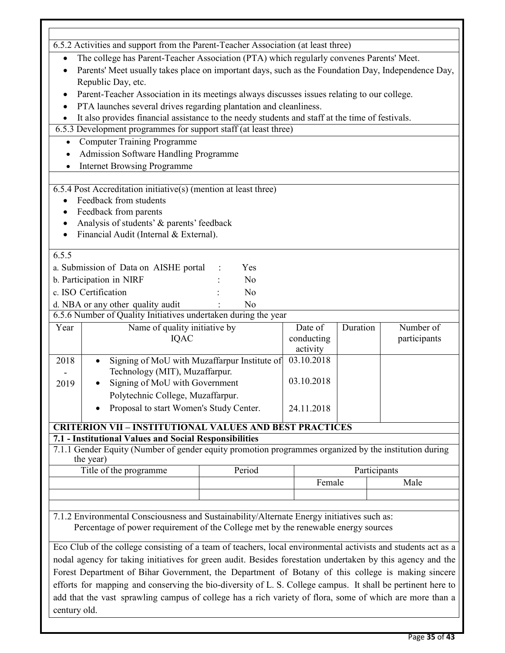|              | 6.5.2 Activities and support from the Parent-Teacher Association (at least three)                             |                |            |              |           |  |  |  |
|--------------|---------------------------------------------------------------------------------------------------------------|----------------|------------|--------------|-----------|--|--|--|
|              |                                                                                                               |                |            |              |           |  |  |  |
|              | The college has Parent-Teacher Association (PTA) which regularly convenes Parents' Meet.                      |                |            |              |           |  |  |  |
| $\bullet$    | Parents' Meet usually takes place on important days, such as the Foundation Day, Independence Day,            |                |            |              |           |  |  |  |
|              | Republic Day, etc.                                                                                            |                |            |              |           |  |  |  |
| ٠            | Parent-Teacher Association in its meetings always discusses issues relating to our college.                   |                |            |              |           |  |  |  |
| $\bullet$    | PTA launches several drives regarding plantation and cleanliness.                                             |                |            |              |           |  |  |  |
|              | It also provides financial assistance to the needy students and staff at the time of festivals.               |                |            |              |           |  |  |  |
|              | 6.5.3 Development programmes for support staff (at least three)                                               |                |            |              |           |  |  |  |
| $\bullet$    | <b>Computer Training Programme</b>                                                                            |                |            |              |           |  |  |  |
|              | <b>Admission Software Handling Programme</b>                                                                  |                |            |              |           |  |  |  |
|              | <b>Internet Browsing Programme</b>                                                                            |                |            |              |           |  |  |  |
|              |                                                                                                               |                |            |              |           |  |  |  |
|              | 6.5.4 Post Accreditation initiative(s) (mention at least three)                                               |                |            |              |           |  |  |  |
|              | Feedback from students                                                                                        |                |            |              |           |  |  |  |
| ٠            | Feedback from parents                                                                                         |                |            |              |           |  |  |  |
| ٠            | Analysis of students' & parents' feedback                                                                     |                |            |              |           |  |  |  |
| $\bullet$    | Financial Audit (Internal & External).                                                                        |                |            |              |           |  |  |  |
| 6.5.5        |                                                                                                               |                |            |              |           |  |  |  |
|              | a. Submission of Data on AISHE portal                                                                         | Yes            |            |              |           |  |  |  |
|              | b. Participation in NIRF                                                                                      | N <sub>0</sub> |            |              |           |  |  |  |
|              | c. ISO Certification                                                                                          | N <sub>o</sub> |            |              |           |  |  |  |
|              |                                                                                                               |                |            |              |           |  |  |  |
|              | d. NBA or any other quality audit<br>6.5.6 Number of Quality Initiatives undertaken during the year           | N <sub>o</sub> |            |              |           |  |  |  |
|              |                                                                                                               |                |            | Duration     | Number of |  |  |  |
| Year         | Name of quality initiative by                                                                                 |                | Date of    |              |           |  |  |  |
|              | IQAC<br>conducting<br>participants                                                                            |                |            |              |           |  |  |  |
|              |                                                                                                               |                |            |              |           |  |  |  |
|              |                                                                                                               |                | activity   |              |           |  |  |  |
| 2018         | Signing of MoU with Muzaffarpur Institute of<br>$\bullet$                                                     |                | 03.10.2018 |              |           |  |  |  |
|              | Technology (MIT), Muzaffarpur.                                                                                |                | 03.10.2018 |              |           |  |  |  |
| 2019         | Signing of MoU with Government                                                                                |                |            |              |           |  |  |  |
|              | Polytechnic College, Muzaffarpur.                                                                             |                |            |              |           |  |  |  |
|              | Proposal to start Women's Study Center.                                                                       |                | 24.11.2018 |              |           |  |  |  |
|              | <b>CRITERION VII - INSTITUTIONAL VALUES AND BEST PRACTICES</b>                                                |                |            |              |           |  |  |  |
|              | 7.1 - Institutional Values and Social Responsibilities                                                        |                |            |              |           |  |  |  |
|              | 7.1.1 Gender Equity (Number of gender equity promotion programmes organized by the institution during         |                |            |              |           |  |  |  |
|              | the year)                                                                                                     |                |            |              |           |  |  |  |
|              | Title of the programme                                                                                        | Period         |            | Participants |           |  |  |  |
|              |                                                                                                               |                | Female     |              | Male      |  |  |  |
|              |                                                                                                               |                |            |              |           |  |  |  |
|              |                                                                                                               |                |            |              |           |  |  |  |
|              | 7.1.2 Environmental Consciousness and Sustainability/Alternate Energy initiatives such as:                    |                |            |              |           |  |  |  |
|              | Percentage of power requirement of the College met by the renewable energy sources                            |                |            |              |           |  |  |  |
|              |                                                                                                               |                |            |              |           |  |  |  |
|              | Eco Club of the college consisting of a team of teachers, local environmental activists and students act as a |                |            |              |           |  |  |  |
|              | nodal agency for taking initiatives for green audit. Besides forestation undertaken by this agency and the    |                |            |              |           |  |  |  |
|              | Forest Department of Bihar Government, the Department of Botany of this college is making sincere             |                |            |              |           |  |  |  |
|              | efforts for mapping and conserving the bio-diversity of L. S. College campus. It shall be pertinent here to   |                |            |              |           |  |  |  |
| century old. | add that the vast sprawling campus of college has a rich variety of flora, some of which are more than a      |                |            |              |           |  |  |  |

Г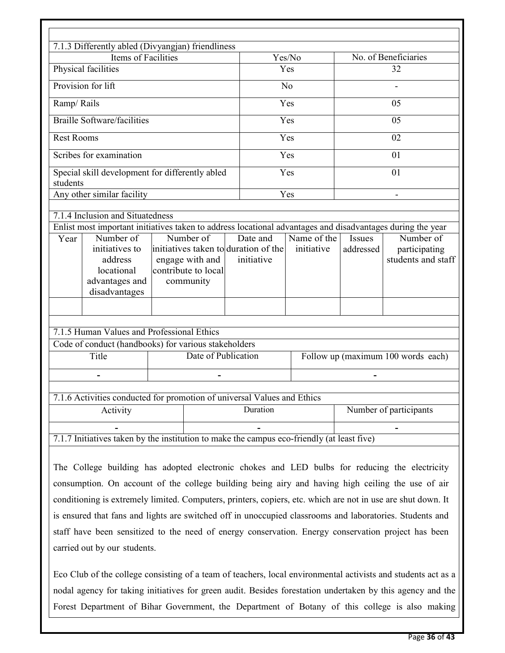| 7.1.3 Differently abled (Divyangjan) friendliness                                                                                              |                                                                  |                                                                |        |                                           |                                                  |  |
|------------------------------------------------------------------------------------------------------------------------------------------------|------------------------------------------------------------------|----------------------------------------------------------------|--------|-------------------------------------------|--------------------------------------------------|--|
| Items of Facilities                                                                                                                            |                                                                  |                                                                | Yes/No |                                           | No. of Beneficiaries                             |  |
| Physical facilities                                                                                                                            |                                                                  |                                                                | Yes    |                                           | 32                                               |  |
| Provision for lift                                                                                                                             |                                                                  | No                                                             |        |                                           |                                                  |  |
| Ramp/Rails                                                                                                                                     |                                                                  | Yes                                                            | 05     |                                           |                                                  |  |
| <b>Braille Software/facilities</b>                                                                                                             |                                                                  |                                                                | Yes    |                                           | 05                                               |  |
| <b>Rest Rooms</b>                                                                                                                              |                                                                  |                                                                | Yes    |                                           | 02                                               |  |
| Scribes for examination                                                                                                                        |                                                                  |                                                                | Yes    |                                           | 01                                               |  |
| Special skill development for differently abled<br>students                                                                                    |                                                                  |                                                                | Yes    |                                           | 01                                               |  |
| Any other similar facility                                                                                                                     |                                                                  | Yes                                                            |        |                                           |                                                  |  |
| 7.1.4 Inclusion and Situatedness<br>Enlist most important initiatives taken to address locational advantages and disadvantages during the year |                                                                  |                                                                |        |                                           |                                                  |  |
| Number of<br>Year<br>initiatives to<br>address<br>locational<br>advantages and<br>disadvantages                                                | Number of<br>engage with and<br>contribute to local<br>community | Date and<br>initiatives taken to duration of the<br>initiative |        | Name of the<br><b>Issues</b><br>addressed | Number of<br>participating<br>students and staff |  |
| 7.1.5 Human Values and Professional Ethics                                                                                                     |                                                                  |                                                                |        |                                           |                                                  |  |
| Code of conduct (handbooks) for various stakeholders                                                                                           |                                                                  |                                                                |        |                                           |                                                  |  |
| Title                                                                                                                                          | Date of Publication                                              |                                                                |        |                                           | Follow up (maximum 100 words each)               |  |
|                                                                                                                                                |                                                                  |                                                                |        |                                           |                                                  |  |
| 7.1.6 Activities conducted for promotion of universal Values and Ethics                                                                        |                                                                  |                                                                |        |                                           |                                                  |  |
| Activity                                                                                                                                       |                                                                  | Duration                                                       |        |                                           | Number of participants                           |  |
|                                                                                                                                                |                                                                  |                                                                |        |                                           |                                                  |  |
| 7.1.7 Initiatives taken by the institution to make the campus eco-friendly (at least five)                                                     |                                                                  |                                                                |        |                                           |                                                  |  |
| The College building has adopted electronic chokes and LED bulbs for reducing the electricity                                                  |                                                                  |                                                                |        |                                           |                                                  |  |

consumption. On account of the college building being airy and having high ceiling the use of air conditioning is extremely limited. Computers, printers, copiers, etc. which are not in use are shut down. It is ensured that fans and lights are switched off in unoccupied classrooms and laboratories. Students and staff have been sensitized to the need of energy conservation. Energy conservation project has been carried out by our students.

Eco Club of the college consisting of a team of teachers, local environmental activists and students act as a nodal agency for taking initiatives for green audit. Besides forestation undertaken by this agency and the Forest Department of Bihar Government, the Department of Botany of this college is also making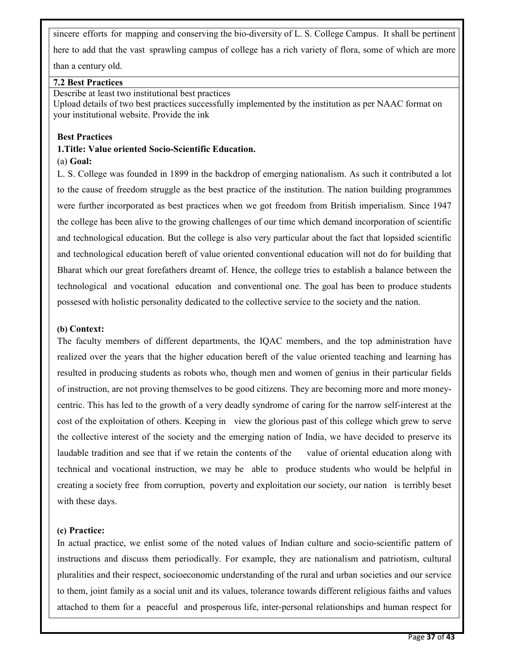sincere efforts for mapping and conserving the bio-diversity of L. S. College Campus. It shall be pertinent here to add that the vast sprawling campus of college has a rich variety of flora, some of which are more

than a century old.

#### **7.2 Best Practices**

Describe at least two institutional best practices

Upload details of two best practices successfully implemented by the institution as per NAAC format on your institutional website. Provide the ink

#### **Best Practices**

# **1.Title: Value oriented Socio-Scientific Education.**

#### (a) **Goal:**

L. S. College was founded in 1899 in the backdrop of emerging nationalism. As such it contributed a lot to the cause of freedom struggle as the best practice of the institution. The nation building programmes were further incorporated as best practices when we got freedom from British imperialism. Since 1947 the college has been alive to the growing challenges of our time which demand incorporation of scientific and technological education. But the college is also very particular about the fact that lopsided scientific and technological education bereft of value oriented conventional education will not do for building that Bharat which our great forefathers dreamt of. Hence, the college tries to establish a balance between the technological and vocational education and conventional one. The goal has been to produce students possesed with holistic personality dedicated to the collective service to the society and the nation.

#### **(b) Context:**

The faculty members of different departments, the IQAC members, and the top administration have realized over the years that the higher education bereft of the value oriented teaching and learning has resulted in producing students as robots who, though men and women of genius in their particular fields of instruction, are not proving themselves to be good citizens. They are becoming more and more moneycentric. This has led to the growth of a very deadly syndrome of caring for the narrow self-interest at the cost of the exploitation of others. Keeping in view the glorious past of this college which grew to serve the collective interest of the society and the emerging nation of India, we have decided to preserve its laudable tradition and see that if we retain the contents of the value of oriental education along with technical and vocational instruction, we may be able to produce students who would be helpful in creating a society free from corruption, poverty and exploitation our society, our nation is terribly beset with these days.

#### **(c) Practice:**

In actual practice, we enlist some of the noted values of Indian culture and socio-scientific pattern of instructions and discuss them periodically. For example, they are nationalism and patriotism, cultural pluralities and their respect, socioeconomic understanding of the rural and urban societies and our service to them, joint family as a social unit and its values, tolerance towards different religious faiths and values attached to them for a peaceful and prosperous life, inter-personal relationships and human respect for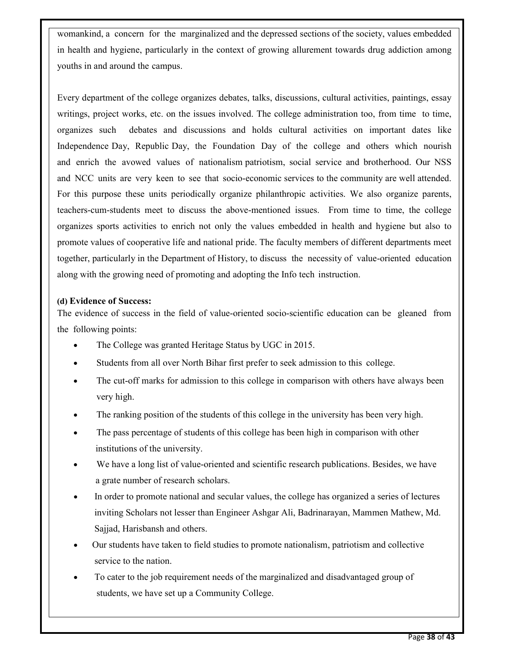womankind, a concern for the marginalized and the depressed sections of the society, values embedded in health and hygiene, particularly in the context of growing allurement towards drug addiction among youths in and around the campus.

Every department of the college organizes debates, talks, discussions, cultural activities, paintings, essay writings, project works, etc. on the issues involved. The college administration too, from time to time, organizes such debates and discussions and holds cultural activities on important dates like Independence Day, Republic Day, the Foundation Day of the college and others which nourish and enrich the avowed values of nationalism patriotism, social service and brotherhood. Our NSS and NCC units are very keen to see that socio-economic services to the community are well attended. For this purpose these units periodically organize philanthropic activities. We also organize parents, teachers-cum-students meet to discuss the above-mentioned issues. From time to time, the college organizes sports activities to enrich not only the values embedded in health and hygiene but also to promote values of cooperative life and national pride. The faculty members of different departments meet together, particularly in the Department of History, to discuss the necessity of value-oriented education along with the growing need of promoting and adopting the Info tech instruction.

#### **(d) Evidence of Success:**

The evidence of success in the field of value-oriented socio-scientific education can be gleaned from the following points:

- The College was granted Heritage Status by UGC in 2015.
- Students from all over North Bihar first prefer to seek admission to this college.
- The cut-off marks for admission to this college in comparison with others have always been very high.
- The ranking position of the students of this college in the university has been very high.
- The pass percentage of students of this college has been high in comparison with other institutions of the university.
- We have a long list of value-oriented and scientific research publications. Besides, we have a grate number of research scholars.
- In order to promote national and secular values, the college has organized a series of lectures inviting Scholars not lesser than Engineer Ashgar Ali, Badrinarayan, Mammen Mathew, Md. Sajjad, Harisbansh and others.
- Our students have taken to field studies to promote nationalism, patriotism and collective service to the nation.
- To cater to the job requirement needs of the marginalized and disadvantaged group of students, we have set up a Community College.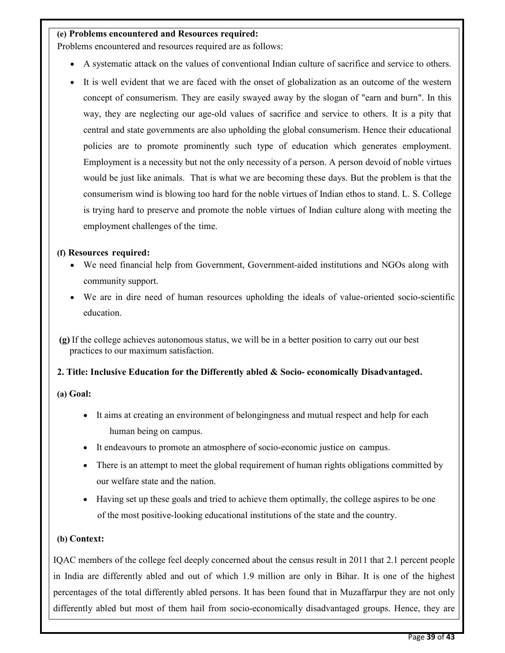#### **(e) Problems encountered and Resources required:**

Problems encountered and resources required are as follows:

- A systematic attack on the values of conventional Indian culture of sacrifice and service to others.
- It is well evident that we are faced with the onset of globalization as an outcome of the western concept of consumerism. They are easily swayed away by the slogan of "earn and burn". In this way, they are neglecting our age-old values of sacrifice and service to others. It is a pity that central and state governments are also upholding the global consumerism. Hence their educational policies are to promote prominently such type of education which generates employment. Employment is a necessity but not the only necessity of a person. A person devoid of noble virtues would be just like animals. That is what we are becoming these days. But the problem is that the consumerism wind is blowing too hard for the noble virtues of Indian ethos to stand. L. S. College is trying hard to preserve and promote the noble virtues of Indian culture along with meeting the employment challenges of the time.

#### **(f) Resources required:**

- We need financial help from Government, Government-aided institutions and NGOs along with community support.
- We are in dire need of human resources upholding the ideals of value-oriented socio-scientific education.

 **(g)** If the college achieves autonomous status, we will be in a better position to carry out our best practices to our maximum satisfaction.

#### **2. Title: Inclusive Education for the Differently abled & Socio- economically Disadvantaged.**

**(a) Goal:** 

- It aims at creating an environment of belongingness and mutual respect and help for each human being on campus.
- It endeavours to promote an atmosphere of socio-economic justice on campus.
- There is an attempt to meet the global requirement of human rights obligations committed by our welfare state and the nation.
- Having set up these goals and tried to achieve them optimally, the college aspires to be one of the most positive-looking educational institutions of the state and the country.

#### **(b) Context:**

IQAC members of the college feel deeply concerned about the census result in 2011 that 2.1 percent people in India are differently abled and out of which 1.9 million are only in Bihar. It is one of the highest percentages of the total differently abled persons. It has been found that in Muzaffarpur they are not only differently abled but most of them hail from socio-economically disadvantaged groups. Hence, they are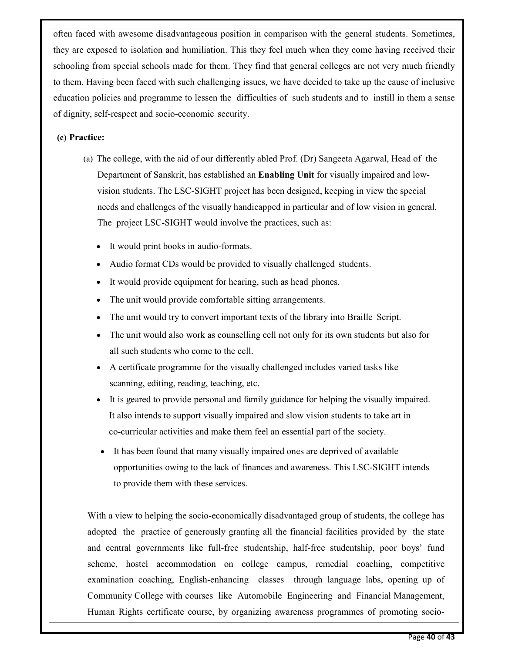often faced with awesome disadvantageous position in comparison with the general students. Sometimes, they are exposed to isolation and humiliation. This they feel much when they come having received their schooling from special schools made for them. They find that general colleges are not very much friendly to them. Having been faced with such challenging issues, we have decided to take up the cause of inclusive education policies and programme to lessen the difficulties of such students and to instill in them a sense of dignity, self-respect and socio-economic security.

#### **(c) Practice:**

- (a) The college, with the aid of our differently abled Prof. (Dr) Sangeeta Agarwal, Head of the Department of Sanskrit, has established an **Enabling Unit** for visually impaired and low vision students. The LSC-SIGHT project has been designed, keeping in view the special needs and challenges of the visually handicapped in particular and of low vision in general. The project LSC-SIGHT would involve the practices, such as:
	- It would print books in audio-formats.
	- Audio format CDs would be provided to visually challenged students.
	- It would provide equipment for hearing, such as head phones.
	- The unit would provide comfortable sitting arrangements.
	- The unit would try to convert important texts of the library into Braille Script.
	- The unit would also work as counselling cell not only for its own students but also for all such students who come to the cell.
	- A certificate programme for the visually challenged includes varied tasks like scanning, editing, reading, teaching, etc.
	- It is geared to provide personal and family guidance for helping the visually impaired. It also intends to support visually impaired and slow vision students to take art in co-curricular activities and make them feel an essential part of the society.
	- It has been found that many visually impaired ones are deprived of available opportunities owing to the lack of finances and awareness. This LSC-SIGHT intends to provide them with these services.

With a view to helping the socio-economically disadvantaged group of students, the college has adopted the practice of generously granting all the financial facilities provided by the state and central governments like full-free studentship, half-free studentship, poor boys' fund scheme, hostel accommodation on college campus, remedial coaching, competitive examination coaching, English-enhancing classes through language labs, opening up of Community College with courses like Automobile Engineering and Financial Management, Human Rights certificate course, by organizing awareness programmes of promoting socio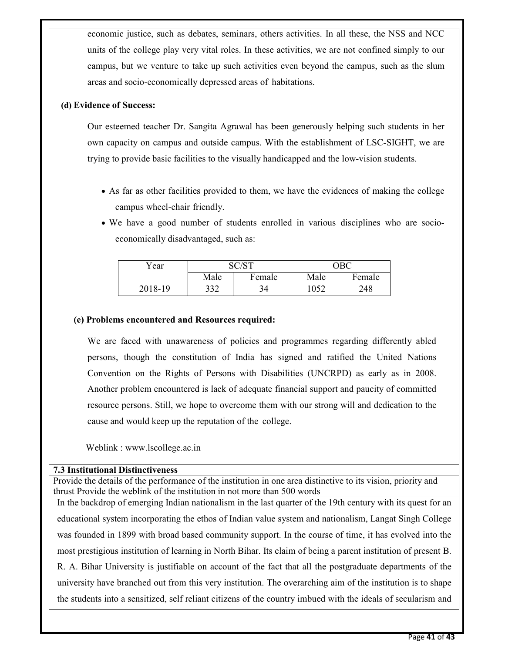economic justice, such as debates, seminars, others activities. In all these, the NSS and NCC units of the college play very vital roles. In these activities, we are not confined simply to our campus, but we venture to take up such activities even beyond the campus, such as the slum areas and socio-economically depressed areas of habitations.

#### **(d) Evidence of Success:**

Our esteemed teacher Dr. Sangita Agrawal has been generously helping such students in her own capacity on campus and outside campus. With the establishment of LSC-SIGHT, we are trying to provide basic facilities to the visually handicapped and the low-vision students.

- As far as other facilities provided to them, we have the evidences of making the college campus wheel-chair friendly.
- We have a good number of students enrolled in various disciplines who are socioeconomically disadvantaged, such as:

| Year    |      |        | ОВС  |        |
|---------|------|--------|------|--------|
|         | Male | Female | Male | Female |
| 2018-19 | 332  | 34     | 1052 | 248    |

#### **(e) Problems encountered and Resources required:**

We are faced with unawareness of policies and programmes regarding differently abled persons, though the constitution of India has signed and ratified the United Nations Convention on the Rights of Persons with Disabilities (UNCRPD) as early as in 2008. Another problem encountered is lack of adequate financial support and paucity of committed resource persons. Still, we hope to overcome them with our strong will and dedication to the cause and would keep up the reputation of the college.

Weblink : www.lscollege.ac.in

#### **7.3 Institutional Distinctiveness**

Provide the details of the performance of the institution in one area distinctive to its vision, priority and thrust Provide the weblink of the institution in not more than 500 words

In the backdrop of emerging Indian nationalism in the last quarter of the 19th century with its quest for an educational system incorporating the ethos of Indian value system and nationalism, Langat Singh College was founded in 1899 with broad based community support. In the course of time, it has evolved into the most prestigious institution of learning in North Bihar. Its claim of being a parent institution of present B. R. A. Bihar University is justifiable on account of the fact that all the postgraduate departments of the university have branched out from this very institution. The overarching aim of the institution is to shape the students into a sensitized, self reliant citizens of the country imbued with the ideals of secularism and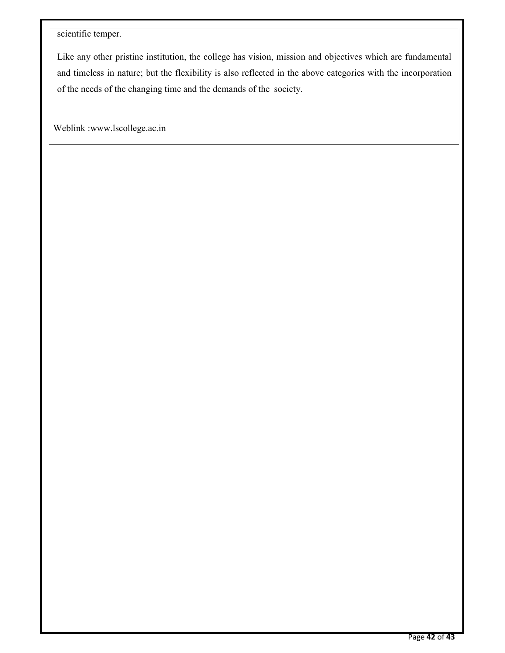### scientific temper.

Like any other pristine institution, the college has vision, mission and objectives which are fundamental and timeless in nature; but the flexibility is also reflected in the above categories with the incorporation of the needs of the changing time and the demands of the society.

Weblink :www.lscollege.ac.in